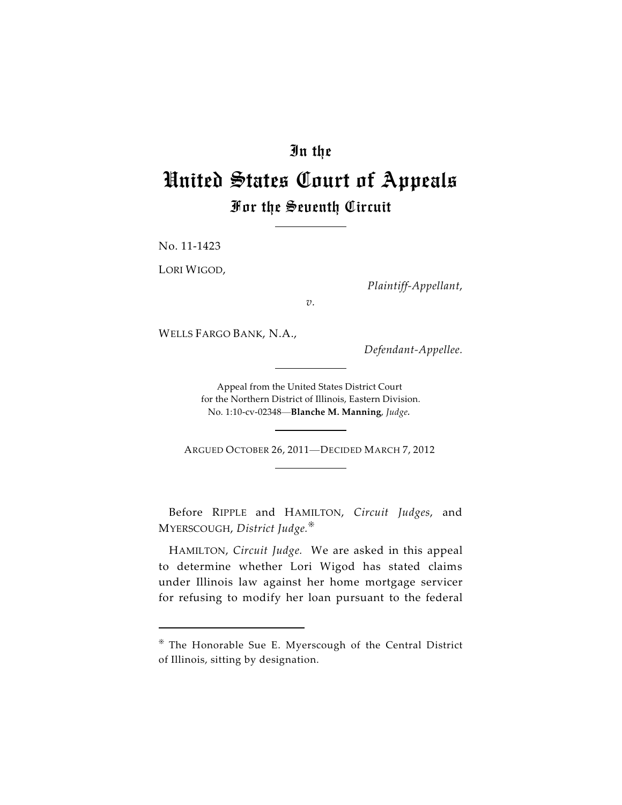# In the

# United States Court of Appeals For the Seventh Circuit

No. 11-1423

LORI WIGOD,

*Plaintiff-Appellant*,

*v.*

WELLS FARGO BANK, N.A.,

*Defendant-Appellee.*

Appeal from the United States District Court for the Northern District of Illinois, Eastern Division. No. 1:10-cv-02348—**Blanche M. Manning**, *Judge.*

ARGUED OCTOBER 26, 2011—DECIDED MARCH 7, 2012

Before RIPPLE and HAMILTON, *Circuit Judges*, and MYERSCOUGH, *District Judge.*

HAMILTON, *Circuit Judge.* We are asked in this appeal to determine whether Lori Wigod has stated claims under Illinois law against her home mortgage servicer for refusing to modify her loan pursuant to the federal

The Honorable Sue E. Myerscough of the Central District of Illinois, sitting by designation.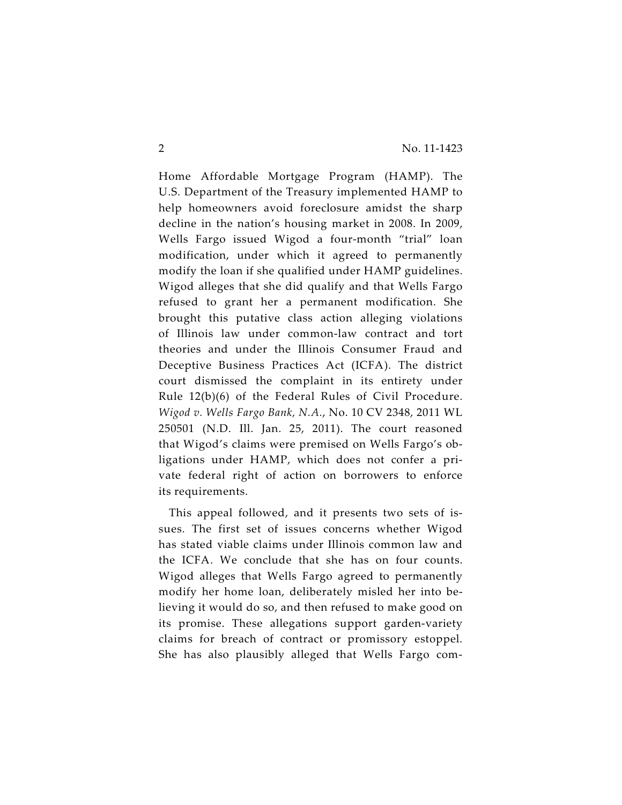Home Affordable Mortgage Program (HAMP). The U.S. Department of the Treasury implemented HAMP to help homeowners avoid foreclosure amidst the sharp decline in the nation's housing market in 2008. In 2009, Wells Fargo issued Wigod a four-month "trial" loan modification, under which it agreed to permanently modify the loan if she qualified under HAMP guidelines. Wigod alleges that she did qualify and that Wells Fargo refused to grant her a permanent modification. She brought this putative class action alleging violations of Illinois law under common-law contract and tort theories and under the Illinois Consumer Fraud and Deceptive Business Practices Act (ICFA). The district court dismissed the complaint in its entirety under Rule 12(b)(6) of the Federal Rules of Civil Procedure. *Wigod v. Wells Fargo Bank, N.A.*, No. 10 CV 2348, 2011 WL 250501 (N.D. Ill. Jan. 25, 2011). The court reasoned that Wigod's claims were premised on Wells Fargo's obligations under HAMP, which does not confer a private federal right of action on borrowers to enforce its requirements.

This appeal followed, and it presents two sets of issues. The first set of issues concerns whether Wigod has stated viable claims under Illinois common law and the ICFA. We conclude that she has on four counts. Wigod alleges that Wells Fargo agreed to permanently modify her home loan, deliberately misled her into believing it would do so, and then refused to make good on its promise. These allegations support garden-variety claims for breach of contract or promissory estoppel. She has also plausibly alleged that Wells Fargo com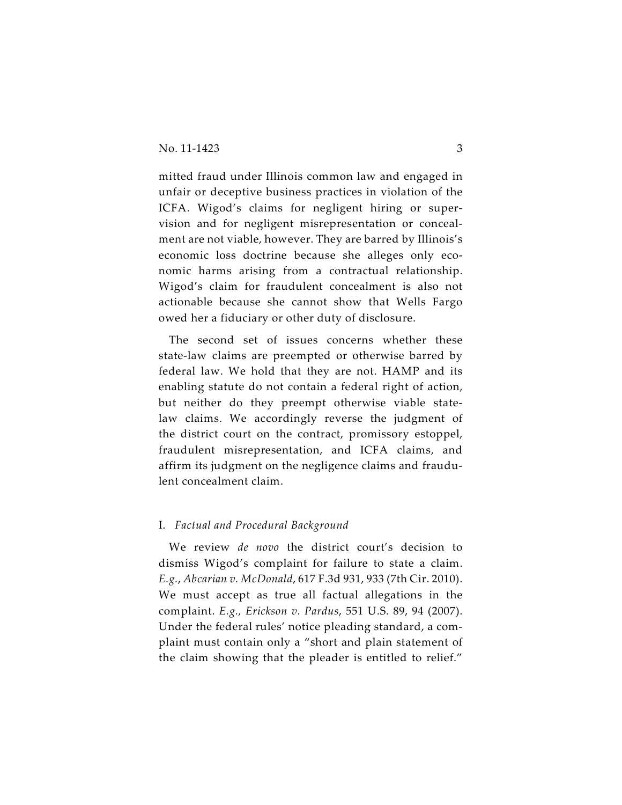mitted fraud under Illinois common law and engaged in unfair or deceptive business practices in violation of the ICFA. Wigod's claims for negligent hiring or supervision and for negligent misrepresentation or concealment are not viable, however. They are barred by Illinois's economic loss doctrine because she alleges only economic harms arising from a contractual relationship. Wigod's claim for fraudulent concealment is also not actionable because she cannot show that Wells Fargo owed her a fiduciary or other duty of disclosure.

The second set of issues concerns whether these state-law claims are preempted or otherwise barred by federal law. We hold that they are not. HAMP and its enabling statute do not contain a federal right of action, but neither do they preempt otherwise viable statelaw claims. We accordingly reverse the judgment of the district court on the contract, promissory estoppel, fraudulent misrepresentation, and ICFA claims, and affirm its judgment on the negligence claims and fraudulent concealment claim.

#### I. *Factual and Procedural Background*

We review *de novo* the district court's decision to dismiss Wigod's complaint for failure to state a claim. *E.g.*, *Abcarian v. McDonald*, 617 F.3d 931, 933 (7th Cir. 2010). We must accept as true all factual allegations in the complaint. *E.g., Erickson v. Pardus*, 551 U.S. 89, 94 (2007). Under the federal rules' notice pleading standard, a complaint must contain only a "short and plain statement of the claim showing that the pleader is entitled to relief."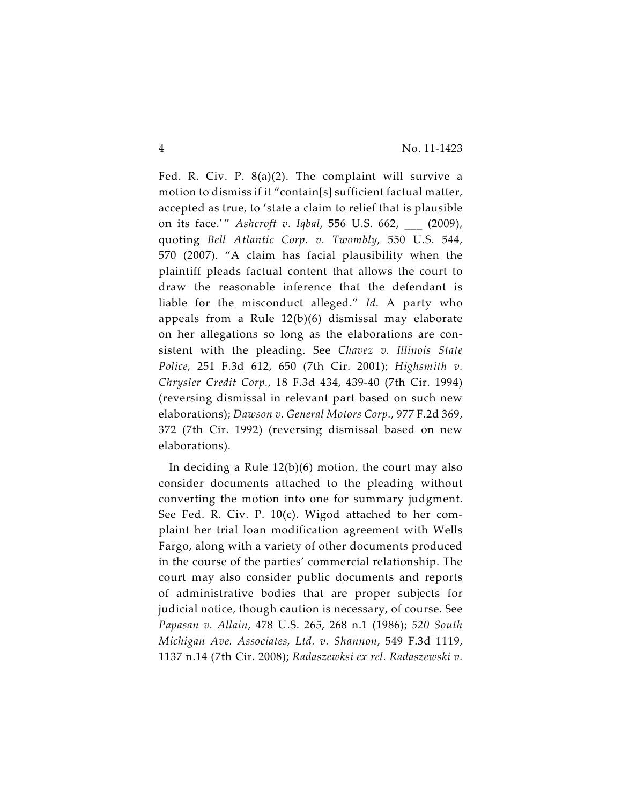Fed. R. Civ. P. 8(a)(2). The complaint will survive a motion to dismiss if it "contain[s] sufficient factual matter, accepted as true, to 'state a claim to relief that is plausible on its face.'" *Ashcroft v. Iqbal*, 556 U.S. 662, (2009), quoting *Bell Atlantic Corp. v. Twombly*, 550 U.S. 544, 570 (2007). "A claim has facial plausibility when the plaintiff pleads factual content that allows the court to draw the reasonable inference that the defendant is liable for the misconduct alleged." *Id*. A party who appeals from a Rule 12(b)(6) dismissal may elaborate on her allegations so long as the elaborations are consistent with the pleading. See *Chavez v. Illinois State Police*, 251 F.3d 612, 650 (7th Cir. 2001); *Highsmith v. Chrysler Credit Corp.*, 18 F.3d 434, 439-40 (7th Cir. 1994) (reversing dismissal in relevant part based on such new elaborations); *Dawson v. General Motors Corp.*, 977 F.2d 369, 372 (7th Cir. 1992) (reversing dismissal based on new elaborations).

In deciding a Rule  $12(b)(6)$  motion, the court may also consider documents attached to the pleading without converting the motion into one for summary judgment. See Fed. R. Civ. P. 10(c). Wigod attached to her complaint her trial loan modification agreement with Wells Fargo, along with a variety of other documents produced in the course of the parties' commercial relationship. The court may also consider public documents and reports of administrative bodies that are proper subjects for judicial notice, though caution is necessary, of course. See *Papasan v. Allain*, 478 U.S. 265, 268 n.1 (1986); *520 South Michigan Ave. Associates, Ltd. v. Shannon*, 549 F.3d 1119, 1137 n.14 (7th Cir. 2008); *Radaszewksi ex rel. Radaszewski v.*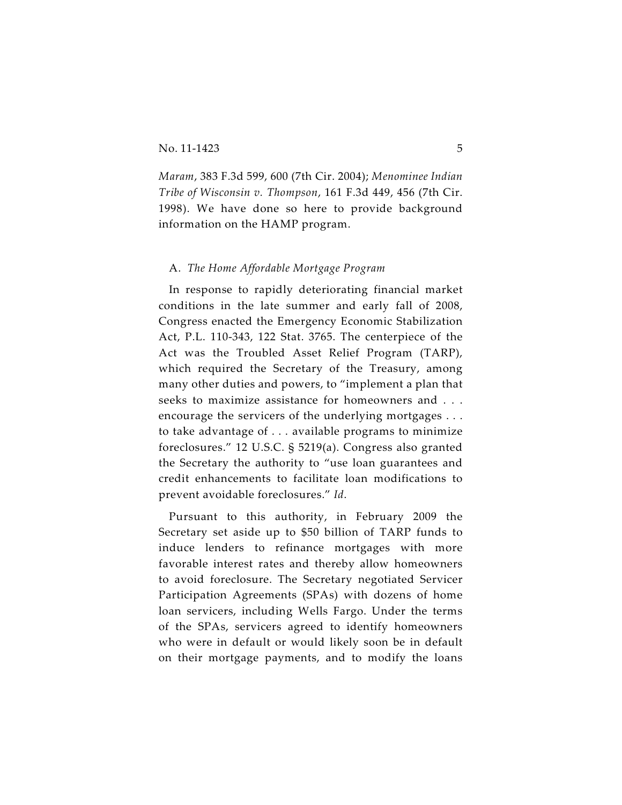*Maram*, 383 F.3d 599, 600 (7th Cir. 2004); *Menominee Indian Tribe of Wisconsin v. Thompson*, 161 F.3d 449, 456 (7th Cir. 1998). We have done so here to provide background information on the HAMP program.

# A. *The Home Affordable Mortgage Program*

In response to rapidly deteriorating financial market conditions in the late summer and early fall of 2008, Congress enacted the Emergency Economic Stabilization Act, P.L. 110-343, 122 Stat. 3765. The centerpiece of the Act was the Troubled Asset Relief Program (TARP), which required the Secretary of the Treasury, among many other duties and powers, to "implement a plan that seeks to maximize assistance for homeowners and . . . encourage the servicers of the underlying mortgages . . . to take advantage of . . . available programs to minimize foreclosures." 12 U.S.C. § 5219(a). Congress also granted the Secretary the authority to "use loan guarantees and credit enhancements to facilitate loan modifications to prevent avoidable foreclosures." *Id*.

Pursuant to this authority, in February 2009 the Secretary set aside up to \$50 billion of TARP funds to induce lenders to refinance mortgages with more favorable interest rates and thereby allow homeowners to avoid foreclosure. The Secretary negotiated Servicer Participation Agreements (SPAs) with dozens of home loan servicers, including Wells Fargo. Under the terms of the SPAs, servicers agreed to identify homeowners who were in default or would likely soon be in default on their mortgage payments, and to modify the loans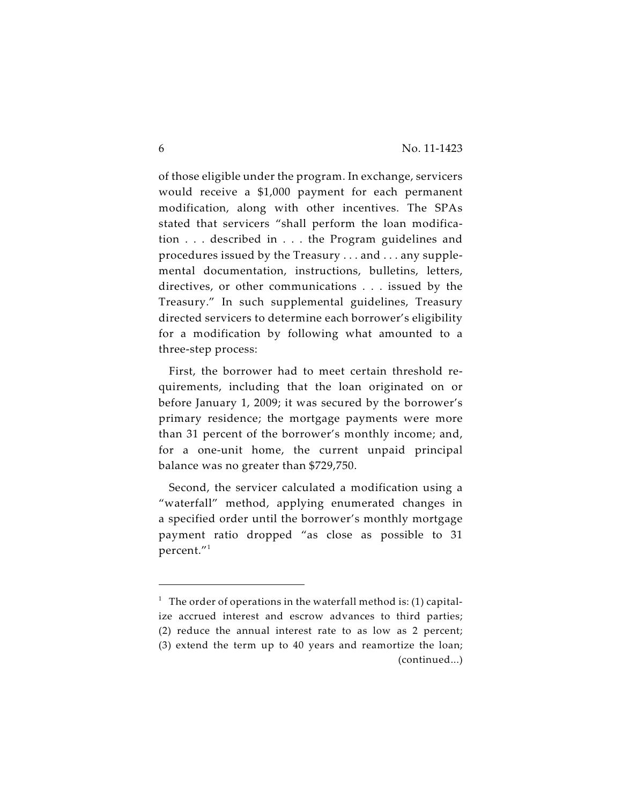of those eligible under the program. In exchange, servicers would receive a \$1,000 payment for each permanent modification, along with other incentives. The SPAs stated that servicers "shall perform the loan modification . . . described in . . . the Program guidelines and procedures issued by the Treasury . . . and . . . any supplemental documentation, instructions, bulletins, letters, directives, or other communications . . . issued by the Treasury." In such supplemental guidelines, Treasury directed servicers to determine each borrower's eligibility for a modification by following what amounted to a three-step process:

First, the borrower had to meet certain threshold requirements, including that the loan originated on or before January 1, 2009; it was secured by the borrower's primary residence; the mortgage payments were more than 31 percent of the borrower's monthly income; and, for a one-unit home, the current unpaid principal balance was no greater than \$729,750.

Second, the servicer calculated a modification using a "waterfall" method, applying enumerated changes in a specified order until the borrower's monthly mortgage payment ratio dropped "as close as possible to 31 percent."<sup>1</sup>

<sup>&</sup>lt;sup>1</sup> The order of operations in the waterfall method is: (1) capitalize accrued interest and escrow advances to third parties; (2) reduce the annual interest rate to as low as 2 percent; (3) extend the term up to 40 years and reamortize the loan; (continued...)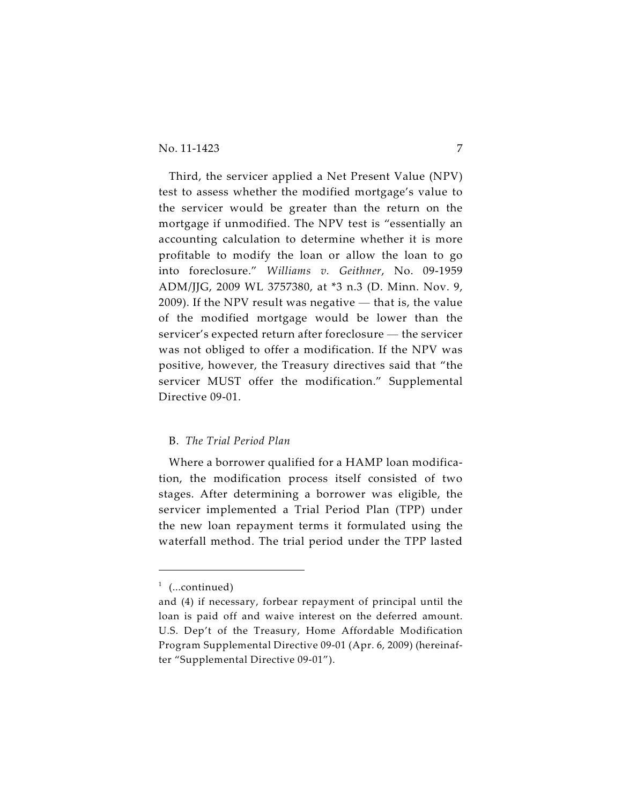Third, the servicer applied a Net Present Value (NPV) test to assess whether the modified mortgage's value to the servicer would be greater than the return on the mortgage if unmodified. The NPV test is "essentially an accounting calculation to determine whether it is more profitable to modify the loan or allow the loan to go into foreclosure." *Williams v. Geithner*, No. 09-1959 ADM/JJG, 2009 WL 3757380, at \*3 n.3 (D. Minn. Nov. 9, 2009). If the NPV result was negative — that is, the value of the modified mortgage would be lower than the servicer's expected return after foreclosure — the servicer was not obliged to offer a modification. If the NPV was positive, however, the Treasury directives said that "the servicer MUST offer the modification." Supplemental Directive 09-01.

# B. *The Trial Period Plan*

Where a borrower qualified for a HAMP loan modification, the modification process itself consisted of two stages. After determining a borrower was eligible, the servicer implemented a Trial Period Plan (TPP) under the new loan repayment terms it formulated using the waterfall method. The trial period under the TPP lasted

 $1$  (...continued)

and (4) if necessary, forbear repayment of principal until the loan is paid off and waive interest on the deferred amount. U.S. Dep't of the Treasury, Home Affordable Modification Program Supplemental Directive 09-01 (Apr. 6, 2009) (hereinafter "Supplemental Directive 09-01").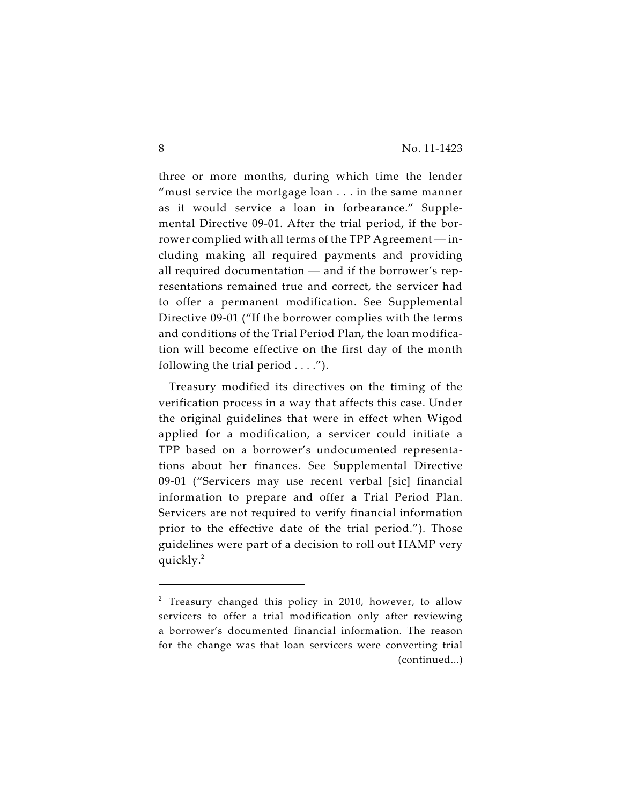three or more months, during which time the lender "must service the mortgage loan . . . in the same manner as it would service a loan in forbearance." Supplemental Directive 09-01. After the trial period, if the borrower complied with all terms of the TPP Agreement — including making all required payments and providing all required documentation — and if the borrower's representations remained true and correct, the servicer had to offer a permanent modification. See Supplemental Directive 09-01 ("If the borrower complies with the terms and conditions of the Trial Period Plan, the loan modification will become effective on the first day of the month following the trial period  $\dots$ .").

Treasury modified its directives on the timing of the verification process in a way that affects this case. Under the original guidelines that were in effect when Wigod applied for a modification, a servicer could initiate a TPP based on a borrower's undocumented representations about her finances. See Supplemental Directive 09-01 ("Servicers may use recent verbal [sic] financial information to prepare and offer a Trial Period Plan. Servicers are not required to verify financial information prior to the effective date of the trial period."). Those guidelines were part of a decision to roll out HAMP very quickly.<sup>2</sup>

 $2$  Treasury changed this policy in 2010, however, to allow servicers to offer a trial modification only after reviewing a borrower's documented financial information. The reason for the change was that loan servicers were converting trial (continued...)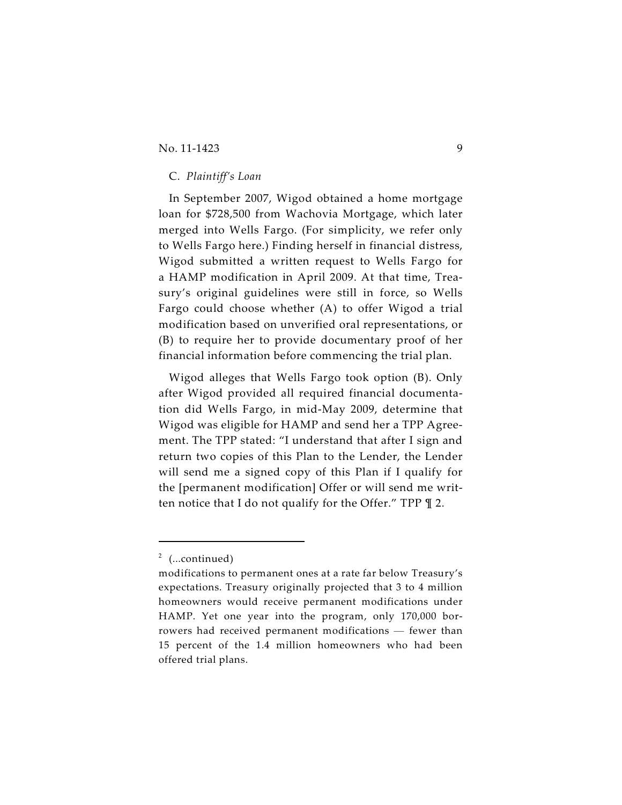# C. *Plaintiff's Loan*

In September 2007, Wigod obtained a home mortgage loan for \$728,500 from Wachovia Mortgage, which later merged into Wells Fargo. (For simplicity, we refer only to Wells Fargo here.) Finding herself in financial distress, Wigod submitted a written request to Wells Fargo for a HAMP modification in April 2009. At that time, Treasury's original guidelines were still in force, so Wells Fargo could choose whether (A) to offer Wigod a trial modification based on unverified oral representations, or (B) to require her to provide documentary proof of her financial information before commencing the trial plan.

Wigod alleges that Wells Fargo took option (B). Only after Wigod provided all required financial documentation did Wells Fargo, in mid-May 2009, determine that Wigod was eligible for HAMP and send her a TPP Agreement. The TPP stated: "I understand that after I sign and return two copies of this Plan to the Lender, the Lender will send me a signed copy of this Plan if I qualify for the [permanent modification] Offer or will send me written notice that I do not qualify for the Offer." TPP ¶ 2.

 $2$  (...continued)

modifications to permanent ones at a rate far below Treasury's expectations. Treasury originally projected that 3 to 4 million homeowners would receive permanent modifications under HAMP. Yet one year into the program, only 170,000 borrowers had received permanent modifications — fewer than 15 percent of the 1.4 million homeowners who had been offered trial plans.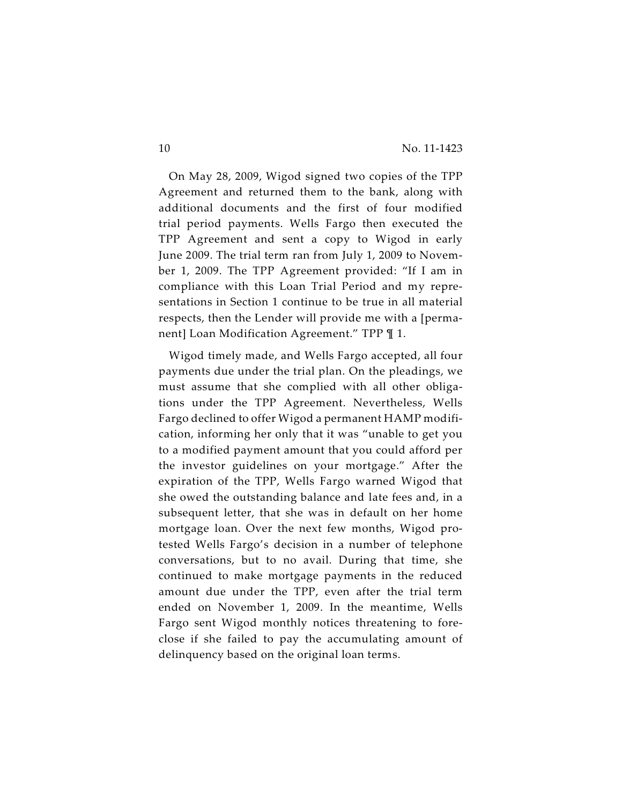On May 28, 2009, Wigod signed two copies of the TPP Agreement and returned them to the bank, along with additional documents and the first of four modified trial period payments. Wells Fargo then executed the TPP Agreement and sent a copy to Wigod in early June 2009. The trial term ran from July 1, 2009 to November 1, 2009. The TPP Agreement provided: "If I am in compliance with this Loan Trial Period and my representations in Section 1 continue to be true in all material respects, then the Lender will provide me with a [permanent] Loan Modification Agreement." TPP ¶ 1.

Wigod timely made, and Wells Fargo accepted, all four payments due under the trial plan. On the pleadings, we must assume that she complied with all other obligations under the TPP Agreement. Nevertheless, Wells Fargo declined to offer Wigod a permanent HAMP modification, informing her only that it was "unable to get you to a modified payment amount that you could afford per the investor guidelines on your mortgage." After the expiration of the TPP, Wells Fargo warned Wigod that she owed the outstanding balance and late fees and, in a subsequent letter, that she was in default on her home mortgage loan. Over the next few months, Wigod protested Wells Fargo's decision in a number of telephone conversations, but to no avail. During that time, she continued to make mortgage payments in the reduced amount due under the TPP, even after the trial term ended on November 1, 2009. In the meantime, Wells Fargo sent Wigod monthly notices threatening to foreclose if she failed to pay the accumulating amount of delinquency based on the original loan terms.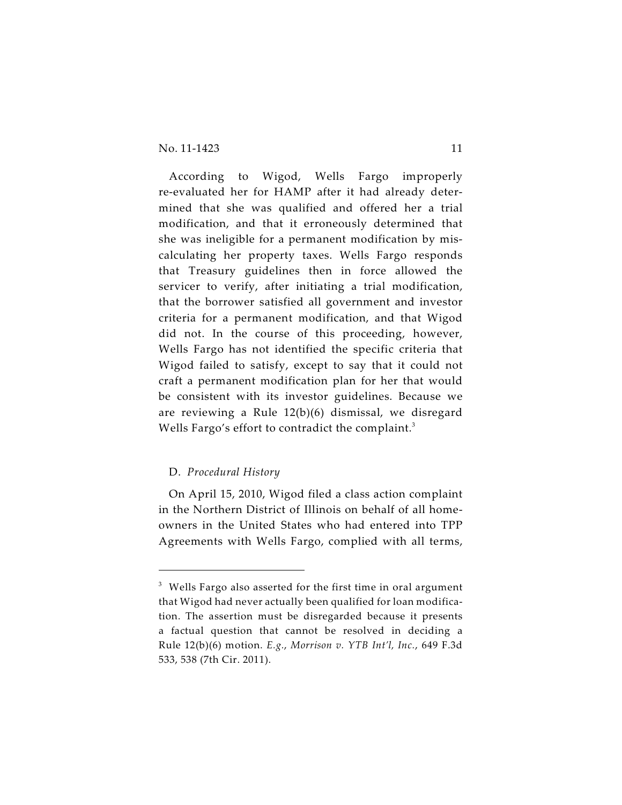According to Wigod, Wells Fargo improperly re-evaluated her for HAMP after it had already determined that she was qualified and offered her a trial modification, and that it erroneously determined that she was ineligible for a permanent modification by miscalculating her property taxes. Wells Fargo responds that Treasury guidelines then in force allowed the servicer to verify, after initiating a trial modification, that the borrower satisfied all government and investor criteria for a permanent modification, and that Wigod did not. In the course of this proceeding, however, Wells Fargo has not identified the specific criteria that Wigod failed to satisfy, except to say that it could not craft a permanent modification plan for her that would be consistent with its investor guidelines. Because we are reviewing a Rule 12(b)(6) dismissal, we disregard Wells Fargo's effort to contradict the complaint.<sup>3</sup>

# D. *Procedural History*

On April 15, 2010, Wigod filed a class action complaint in the Northern District of Illinois on behalf of all homeowners in the United States who had entered into TPP Agreements with Wells Fargo, complied with all terms,

 $^3$  Wells Fargo also asserted for the first time in oral argument that Wigod had never actually been qualified for loan modification. The assertion must be disregarded because it presents a factual question that cannot be resolved in deciding a Rule 12(b)(6) motion. *E.g.*, *Morrison v. YTB Int'l, Inc.*, 649 F.3d 533, 538 (7th Cir. 2011).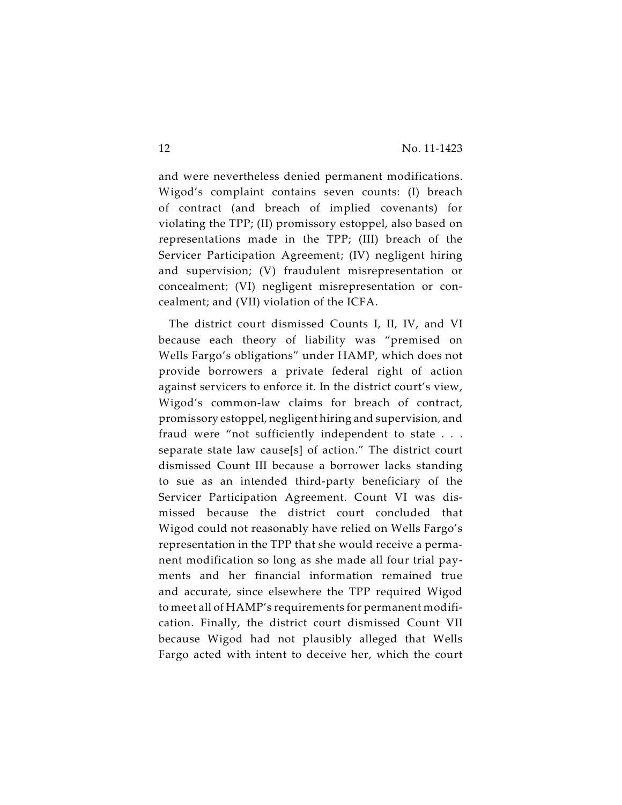and were nevertheless denied permanent modifications. Wigod's complaint contains seven counts: (I) breach of contract (and breach of implied covenants) for violating the TPP; (II) promissory estoppel, also based on representations made in the TPP; (III) breach of the Servicer Participation Agreement; (IV) negligent hiring and supervision; (V) fraudulent misrepresentation or concealment; (VI) negligent misrepresentation or concealment; and (VII) violation of the ICFA.

The district court dismissed Counts I, II, IV, and VI because each theory of liability was "premised on Wells Fargo's obligations" under HAMP, which does not provide borrowers a private federal right of action against servicers to enforce it. In the district court's view, Wigod's common-law claims for breach of contract, promissory estoppel, negligent hiring and supervision, and fraud were "not sufficiently independent to state . . . separate state law cause[s] of action." The district court dismissed Count III because a borrower lacks standing to sue as an intended third-party beneficiary of the Servicer Participation Agreement. Count VI was dismissed because the district court concluded that Wigod could not reasonably have relied on Wells Fargo's representation in the TPP that she would receive a permanent modification so long as she made all four trial payments and her financial information remained true and accurate, since elsewhere the TPP required Wigod to meet all of HAMP's requirements for permanent modification. Finally, the district court dismissed Count VII because Wigod had not plausibly alleged that Wells Fargo acted with intent to deceive her, which the court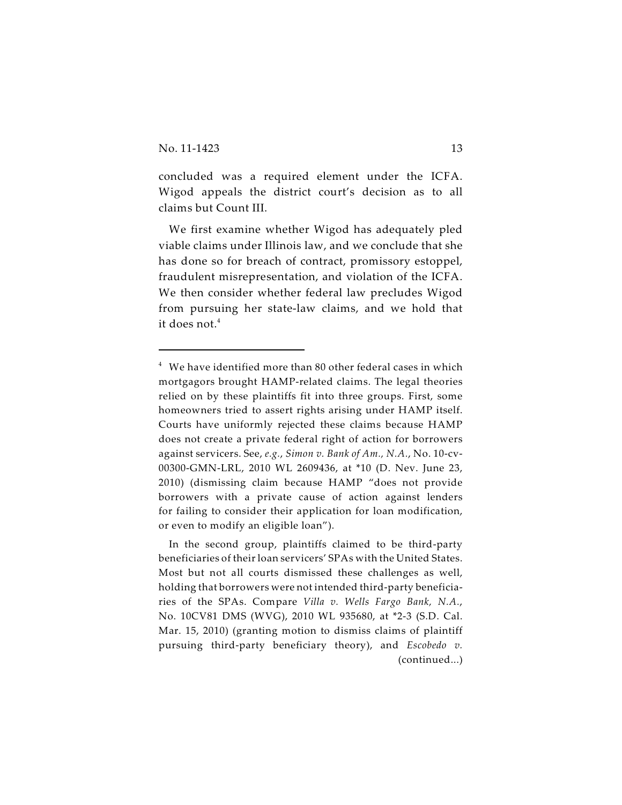concluded was a required element under the ICFA. Wigod appeals the district court's decision as to all claims but Count III.

We first examine whether Wigod has adequately pled viable claims under Illinois law, and we conclude that she has done so for breach of contract, promissory estoppel, fraudulent misrepresentation, and violation of the ICFA. We then consider whether federal law precludes Wigod from pursuing her state-law claims, and we hold that it does not.<sup>4</sup>

 $^4\;$  We have identified more than 80 other federal cases in which mortgagors brought HAMP-related claims. The legal theories relied on by these plaintiffs fit into three groups. First, some homeowners tried to assert rights arising under HAMP itself. Courts have uniformly rejected these claims because HAMP does not create a private federal right of action for borrowers against servicers. See, *e.g.*, *Simon v. Bank of Am., N.A.*, No. 10-cv-00300-GMN-LRL, 2010 WL 2609436, at \*10 (D. Nev. June 23, 2010) (dismissing claim because HAMP "does not provide borrowers with a private cause of action against lenders for failing to consider their application for loan modification, or even to modify an eligible loan").

In the second group, plaintiffs claimed to be third-party beneficiaries of their loan servicers' SPAs with the United States. Most but not all courts dismissed these challenges as well, holding that borrowers were not intended third-party beneficiaries of the SPAs. Compare *Villa v. Wells Fargo Bank, N.A.*, No. 10CV81 DMS (WVG), 2010 WL 935680, at \*2-3 (S.D. Cal. Mar. 15, 2010) (granting motion to dismiss claims of plaintiff pursuing third-party beneficiary theory), and *Escobedo v.* (continued...)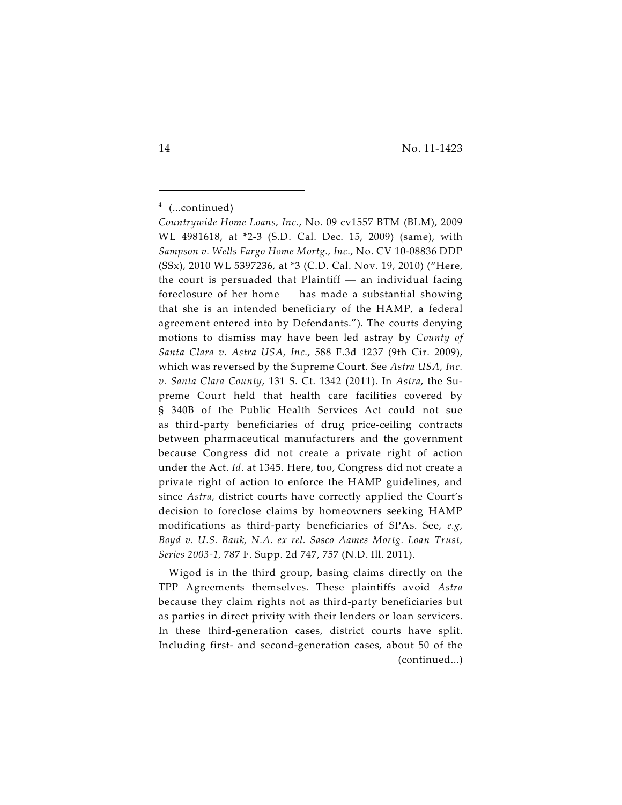Wigod is in the third group, basing claims directly on the TPP Agreements themselves. These plaintiffs avoid *Astra* because they claim rights not as third-party beneficiaries but as parties in direct privity with their lenders or loan servicers. In these third-generation cases, district courts have split. Including first- and second-generation cases, about 50 of the (continued...)

 $4$  (...continued)

*Countrywide Home Loans, Inc*., No. 09 cv1557 BTM (BLM), 2009 WL 4981618, at \*2-3 (S.D. Cal. Dec. 15, 2009) (same), with *Sampson v. Wells Fargo Home Mortg., Inc.*, No. CV 10-08836 DDP (SSx), 2010 WL 5397236, at \*3 (C.D. Cal. Nov. 19, 2010) ("Here, the court is persuaded that Plaintiff  $-$  an individual facing foreclosure of her home — has made a substantial showing that she is an intended beneficiary of the HAMP, a federal agreement entered into by Defendants."). The courts denying motions to dismiss may have been led astray by *County of Santa Clara v. Astra USA, Inc.*, 588 F.3d 1237 (9th Cir. 2009), which was reversed by the Supreme Court. See *Astra USA, Inc. v. Santa Clara County*, 131 S. Ct. 1342 (2011). In *Astra*, the Supreme Court held that health care facilities covered by § 340B of the Public Health Services Act could not sue as third-party beneficiaries of drug price-ceiling contracts between pharmaceutical manufacturers and the government because Congress did not create a private right of action under the Act. *Id*. at 1345. Here, too, Congress did not create a private right of action to enforce the HAMP guidelines, and since *Astra*, district courts have correctly applied the Court's decision to foreclose claims by homeowners seeking HAMP modifications as third-party beneficiaries of SPAs. See, *e.g*, *Boyd v. U.S. Bank, N.A. ex rel. Sasco Aames Mortg. Loan Trust, Series 2003-1,* 787 F. Supp. 2d 747, 757 (N.D. Ill. 2011).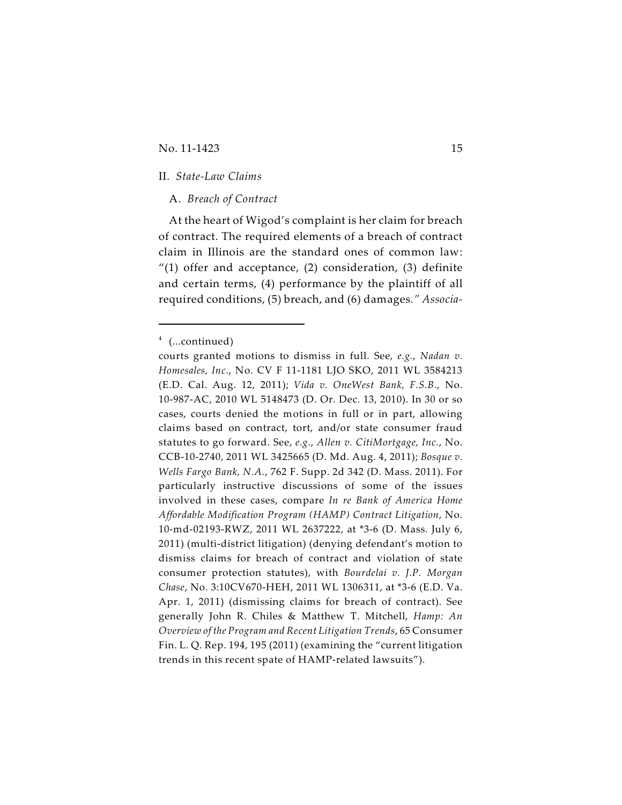# II. *State-Law Claims*

# A. *Breach of Contract*

At the heart of Wigod's complaint is her claim for breach of contract. The required elements of a breach of contract claim in Illinois are the standard ones of common law:  $''(1)$  offer and acceptance, (2) consideration, (3) definite and certain terms, (4) performance by the plaintiff of all required conditions, (5) breach, and (6) damages*." Associa-*

 $4$  (...continued)

courts granted motions to dismiss in full. See, *e.g.*, *Nadan v. Homesales, Inc*., No. CV F 11-1181 LJO SKO, 2011 WL 3584213 (E.D. Cal. Aug. 12, 2011); *Vida v. OneWest Bank, F.S.B.*, No. 10-987-AC, 2010 WL 5148473 (D. Or. Dec. 13, 2010). In 30 or so cases, courts denied the motions in full or in part, allowing claims based on contract, tort, and/or state consumer fraud statutes to go forward. See, *e.g.*, *Allen v. CitiMortgage, Inc.*, No. CCB-10-2740, 2011 WL 3425665 (D. Md. Aug. 4, 2011); *Bosque v. Wells Fargo Bank, N.A.*, 762 F. Supp. 2d 342 (D. Mass. 2011). For particularly instructive discussions of some of the issues involved in these cases, compare *In re Bank of America Home Affordable Modification Program (HAMP) Contract Litigation*, No. 10-md-02193-RWZ, 2011 WL 2637222, at \*3-6 (D. Mass. July 6, 2011) (multi-district litigation) (denying defendant's motion to dismiss claims for breach of contract and violation of state consumer protection statutes), with *Bourdelai v. J.P. Morgan Chase*, No. 3:10CV670-HEH, 2011 WL 1306311, at \*3-6 (E.D. Va. Apr. 1, 2011) (dismissing claims for breach of contract). See generally John R. Chiles & Matthew T. Mitchell, *Hamp: An Overview of the Program and Recent Litigation Trends*, 65 Consumer Fin. L. Q. Rep. 194, 195 (2011) (examining the "current litigation trends in this recent spate of HAMP-related lawsuits").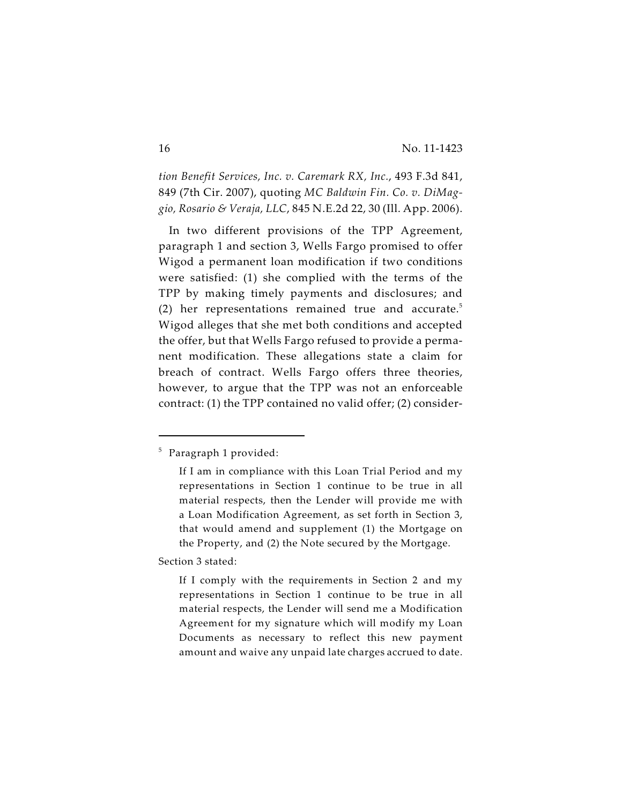*tion Benefit Services, Inc. v. Caremark RX, Inc.*, 493 F.3d 841, 849 (7th Cir. 2007), quoting *MC Baldwin Fin. Co. v. DiMaggio, Rosario & Veraja, LLC*, 845 N.E.2d 22, 30 (Ill. App. 2006).

In two different provisions of the TPP Agreement, paragraph 1 and section 3, Wells Fargo promised to offer Wigod a permanent loan modification if two conditions were satisfied: (1) she complied with the terms of the TPP by making timely payments and disclosures; and (2) her representations remained true and accurate. 5 Wigod alleges that she met both conditions and accepted the offer, but that Wells Fargo refused to provide a permanent modification. These allegations state a claim for breach of contract. Wells Fargo offers three theories, however, to argue that the TPP was not an enforceable contract: (1) the TPP contained no valid offer; (2) consider-

Section 3 stated:

<sup>&</sup>lt;sup>5</sup> Paragraph 1 provided:

If I am in compliance with this Loan Trial Period and my representations in Section 1 continue to be true in all material respects, then the Lender will provide me with a Loan Modification Agreement, as set forth in Section 3, that would amend and supplement (1) the Mortgage on the Property, and (2) the Note secured by the Mortgage.

If I comply with the requirements in Section 2 and my representations in Section 1 continue to be true in all material respects, the Lender will send me a Modification Agreement for my signature which will modify my Loan Documents as necessary to reflect this new payment amount and waive any unpaid late charges accrued to date.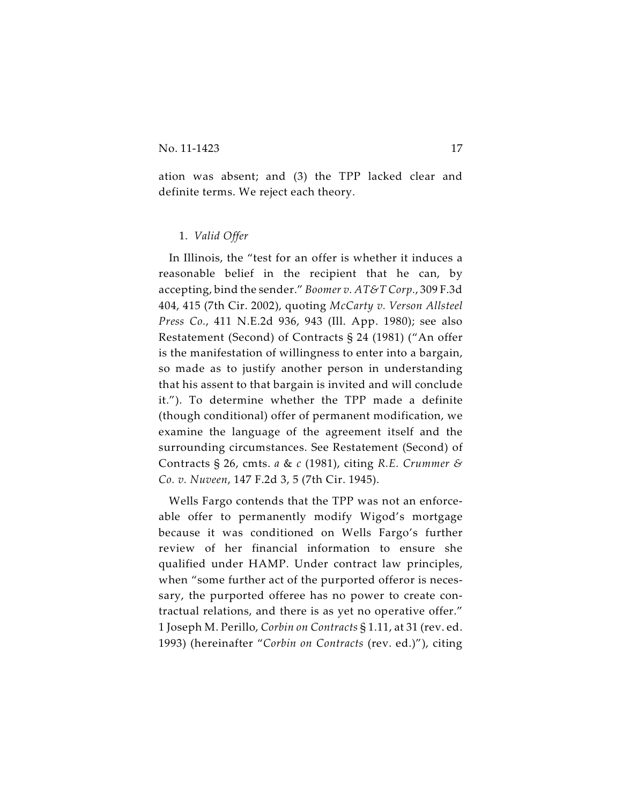ation was absent; and (3) the TPP lacked clear and definite terms. We reject each theory.

# 1. *Valid Offer*

In Illinois, the "test for an offer is whether it induces a reasonable belief in the recipient that he can, by accepting, bind the sender." *Boomer v. AT&T Corp.*, 309 F.3d 404, 415 (7th Cir. 2002), quoting *McCarty v. Verson Allsteel Press Co.*, 411 N.E.2d 936, 943 (Ill. App. 1980); see also Restatement (Second) of Contracts § 24 (1981) ("An offer is the manifestation of willingness to enter into a bargain, so made as to justify another person in understanding that his assent to that bargain is invited and will conclude it."). To determine whether the TPP made a definite (though conditional) offer of permanent modification, we examine the language of the agreement itself and the surrounding circumstances. See Restatement (Second) of Contracts § 26, cmts. *a* & *c* (1981), citing *R.E. Crummer & Co. v. Nuveen*, 147 F.2d 3, 5 (7th Cir. 1945).

Wells Fargo contends that the TPP was not an enforceable offer to permanently modify Wigod's mortgage because it was conditioned on Wells Fargo's further review of her financial information to ensure she qualified under HAMP. Under contract law principles, when "some further act of the purported offeror is necessary, the purported offeree has no power to create contractual relations, and there is as yet no operative offer." 1 Joseph M. Perillo, *Corbin on Contracts* § 1.11, at 31 (rev. ed. 1993) (hereinafter "*Corbin on Contracts* (rev. ed.)"), citing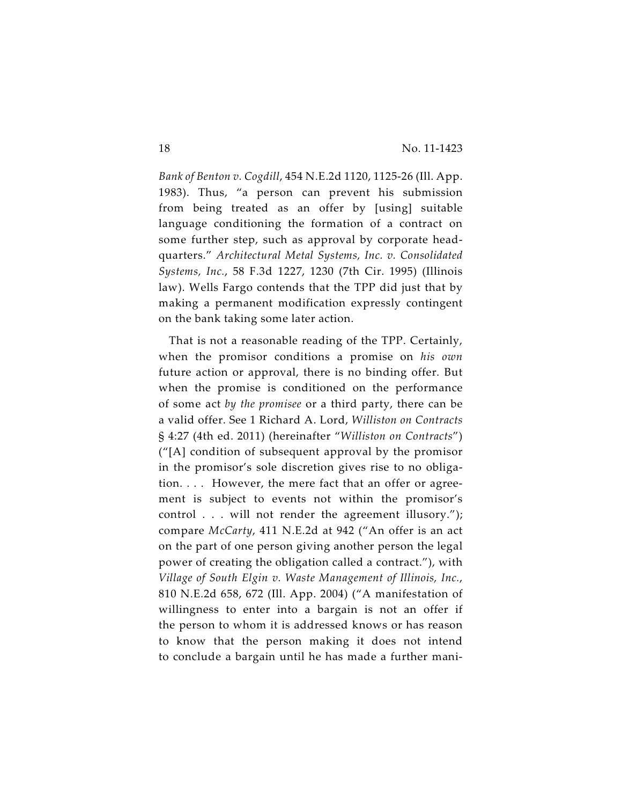*Bank of Benton v. Cogdill*, 454 N.E.2d 1120, 1125-26 (Ill. App. 1983). Thus, "a person can prevent his submission from being treated as an offer by [using] suitable language conditioning the formation of a contract on some further step, such as approval by corporate headquarters." *Architectural Metal Systems, Inc. v. Consolidated Systems, Inc.*, 58 F.3d 1227, 1230 (7th Cir. 1995) (Illinois law). Wells Fargo contends that the TPP did just that by making a permanent modification expressly contingent on the bank taking some later action.

That is not a reasonable reading of the TPP. Certainly, when the promisor conditions a promise on *his own* future action or approval, there is no binding offer. But when the promise is conditioned on the performance of some act *by the promisee* or a third party, there can be a valid offer. See 1 Richard A. Lord, *Williston on Contracts* § 4:27 (4th ed. 2011) (hereinafter "*Williston on Contracts*") ("[A] condition of subsequent approval by the promisor in the promisor's sole discretion gives rise to no obligation. . . . However, the mere fact that an offer or agreement is subject to events not within the promisor's control . . . will not render the agreement illusory."); compare *McCarty*, 411 N.E.2d at 942 ("An offer is an act on the part of one person giving another person the legal power of creating the obligation called a contract."), with *Village of South Elgin v. Waste Management of Illinois, Inc.*, 810 N.E.2d 658, 672 (Ill. App. 2004) ("A manifestation of willingness to enter into a bargain is not an offer if the person to whom it is addressed knows or has reason to know that the person making it does not intend to conclude a bargain until he has made a further mani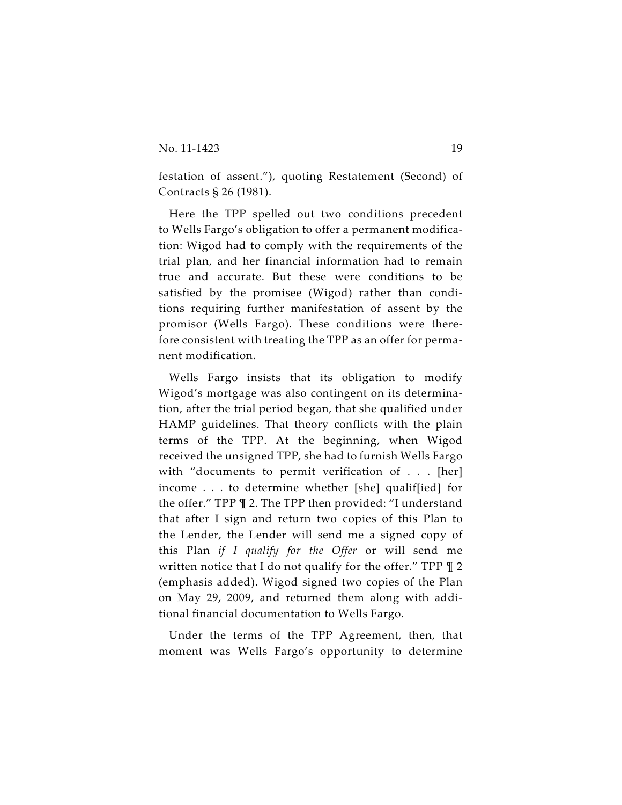festation of assent."), quoting Restatement (Second) of Contracts § 26 (1981).

Here the TPP spelled out two conditions precedent to Wells Fargo's obligation to offer a permanent modification: Wigod had to comply with the requirements of the trial plan, and her financial information had to remain true and accurate. But these were conditions to be satisfied by the promisee (Wigod) rather than conditions requiring further manifestation of assent by the promisor (Wells Fargo). These conditions were therefore consistent with treating the TPP as an offer for permanent modification.

Wells Fargo insists that its obligation to modify Wigod's mortgage was also contingent on its determination, after the trial period began, that she qualified under HAMP guidelines. That theory conflicts with the plain terms of the TPP. At the beginning, when Wigod received the unsigned TPP, she had to furnish Wells Fargo with "documents to permit verification of . . . [her] income . . . to determine whether [she] qualif[ied] for the offer." TPP ¶ 2. The TPP then provided: "I understand that after I sign and return two copies of this Plan to the Lender, the Lender will send me a signed copy of this Plan *if I qualify for the Offer* or will send me written notice that I do not qualify for the offer." TPP ¶ 2 (emphasis added). Wigod signed two copies of the Plan on May 29, 2009, and returned them along with additional financial documentation to Wells Fargo.

Under the terms of the TPP Agreement, then, that moment was Wells Fargo's opportunity to determine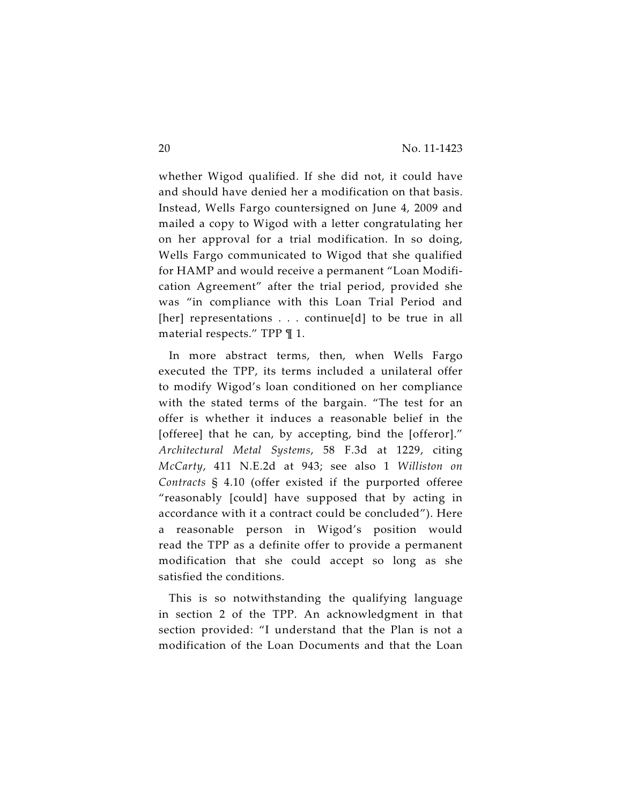whether Wigod qualified. If she did not, it could have and should have denied her a modification on that basis. Instead, Wells Fargo countersigned on June 4, 2009 and mailed a copy to Wigod with a letter congratulating her on her approval for a trial modification. In so doing, Wells Fargo communicated to Wigod that she qualified for HAMP and would receive a permanent "Loan Modification Agreement" after the trial period, provided she was "in compliance with this Loan Trial Period and [her] representations . . . continue[d] to be true in all material respects." TPP ¶ 1.

In more abstract terms, then, when Wells Fargo executed the TPP, its terms included a unilateral offer to modify Wigod's loan conditioned on her compliance with the stated terms of the bargain. "The test for an offer is whether it induces a reasonable belief in the [offeree] that he can, by accepting, bind the [offeror]." *Architectural Metal Systems*, 58 F.3d at 1229, citing *McCarty*, 411 N.E.2d at 943; see also 1 *Williston on Contracts* § 4.10 (offer existed if the purported offeree "reasonably [could] have supposed that by acting in accordance with it a contract could be concluded"). Here a reasonable person in Wigod's position would read the TPP as a definite offer to provide a permanent modification that she could accept so long as she satisfied the conditions.

This is so notwithstanding the qualifying language in section 2 of the TPP. An acknowledgment in that section provided: "I understand that the Plan is not a modification of the Loan Documents and that the Loan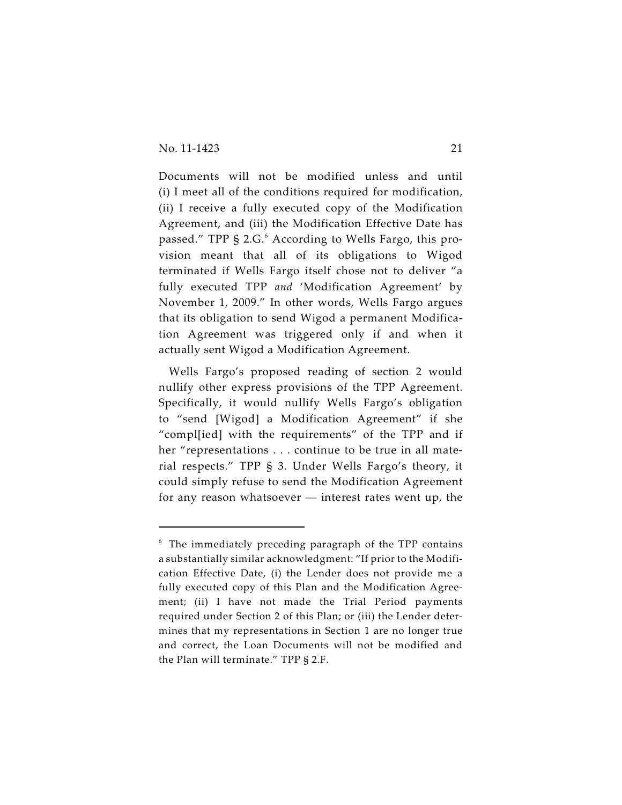Documents will not be modified unless and until (i) I meet all of the conditions required for modification, (ii) I receive a fully executed copy of the Modification Agreement, and (iii) the Modification Effective Date has passed." TPP § 2.G.<sup>6</sup> According to Wells Fargo, this provision meant that all of its obligations to Wigod terminated if Wells Fargo itself chose not to deliver "a fully executed TPP *and* 'Modification Agreement' by November 1, 2009." In other words, Wells Fargo argues that its obligation to send Wigod a permanent Modification Agreement was triggered only if and when it actually sent Wigod a Modification Agreement.

Wells Fargo's proposed reading of section 2 would nullify other express provisions of the TPP Agreement. Specifically, it would nullify Wells Fargo's obligation to "send [Wigod] a Modification Agreement" if she "compl[ied] with the requirements" of the TPP and if her "representations . . . continue to be true in all material respects." TPP § 3. Under Wells Fargo's theory, it could simply refuse to send the Modification Agreement for any reason whatsoever — interest rates went up, the

 $6$  The immediately preceding paragraph of the TPP contains a substantially similar acknowledgment: "If prior to the Modification Effective Date, (i) the Lender does not provide me a fully executed copy of this Plan and the Modification Agreement; (ii) I have not made the Trial Period payments required under Section 2 of this Plan; or (iii) the Lender determines that my representations in Section 1 are no longer true and correct, the Loan Documents will not be modified and the Plan will terminate." TPP § 2.F.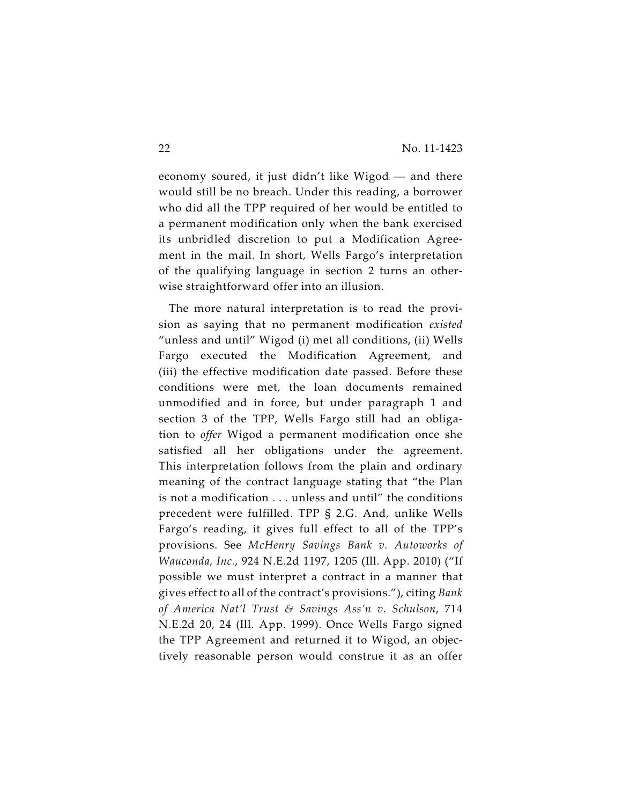economy soured, it just didn't like Wigod — and there would still be no breach. Under this reading, a borrower who did all the TPP required of her would be entitled to a permanent modification only when the bank exercised its unbridled discretion to put a Modification Agreement in the mail. In short, Wells Fargo's interpretation of the qualifying language in section 2 turns an otherwise straightforward offer into an illusion.

The more natural interpretation is to read the provision as saying that no permanent modification *existed* "unless and until" Wigod (i) met all conditions, (ii) Wells Fargo executed the Modification Agreement, and (iii) the effective modification date passed. Before these conditions were met, the loan documents remained unmodified and in force, but under paragraph 1 and section 3 of the TPP, Wells Fargo still had an obligation to *offer* Wigod a permanent modification once she satisfied all her obligations under the agreement. This interpretation follows from the plain and ordinary meaning of the contract language stating that "the Plan is not a modification . . . unless and until" the conditions precedent were fulfilled. TPP § 2.G. And, unlike Wells Fargo's reading, it gives full effect to all of the TPP's provisions. See *McHenry Savings Bank v. Autoworks of Wauconda, Inc.*, 924 N.E.2d 1197, 1205 (Ill. App. 2010) ("If possible we must interpret a contract in a manner that gives effect to all of the contract's provisions."), citing *Bank of America Nat'l Trust & Savings Ass'n v. Schulson*, 714 N.E.2d 20, 24 (Ill. App. 1999). Once Wells Fargo signed the TPP Agreement and returned it to Wigod, an objectively reasonable person would construe it as an offer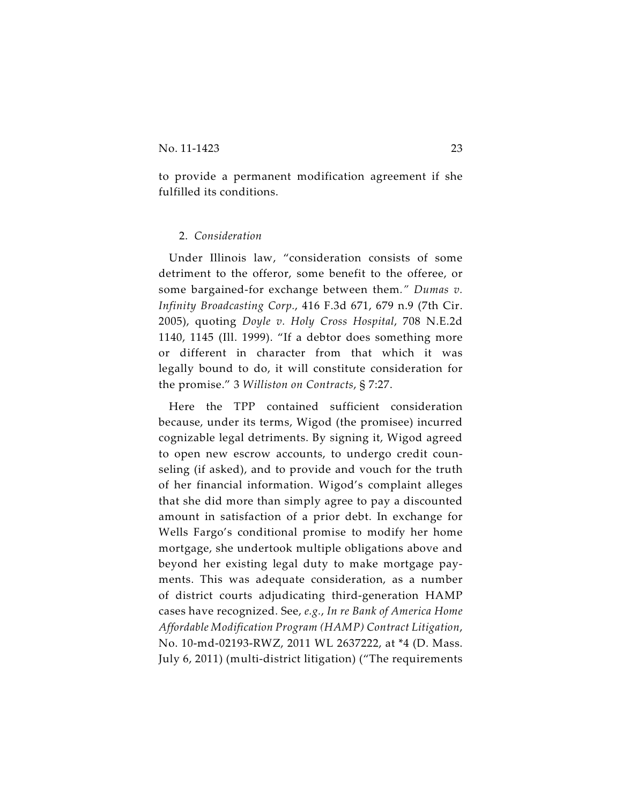to provide a permanent modification agreement if she fulfilled its conditions.

#### 2. *Consideration*

Under Illinois law, "consideration consists of some detriment to the offeror, some benefit to the offeree, or some bargained-for exchange between them*." Dumas v. Infinity Broadcasting Corp.*, 416 F.3d 671, 679 n.9 (7th Cir. 2005), quoting *Doyle v. Holy Cross Hospital*, 708 N.E.2d 1140, 1145 (Ill. 1999). "If a debtor does something more or different in character from that which it was legally bound to do, it will constitute consideration for the promise." 3 *Williston on Contracts*, § 7:27.

Here the TPP contained sufficient consideration because, under its terms, Wigod (the promisee) incurred cognizable legal detriments. By signing it, Wigod agreed to open new escrow accounts, to undergo credit counseling (if asked), and to provide and vouch for the truth of her financial information. Wigod's complaint alleges that she did more than simply agree to pay a discounted amount in satisfaction of a prior debt. In exchange for Wells Fargo's conditional promise to modify her home mortgage, she undertook multiple obligations above and beyond her existing legal duty to make mortgage payments. This was adequate consideration, as a number of district courts adjudicating third-generation HAMP cases have recognized. See, *e.g.*, *In re Bank of America Home Affordable Modification Program (HAMP) Contract Litigation*, No. 10-md-02193-RWZ, 2011 WL 2637222, at \*4 (D. Mass. July 6, 2011) (multi-district litigation) ("The requirements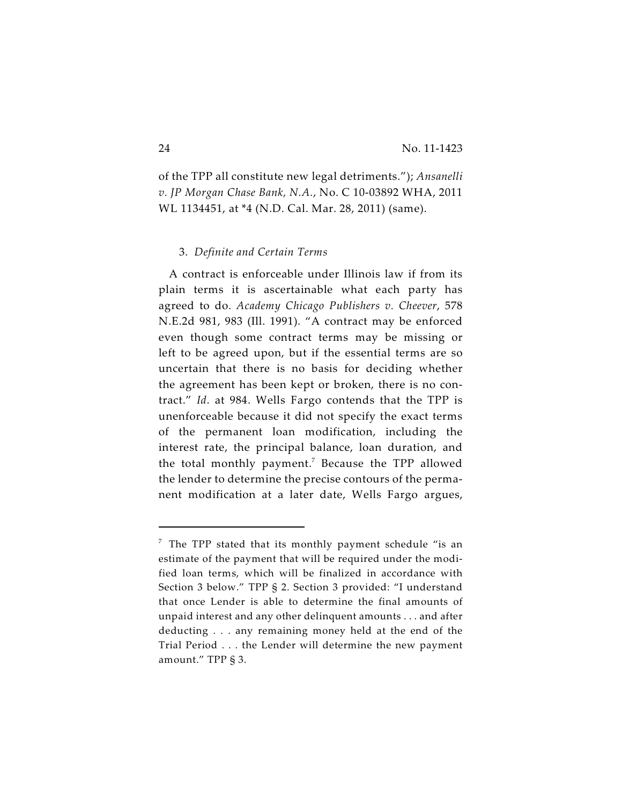of the TPP all constitute new legal detriments."); *Ansanelli v. JP Morgan Chase Bank, N.A.*, No. C 10-03892 WHA, 2011 WL 1134451, at \*4 (N.D. Cal. Mar. 28, 2011) (same).

#### 3. *Definite and Certain Terms*

A contract is enforceable under Illinois law if from its plain terms it is ascertainable what each party has agreed to do. *Academy Chicago Publishers v. Cheever*, 578 N.E.2d 981, 983 (Ill. 1991). "A contract may be enforced even though some contract terms may be missing or left to be agreed upon, but if the essential terms are so uncertain that there is no basis for deciding whether the agreement has been kept or broken, there is no contract." *Id*. at 984. Wells Fargo contends that the TPP is unenforceable because it did not specify the exact terms of the permanent loan modification, including the interest rate, the principal balance, loan duration, and the total monthly payment.<sup>7</sup> Because the TPP allowed the lender to determine the precise contours of the permanent modification at a later date, Wells Fargo argues,

 $\frac{7}{7}$  The TPP stated that its monthly payment schedule "is an estimate of the payment that will be required under the modified loan terms, which will be finalized in accordance with Section 3 below." TPP § 2. Section 3 provided: "I understand that once Lender is able to determine the final amounts of unpaid interest and any other delinquent amounts . . . and after deducting . . . any remaining money held at the end of the Trial Period . . . the Lender will determine the new payment amount." TPP § 3.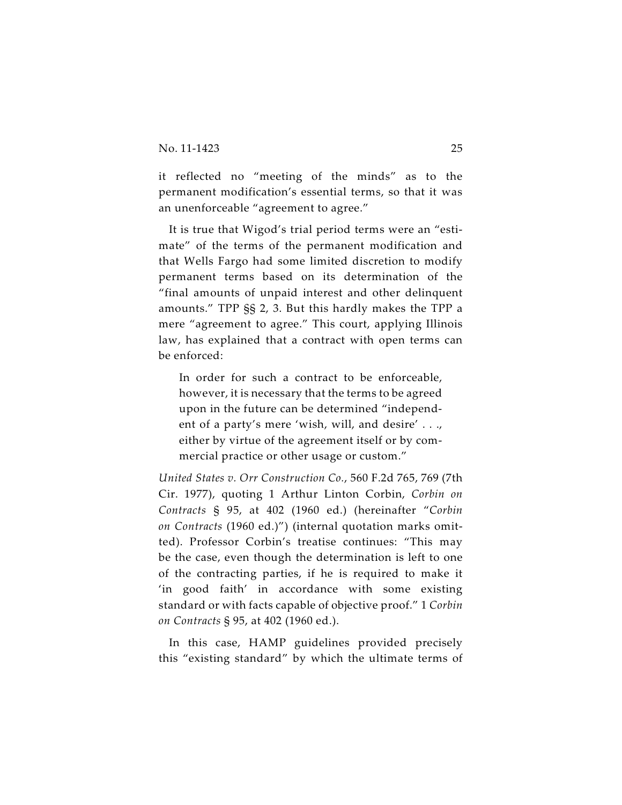it reflected no "meeting of the minds" as to the permanent modification's essential terms, so that it was an unenforceable "agreement to agree."

It is true that Wigod's trial period terms were an "estimate" of the terms of the permanent modification and that Wells Fargo had some limited discretion to modify permanent terms based on its determination of the "final amounts of unpaid interest and other delinquent amounts." TPP §§ 2, 3. But this hardly makes the TPP a mere "agreement to agree." This court, applying Illinois law, has explained that a contract with open terms can be enforced:

In order for such a contract to be enforceable, however, it is necessary that the terms to be agreed upon in the future can be determined "independent of a party's mere 'wish, will, and desire' . . ., either by virtue of the agreement itself or by commercial practice or other usage or custom."

*United States v. Orr Construction Co.*, 560 F.2d 765, 769 (7th Cir. 1977), quoting 1 Arthur Linton Corbin, *Corbin on Contracts* § 95, at 402 (1960 ed.) (hereinafter "*Corbin on Contracts* (1960 ed.)") (internal quotation marks omitted). Professor Corbin's treatise continues: "This may be the case, even though the determination is left to one of the contracting parties, if he is required to make it 'in good faith' in accordance with some existing standard or with facts capable of objective proof." 1 *Corbin on Contracts* § 95, at 402 (1960 ed.).

In this case, HAMP guidelines provided precisely this "existing standard" by which the ultimate terms of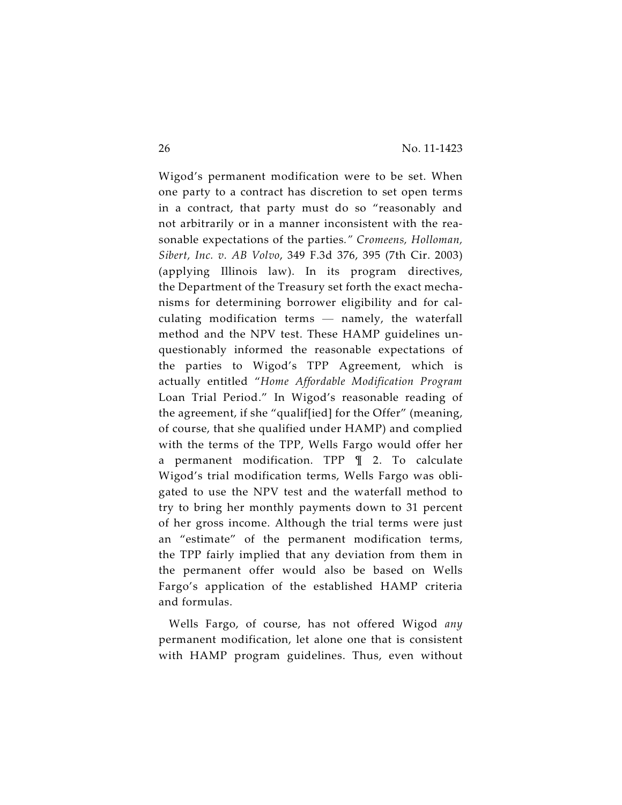Wigod's permanent modification were to be set. When one party to a contract has discretion to set open terms in a contract, that party must do so "reasonably and not arbitrarily or in a manner inconsistent with the reasonable expectations of the parties*." Cromeens, Holloman, Sibert, Inc. v. AB Volvo*, 349 F.3d 376, 395 (7th Cir. 2003) (applying Illinois law). In its program directives, the Department of the Treasury set forth the exact mechanisms for determining borrower eligibility and for calculating modification terms — namely, the waterfall method and the NPV test. These HAMP guidelines unquestionably informed the reasonable expectations of the parties to Wigod's TPP Agreement, which is actually entitled "*Home Affordable Modification Program* Loan Trial Period." In Wigod's reasonable reading of the agreement, if she "qualif[ied] for the Offer" (meaning, of course, that she qualified under HAMP) and complied with the terms of the TPP, Wells Fargo would offer her a permanent modification. TPP ¶ 2. To calculate Wigod's trial modification terms, Wells Fargo was obligated to use the NPV test and the waterfall method to try to bring her monthly payments down to 31 percent of her gross income. Although the trial terms were just an "estimate" of the permanent modification terms, the TPP fairly implied that any deviation from them in the permanent offer would also be based on Wells Fargo's application of the established HAMP criteria and formulas.

Wells Fargo, of course, has not offered Wigod *any* permanent modification, let alone one that is consistent with HAMP program guidelines. Thus, even without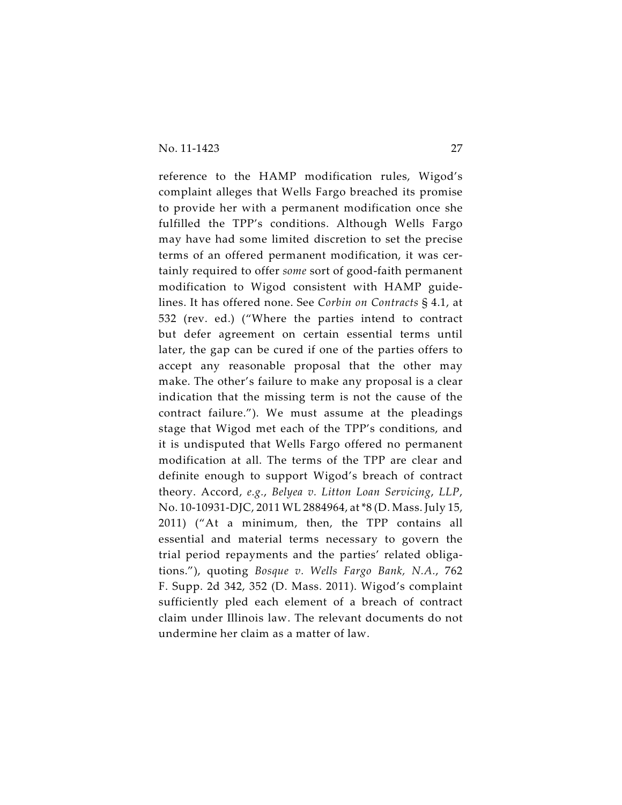reference to the HAMP modification rules, Wigod's complaint alleges that Wells Fargo breached its promise to provide her with a permanent modification once she fulfilled the TPP's conditions. Although Wells Fargo may have had some limited discretion to set the precise terms of an offered permanent modification, it was certainly required to offer *some* sort of good-faith permanent modification to Wigod consistent with HAMP guidelines. It has offered none. See *Corbin on Contracts* § 4.1, at 532 (rev. ed.) ("Where the parties intend to contract but defer agreement on certain essential terms until later, the gap can be cured if one of the parties offers to accept any reasonable proposal that the other may make. The other's failure to make any proposal is a clear indication that the missing term is not the cause of the contract failure."). We must assume at the pleadings stage that Wigod met each of the TPP's conditions, and it is undisputed that Wells Fargo offered no permanent modification at all. The terms of the TPP are clear and definite enough to support Wigod's breach of contract theory. Accord, *e.g.*, *Belyea v. Litton Loan Servicing*, *LLP*, No. 10-10931-DJC, 2011 WL 2884964, at \*8 (D. Mass. July 15, 2011) ("At a minimum, then, the TPP contains all essential and material terms necessary to govern the trial period repayments and the parties' related obligations."), quoting *Bosque v. Wells Fargo Bank, N.A.*, 762 F. Supp. 2d 342, 352 (D. Mass. 2011). Wigod's complaint sufficiently pled each element of a breach of contract claim under Illinois law. The relevant documents do not undermine her claim as a matter of law.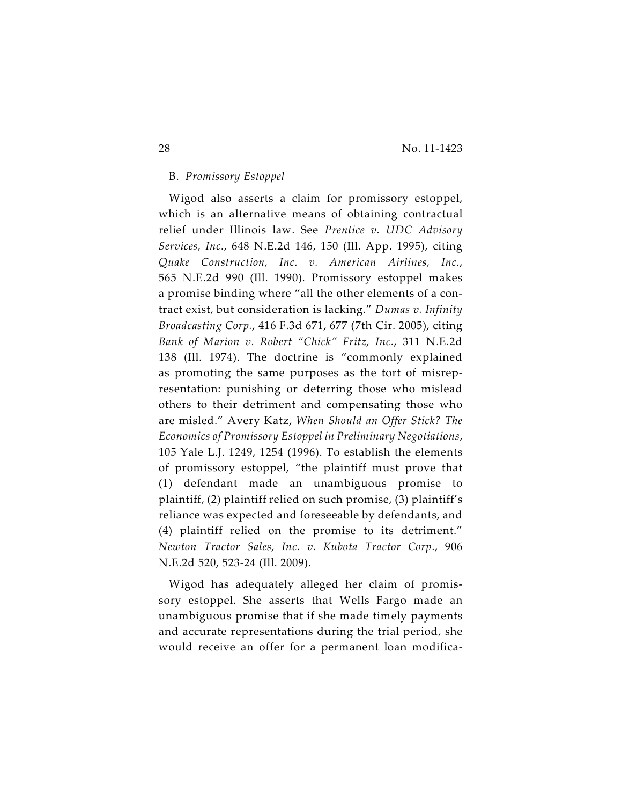# B. *Promissory Estoppel*

Wigod also asserts a claim for promissory estoppel, which is an alternative means of obtaining contractual relief under Illinois law. See *Prentice v. UDC Advisory Services, Inc.*, 648 N.E.2d 146, 150 (Ill. App. 1995), citing *Quake Construction, Inc. v. American Airlines, Inc.*, 565 N.E.2d 990 (Ill. 1990). Promissory estoppel makes a promise binding where "all the other elements of a contract exist, but consideration is lacking." *Dumas v. Infinity Broadcasting Corp.*, 416 F.3d 671, 677 (7th Cir. 2005), citing *Bank of Marion v. Robert "Chick" Fritz, Inc.*, 311 N.E.2d 138 (Ill. 1974). The doctrine is "commonly explained as promoting the same purposes as the tort of misrepresentation: punishing or deterring those who mislead others to their detriment and compensating those who are misled." Avery Katz, *When Should an Offer Stick? The Economics of Promissory Estoppel in Preliminary Negotiations*, 105 Yale L.J. 1249, 1254 (1996). To establish the elements of promissory estoppel, "the plaintiff must prove that (1) defendant made an unambiguous promise to plaintiff, (2) plaintiff relied on such promise, (3) plaintiff's reliance was expected and foreseeable by defendants, and (4) plaintiff relied on the promise to its detriment." *Newton Tractor Sales, Inc. v. Kubota Tractor Corp*., 906 N.E.2d 520, 523-24 (Ill. 2009).

Wigod has adequately alleged her claim of promissory estoppel. She asserts that Wells Fargo made an unambiguous promise that if she made timely payments and accurate representations during the trial period, she would receive an offer for a permanent loan modifica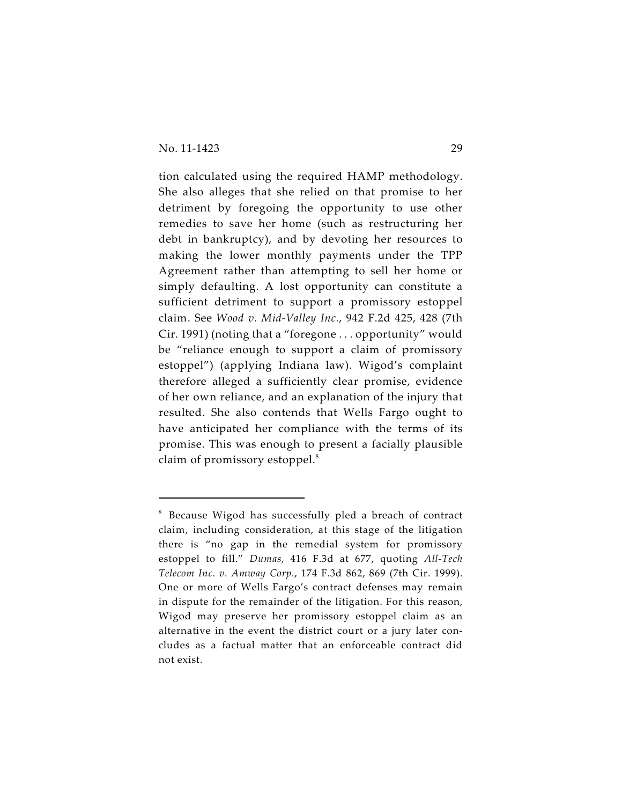tion calculated using the required HAMP methodology. She also alleges that she relied on that promise to her detriment by foregoing the opportunity to use other remedies to save her home (such as restructuring her debt in bankruptcy), and by devoting her resources to making the lower monthly payments under the TPP Agreement rather than attempting to sell her home or simply defaulting. A lost opportunity can constitute a sufficient detriment to support a promissory estoppel claim. See *Wood v. Mid-Valley Inc.*, 942 F.2d 425, 428 (7th Cir. 1991) (noting that a "foregone . . . opportunity" would be "reliance enough to support a claim of promissory estoppel") (applying Indiana law). Wigod's complaint therefore alleged a sufficiently clear promise, evidence of her own reliance, and an explanation of the injury that resulted. She also contends that Wells Fargo ought to have anticipated her compliance with the terms of its promise. This was enough to present a facially plausible claim of promissory estoppel.<sup>8</sup>

 $8$  Because Wigod has successfully pled a breach of contract claim, including consideration, at this stage of the litigation there is "no gap in the remedial system for promissory estoppel to fill." *Dumas*, 416 F.3d at 677, quoting *All-Tech Telecom Inc. v. Amway Corp.*, 174 F.3d 862, 869 (7th Cir. 1999). One or more of Wells Fargo's contract defenses may remain in dispute for the remainder of the litigation. For this reason, Wigod may preserve her promissory estoppel claim as an alternative in the event the district court or a jury later concludes as a factual matter that an enforceable contract did not exist.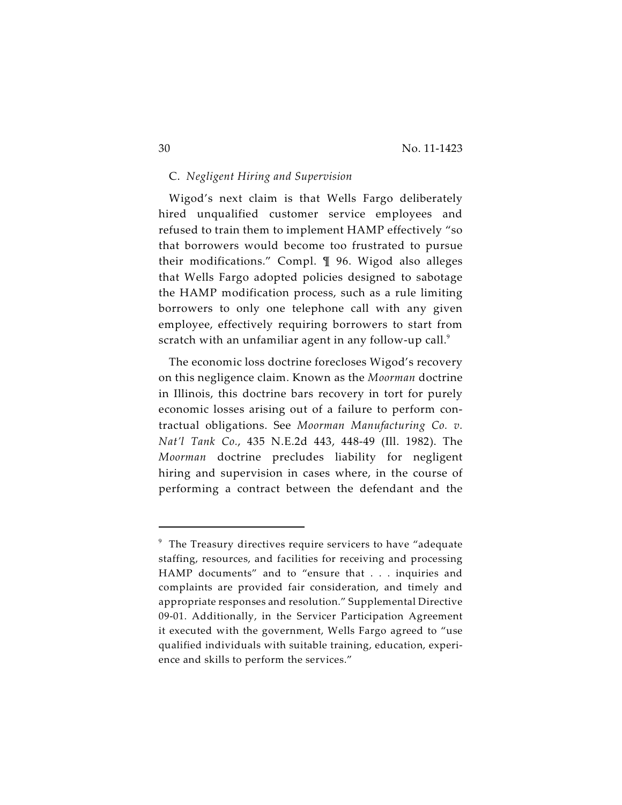# C. *Negligent Hiring and Supervision*

Wigod's next claim is that Wells Fargo deliberately hired unqualified customer service employees and refused to train them to implement HAMP effectively "so that borrowers would become too frustrated to pursue their modifications." Compl. ¶ 96. Wigod also alleges that Wells Fargo adopted policies designed to sabotage the HAMP modification process, such as a rule limiting borrowers to only one telephone call with any given employee, effectively requiring borrowers to start from scratch with an unfamiliar agent in any follow-up call.<sup>9</sup>

The economic loss doctrine forecloses Wigod's recovery on this negligence claim. Known as the *Moorman* doctrine in Illinois, this doctrine bars recovery in tort for purely economic losses arising out of a failure to perform contractual obligations. See *Moorman Manufacturing Co. v. Nat'l Tank Co.*, 435 N.E.2d 443, 448-49 (Ill. 1982). The *Moorman* doctrine precludes liability for negligent hiring and supervision in cases where, in the course of performing a contract between the defendant and the

 $9$  The Treasury directives require servicers to have "adequate staffing, resources, and facilities for receiving and processing HAMP documents" and to "ensure that . . . inquiries and complaints are provided fair consideration, and timely and appropriate responses and resolution." Supplemental Directive 09-01. Additionally, in the Servicer Participation Agreement it executed with the government, Wells Fargo agreed to "use qualified individuals with suitable training, education, experience and skills to perform the services."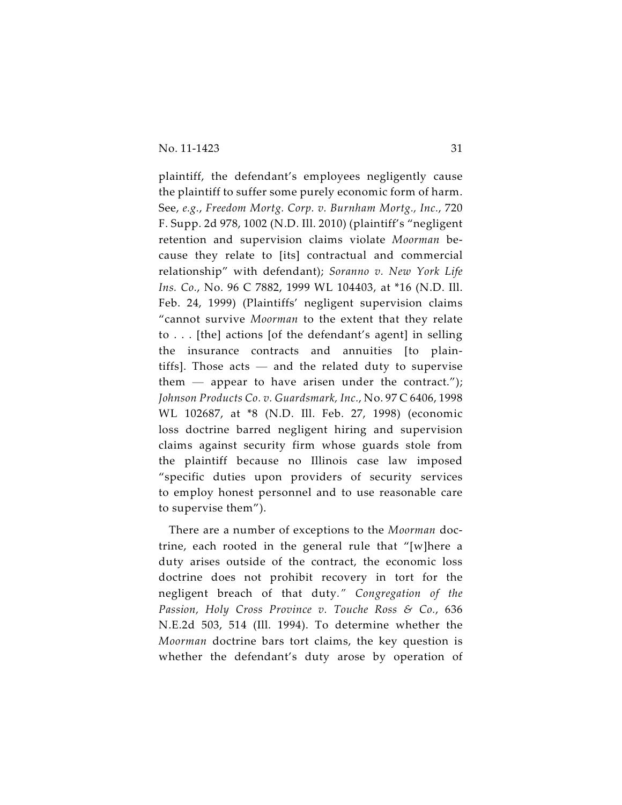plaintiff, the defendant's employees negligently cause the plaintiff to suffer some purely economic form of harm. See, *e.g.*, *Freedom Mortg. Corp. v. Burnham Mortg., Inc.*, 720 F. Supp. 2d 978, 1002 (N.D. Ill. 2010) (plaintiff's "negligent retention and supervision claims violate *Moorman* because they relate to [its] contractual and commercial relationship" with defendant); *Soranno v. New York Life Ins. Co.*, No. 96 C 7882, 1999 WL 104403, at \*16 (N.D. Ill. Feb. 24, 1999) (Plaintiffs' negligent supervision claims "cannot survive *Moorman* to the extent that they relate to . . . [the] actions [of the defendant's agent] in selling the insurance contracts and annuities [to plaintiffs]. Those  $acts - and the related duty to supervise$ them — appear to have arisen under the contract."); *Johnson Products Co. v. Guardsmark, Inc.*, No. 97 C 6406, 1998 WL 102687, at \*8 (N.D. Ill. Feb. 27, 1998) (economic loss doctrine barred negligent hiring and supervision claims against security firm whose guards stole from the plaintiff because no Illinois case law imposed "specific duties upon providers of security services to employ honest personnel and to use reasonable care to supervise them").

There are a number of exceptions to the *Moorman* doctrine, each rooted in the general rule that "[w]here a duty arises outside of the contract, the economic loss doctrine does not prohibit recovery in tort for the negligent breach of that duty*." Congregation of the Passion, Holy Cross Province v. Touche Ross & Co.*, 636 N.E.2d 503, 514 (Ill. 1994). To determine whether the *Moorman* doctrine bars tort claims, the key question is whether the defendant's duty arose by operation of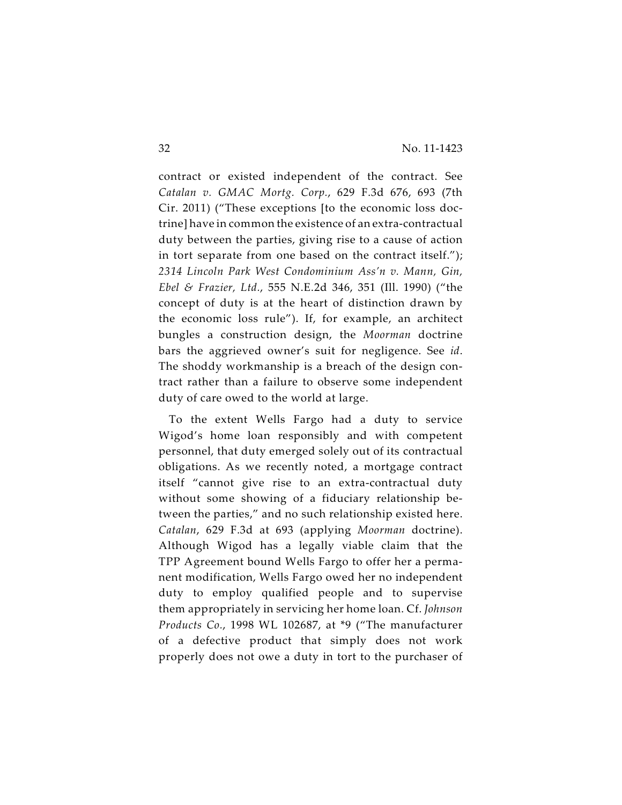contract or existed independent of the contract. See *Catalan v. GMAC Mortg. Corp.*, 629 F.3d 676, 693 (7th Cir. 2011) ("These exceptions [to the economic loss doctrine] have in common the existence of an extra-contractual duty between the parties, giving rise to a cause of action in tort separate from one based on the contract itself."); *2314 Lincoln Park West Condominium Ass'n v. Mann, Gin, Ebel & Frazier, Ltd.*, 555 N.E.2d 346, 351 (Ill. 1990) ("the concept of duty is at the heart of distinction drawn by the economic loss rule"). If, for example, an architect bungles a construction design, the *Moorman* doctrine bars the aggrieved owner's suit for negligence. See *id*. The shoddy workmanship is a breach of the design contract rather than a failure to observe some independent duty of care owed to the world at large.

To the extent Wells Fargo had a duty to service Wigod's home loan responsibly and with competent personnel, that duty emerged solely out of its contractual obligations. As we recently noted, a mortgage contract itself "cannot give rise to an extra-contractual duty without some showing of a fiduciary relationship between the parties," and no such relationship existed here. *Catalan*, 629 F.3d at 693 (applying *Moorman* doctrine). Although Wigod has a legally viable claim that the TPP Agreement bound Wells Fargo to offer her a permanent modification, Wells Fargo owed her no independent duty to employ qualified people and to supervise them appropriately in servicing her home loan. Cf. *Johnson Products Co.*, 1998 WL 102687, at \*9 ("The manufacturer of a defective product that simply does not work properly does not owe a duty in tort to the purchaser of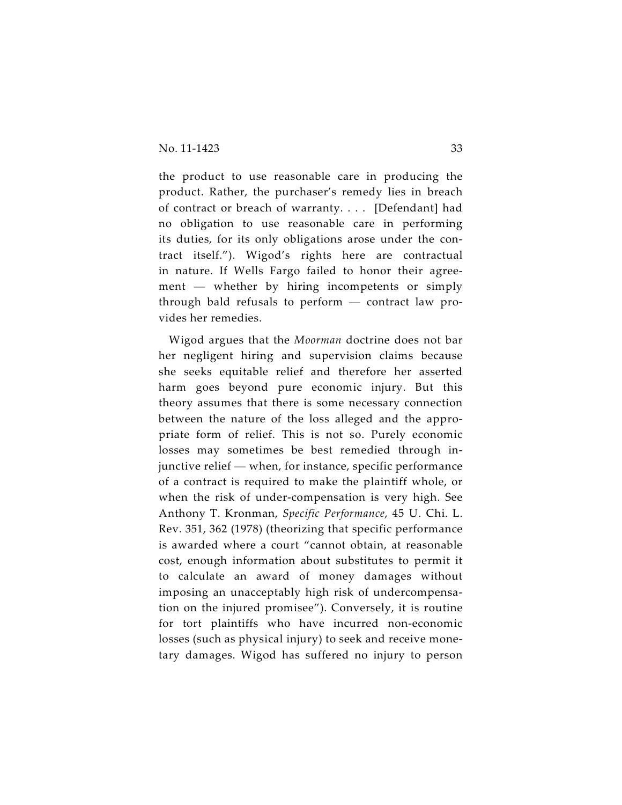the product to use reasonable care in producing the product. Rather, the purchaser's remedy lies in breach of contract or breach of warranty. . . . [Defendant] had no obligation to use reasonable care in performing its duties, for its only obligations arose under the contract itself."). Wigod's rights here are contractual in nature. If Wells Fargo failed to honor their agreement — whether by hiring incompetents or simply through bald refusals to perform — contract law provides her remedies.

Wigod argues that the *Moorman* doctrine does not bar her negligent hiring and supervision claims because she seeks equitable relief and therefore her asserted harm goes beyond pure economic injury. But this theory assumes that there is some necessary connection between the nature of the loss alleged and the appropriate form of relief. This is not so. Purely economic losses may sometimes be best remedied through injunctive relief — when, for instance, specific performance of a contract is required to make the plaintiff whole, or when the risk of under-compensation is very high. See Anthony T. Kronman, *Specific Performance*, 45 U. Chi. L. Rev. 351, 362 (1978) (theorizing that specific performance is awarded where a court "cannot obtain, at reasonable cost, enough information about substitutes to permit it to calculate an award of money damages without imposing an unacceptably high risk of undercompensation on the injured promisee"). Conversely, it is routine for tort plaintiffs who have incurred non-economic losses (such as physical injury) to seek and receive monetary damages. Wigod has suffered no injury to person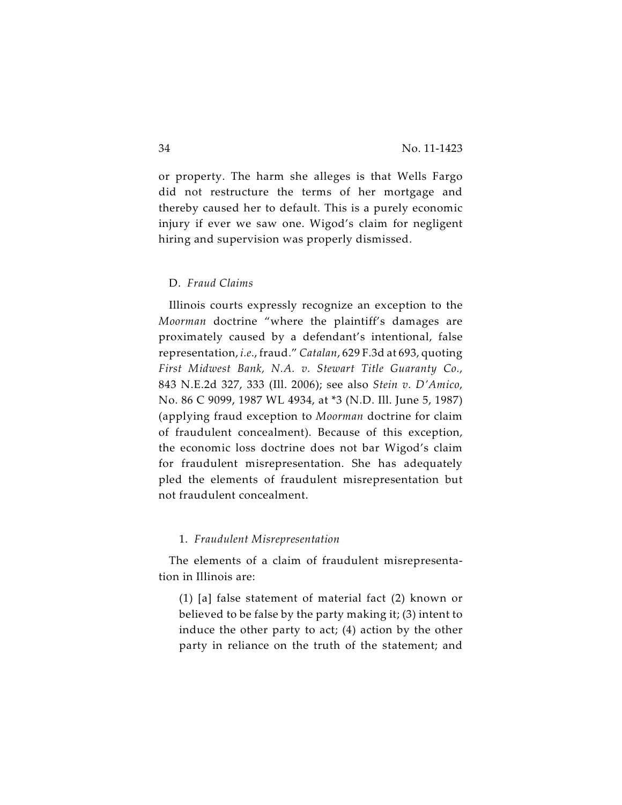or property. The harm she alleges is that Wells Fargo did not restructure the terms of her mortgage and thereby caused her to default. This is a purely economic injury if ever we saw one. Wigod's claim for negligent hiring and supervision was properly dismissed.

#### D. *Fraud Claims*

Illinois courts expressly recognize an exception to the *Moorman* doctrine "where the plaintiff's damages are proximately caused by a defendant's intentional, false representation, *i.e*., fraud." *Catalan*, 629 F.3d at 693, quoting *First Midwest Bank, N.A. v. Stewart Title Guaranty Co.*, 843 N.E.2d 327, 333 (Ill. 2006); see also *Stein v. D'Amico*, No. 86 C 9099, 1987 WL 4934, at \*3 (N.D. Ill. June 5, 1987) (applying fraud exception to *Moorman* doctrine for claim of fraudulent concealment). Because of this exception, the economic loss doctrine does not bar Wigod's claim for fraudulent misrepresentation. She has adequately pled the elements of fraudulent misrepresentation but not fraudulent concealment.

#### 1. *Fraudulent Misrepresentation*

The elements of a claim of fraudulent misrepresentation in Illinois are:

(1) [a] false statement of material fact (2) known or believed to be false by the party making it; (3) intent to induce the other party to act; (4) action by the other party in reliance on the truth of the statement; and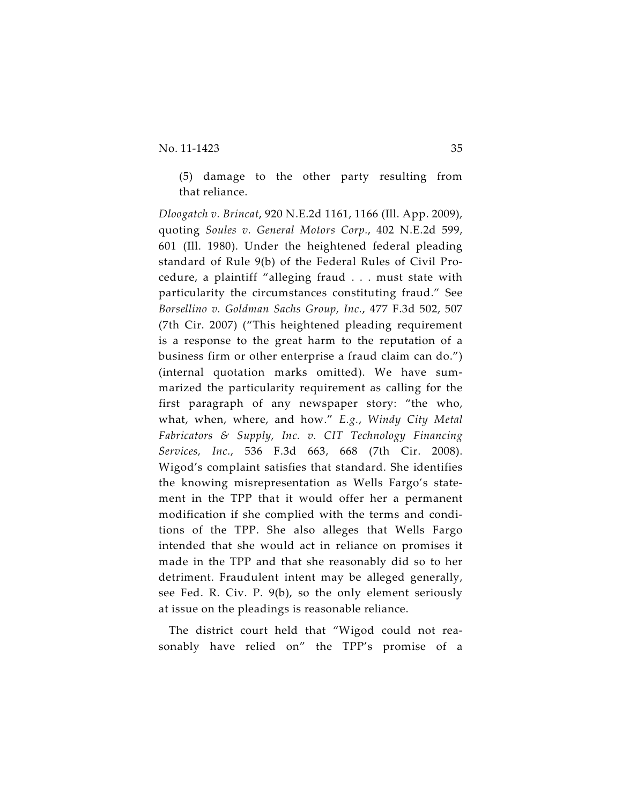(5) damage to the other party resulting from that reliance.

*Dloogatch v. Brincat*, 920 N.E.2d 1161, 1166 (Ill. App. 2009), quoting *Soules v. General Motors Corp.*, 402 N.E.2d 599, 601 (Ill. 1980). Under the heightened federal pleading standard of Rule 9(b) of the Federal Rules of Civil Procedure, a plaintiff "alleging fraud . . . must state with particularity the circumstances constituting fraud." See *Borsellino v. Goldman Sachs Group, Inc.*, 477 F.3d 502, 507 (7th Cir. 2007) ("This heightened pleading requirement is a response to the great harm to the reputation of a business firm or other enterprise a fraud claim can do.") (internal quotation marks omitted). We have summarized the particularity requirement as calling for the first paragraph of any newspaper story: "the who, what, when, where, and how." *E.g.*, *Windy City Metal Fabricators & Supply, Inc. v. CIT Technology Financing Services, Inc.*, 536 F.3d 663, 668 (7th Cir. 2008). Wigod's complaint satisfies that standard. She identifies the knowing misrepresentation as Wells Fargo's statement in the TPP that it would offer her a permanent modification if she complied with the terms and conditions of the TPP. She also alleges that Wells Fargo intended that she would act in reliance on promises it made in the TPP and that she reasonably did so to her detriment. Fraudulent intent may be alleged generally, see Fed. R. Civ. P. 9(b), so the only element seriously at issue on the pleadings is reasonable reliance.

The district court held that "Wigod could not reasonably have relied on" the TPP's promise of a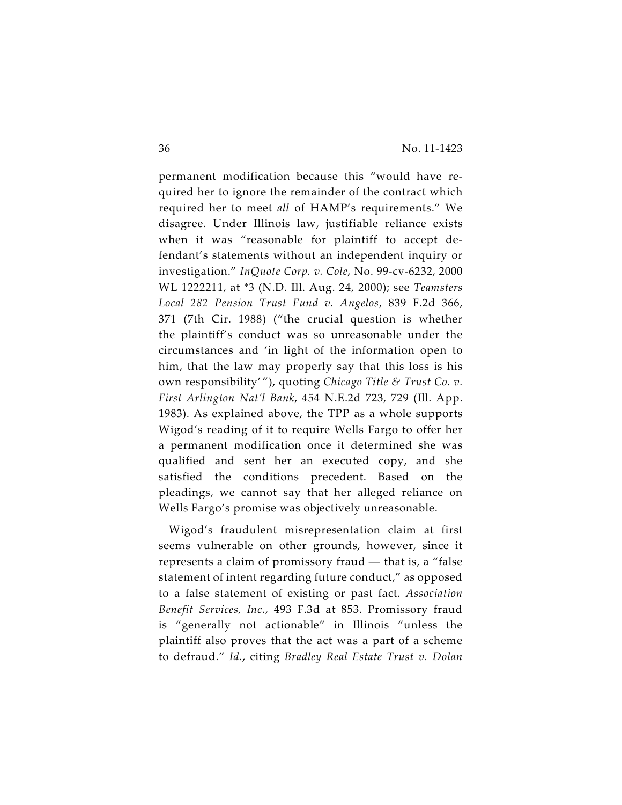permanent modification because this "would have required her to ignore the remainder of the contract which required her to meet *all* of HAMP's requirements." We disagree. Under Illinois law, justifiable reliance exists when it was "reasonable for plaintiff to accept defendant's statements without an independent inquiry or investigation." *InQuote Corp. v. Cole*, No. 99-cv-6232, 2000 WL 1222211, at \*3 (N.D. Ill. Aug. 24, 2000); see *Teamsters Local 282 Pension Trust Fund v. Angelos*, 839 F.2d 366, 371 (7th Cir. 1988) ("the crucial question is whether the plaintiff's conduct was so unreasonable under the circumstances and 'in light of the information open to him, that the law may properly say that this loss is his own responsibility' "), quoting *Chicago Title & Trust Co. v. First Arlington Nat'l Bank*, 454 N.E.2d 723, 729 (Ill. App. 1983). As explained above, the TPP as a whole supports Wigod's reading of it to require Wells Fargo to offer her a permanent modification once it determined she was qualified and sent her an executed copy, and she satisfied the conditions precedent. Based on the pleadings, we cannot say that her alleged reliance on Wells Fargo's promise was objectively unreasonable.

Wigod's fraudulent misrepresentation claim at first seems vulnerable on other grounds, however, since it represents a claim of promissory fraud — that is, a "false statement of intent regarding future conduct," as opposed to a false statement of existing or past fact*. Association Benefit Services, Inc.*, 493 F.3d at 853. Promissory fraud is "generally not actionable" in Illinois "unless the plaintiff also proves that the act was a part of a scheme to defraud." *Id.*, citing *Bradley Real Estate Trust v. Dolan*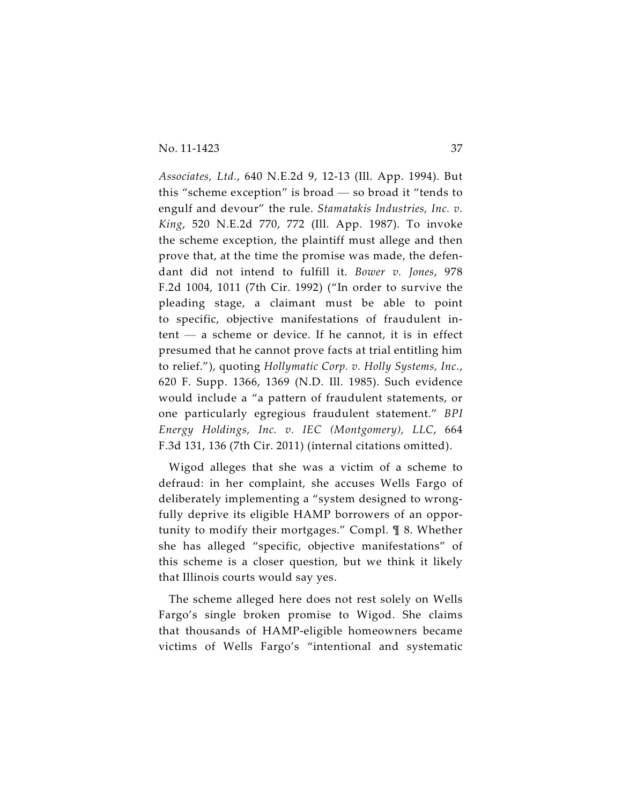*Associates, Ltd.*, 640 N.E.2d 9, 12-13 (Ill. App. 1994). But this "scheme exception" is broad — so broad it "tends to engulf and devour" the rule. *Stamatakis Industries, Inc. v. King*, 520 N.E.2d 770, 772 (Ill. App. 1987). To invoke the scheme exception, the plaintiff must allege and then prove that, at the time the promise was made, the defendant did not intend to fulfill it. *Bower v. Jones*, 978 F.2d 1004, 1011 (7th Cir. 1992) ("In order to survive the pleading stage, a claimant must be able to point to specific, objective manifestations of fraudulent intent — a scheme or device. If he cannot, it is in effect presumed that he cannot prove facts at trial entitling him to relief."), quoting *Hollymatic Corp. v. Holly Systems, Inc.*, 620 F. Supp. 1366, 1369 (N.D. Ill. 1985). Such evidence would include a "a pattern of fraudulent statements, or one particularly egregious fraudulent statement." *BPI Energy Holdings, Inc. v. IEC (Montgomery), LLC*, 664 F.3d 131, 136 (7th Cir. 2011) (internal citations omitted).

Wigod alleges that she was a victim of a scheme to defraud: in her complaint, she accuses Wells Fargo of deliberately implementing a "system designed to wrongfully deprive its eligible HAMP borrowers of an opportunity to modify their mortgages." Compl. ¶ 8. Whether she has alleged "specific, objective manifestations" of this scheme is a closer question, but we think it likely that Illinois courts would say yes.

The scheme alleged here does not rest solely on Wells Fargo's single broken promise to Wigod. She claims that thousands of HAMP-eligible homeowners became victims of Wells Fargo's "intentional and systematic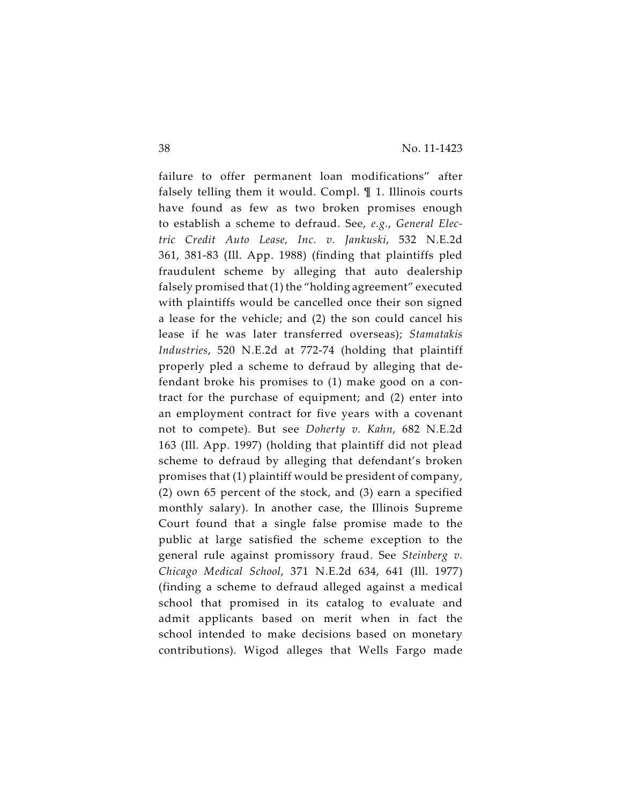failure to offer permanent loan modifications" after falsely telling them it would. Compl. ¶ 1. Illinois courts have found as few as two broken promises enough to establish a scheme to defraud. See, *e.g.*, *General Electric Credit Auto Lease, Inc. v. Jankuski*, 532 N.E.2d 361, 381-83 (Ill. App. 1988) (finding that plaintiffs pled fraudulent scheme by alleging that auto dealership falsely promised that (1) the "holding agreement" executed with plaintiffs would be cancelled once their son signed a lease for the vehicle; and (2) the son could cancel his lease if he was later transferred overseas); *Stamatakis Industries*, 520 N.E.2d at 772-74 (holding that plaintiff properly pled a scheme to defraud by alleging that defendant broke his promises to (1) make good on a contract for the purchase of equipment; and (2) enter into an employment contract for five years with a covenant not to compete). But see *Doherty v. Kahn*, 682 N.E.2d 163 (Ill. App. 1997) (holding that plaintiff did not plead scheme to defraud by alleging that defendant's broken promises that (1) plaintiff would be president of company, (2) own 65 percent of the stock, and (3) earn a specified monthly salary). In another case, the Illinois Supreme Court found that a single false promise made to the public at large satisfied the scheme exception to the general rule against promissory fraud. See *Steinberg v. Chicago Medical School*, 371 N.E.2d 634, 641 (Ill. 1977) (finding a scheme to defraud alleged against a medical school that promised in its catalog to evaluate and admit applicants based on merit when in fact the school intended to make decisions based on monetary contributions). Wigod alleges that Wells Fargo made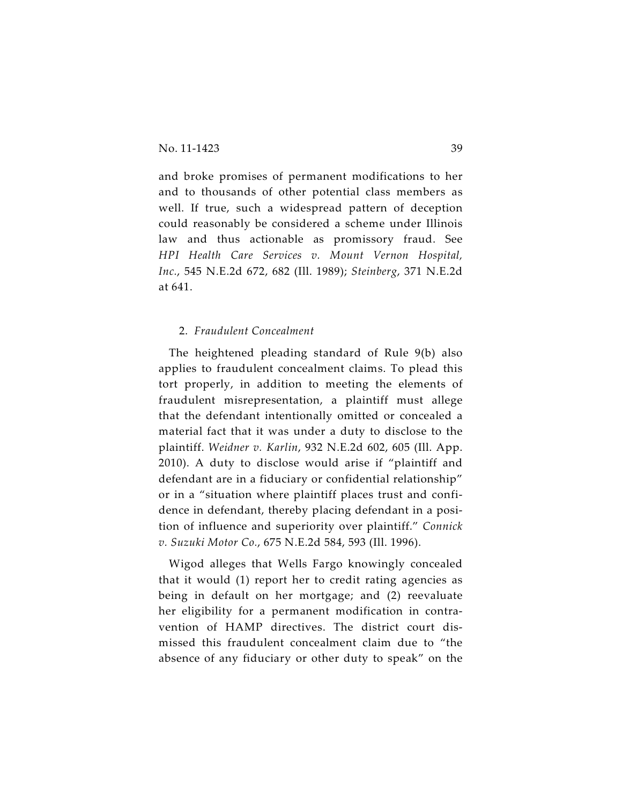and broke promises of permanent modifications to her and to thousands of other potential class members as well. If true, such a widespread pattern of deception could reasonably be considered a scheme under Illinois law and thus actionable as promissory fraud. See *HPI Health Care Services v. Mount Vernon Hospital, Inc.*, 545 N.E.2d 672, 682 (Ill. 1989); *Steinberg*, 371 N.E.2d at 641.

# 2. *Fraudulent Concealment*

The heightened pleading standard of Rule 9(b) also applies to fraudulent concealment claims. To plead this tort properly, in addition to meeting the elements of fraudulent misrepresentation, a plaintiff must allege that the defendant intentionally omitted or concealed a material fact that it was under a duty to disclose to the plaintiff. *Weidner v. Karlin*, 932 N.E.2d 602, 605 (Ill. App. 2010). A duty to disclose would arise if "plaintiff and defendant are in a fiduciary or confidential relationship" or in a "situation where plaintiff places trust and confidence in defendant, thereby placing defendant in a position of influence and superiority over plaintiff." *Connick v. Suzuki Motor Co.*, 675 N.E.2d 584, 593 (Ill. 1996).

Wigod alleges that Wells Fargo knowingly concealed that it would (1) report her to credit rating agencies as being in default on her mortgage; and (2) reevaluate her eligibility for a permanent modification in contravention of HAMP directives. The district court dismissed this fraudulent concealment claim due to "the absence of any fiduciary or other duty to speak" on the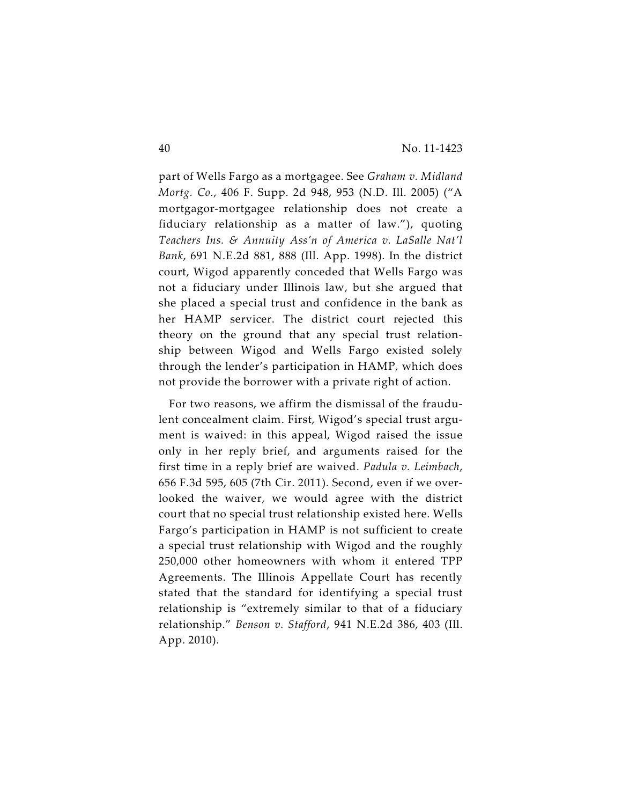part of Wells Fargo as a mortgagee. See *Graham v. Midland Mortg. Co.*, 406 F. Supp. 2d 948, 953 (N.D. Ill. 2005) ("A mortgagor-mortgagee relationship does not create a fiduciary relationship as a matter of law."), quoting *Teachers Ins. & Annuity Ass'n of America v. LaSalle Nat'l Bank*, 691 N.E.2d 881, 888 (Ill. App. 1998). In the district court, Wigod apparently conceded that Wells Fargo was not a fiduciary under Illinois law, but she argued that she placed a special trust and confidence in the bank as her HAMP servicer. The district court rejected this theory on the ground that any special trust relationship between Wigod and Wells Fargo existed solely through the lender's participation in HAMP, which does not provide the borrower with a private right of action.

For two reasons, we affirm the dismissal of the fraudulent concealment claim. First, Wigod's special trust argument is waived: in this appeal, Wigod raised the issue only in her reply brief, and arguments raised for the first time in a reply brief are waived. *Padula v. Leimbach*, 656 F.3d 595, 605 (7th Cir. 2011). Second, even if we overlooked the waiver, we would agree with the district court that no special trust relationship existed here. Wells Fargo's participation in HAMP is not sufficient to create a special trust relationship with Wigod and the roughly 250,000 other homeowners with whom it entered TPP Agreements. The Illinois Appellate Court has recently stated that the standard for identifying a special trust relationship is "extremely similar to that of a fiduciary relationship." *Benson v. Stafford*, 941 N.E.2d 386, 403 (Ill. App. 2010).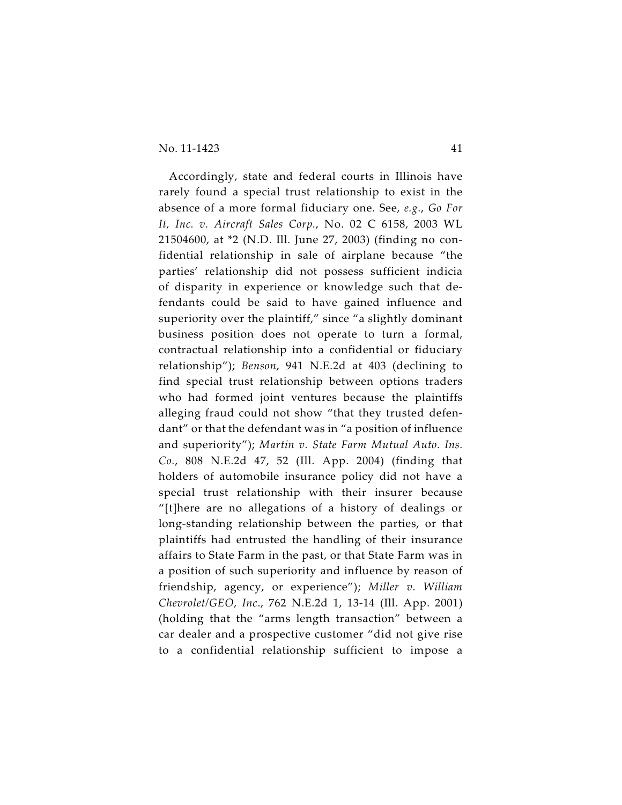Accordingly, state and federal courts in Illinois have rarely found a special trust relationship to exist in the absence of a more formal fiduciary one. See, *e.g.*, *Go For It, Inc. v. Aircraft Sales Corp.*, No. 02 C 6158, 2003 WL 21504600, at \*2 (N.D. Ill. June 27, 2003) (finding no confidential relationship in sale of airplane because "the parties' relationship did not possess sufficient indicia of disparity in experience or knowledge such that defendants could be said to have gained influence and superiority over the plaintiff," since "a slightly dominant business position does not operate to turn a formal, contractual relationship into a confidential or fiduciary relationship"); *Benson*, 941 N.E.2d at 403 (declining to find special trust relationship between options traders who had formed joint ventures because the plaintiffs alleging fraud could not show "that they trusted defendant" or that the defendant was in "a position of influence and superiority"); *Martin v. State Farm Mutual Auto. Ins. Co.*, 808 N.E.2d 47, 52 (Ill. App. 2004) (finding that holders of automobile insurance policy did not have a special trust relationship with their insurer because "[t]here are no allegations of a history of dealings or long-standing relationship between the parties, or that plaintiffs had entrusted the handling of their insurance affairs to State Farm in the past, or that State Farm was in a position of such superiority and influence by reason of friendship, agency, or experience"); *Miller v. William Chevrolet/GEO, Inc*., 762 N.E.2d 1, 13-14 (Ill. App. 2001) (holding that the "arms length transaction" between a car dealer and a prospective customer "did not give rise to a confidential relationship sufficient to impose a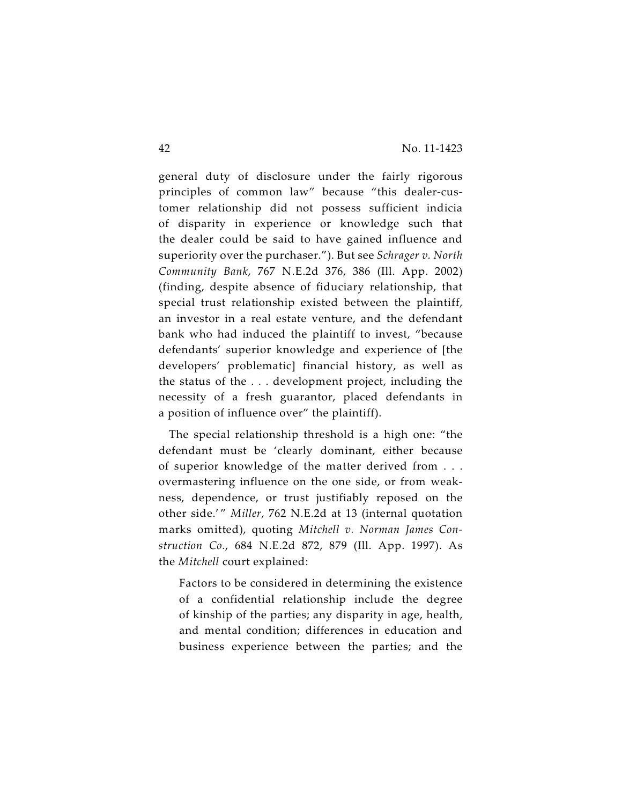general duty of disclosure under the fairly rigorous principles of common law" because "this dealer-customer relationship did not possess sufficient indicia of disparity in experience or knowledge such that the dealer could be said to have gained influence and superiority over the purchaser."). But see *Schrager v. North Community Bank*, 767 N.E.2d 376, 386 (Ill. App. 2002) (finding, despite absence of fiduciary relationship, that special trust relationship existed between the plaintiff, an investor in a real estate venture, and the defendant bank who had induced the plaintiff to invest, "because defendants' superior knowledge and experience of [the developers' problematic] financial history, as well as the status of the . . . development project, including the necessity of a fresh guarantor, placed defendants in a position of influence over" the plaintiff).

The special relationship threshold is a high one: "the defendant must be 'clearly dominant, either because of superior knowledge of the matter derived from . . . overmastering influence on the one side, or from weakness, dependence, or trust justifiably reposed on the other side.'" Miller, 762 N.E.2d at 13 (internal quotation marks omitted), quoting *Mitchell v. Norman James Construction Co.*, 684 N.E.2d 872, 879 (Ill. App. 1997). As the *Mitchell* court explained:

Factors to be considered in determining the existence of a confidential relationship include the degree of kinship of the parties; any disparity in age, health, and mental condition; differences in education and business experience between the parties; and the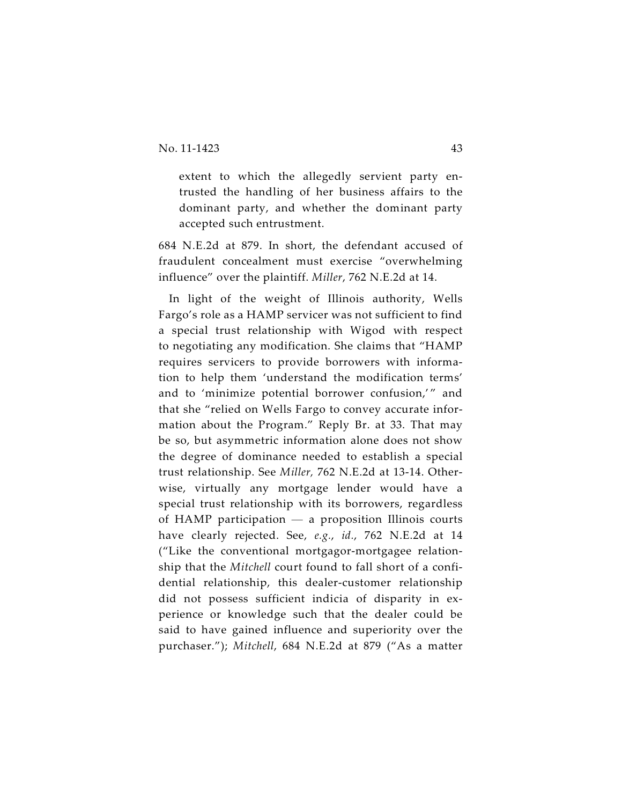extent to which the allegedly servient party entrusted the handling of her business affairs to the dominant party, and whether the dominant party accepted such entrustment.

684 N.E.2d at 879. In short, the defendant accused of fraudulent concealment must exercise "overwhelming influence" over the plaintiff. *Miller*, 762 N.E.2d at 14.

In light of the weight of Illinois authority, Wells Fargo's role as a HAMP servicer was not sufficient to find a special trust relationship with Wigod with respect to negotiating any modification. She claims that "HAMP requires servicers to provide borrowers with information to help them 'understand the modification terms' and to 'minimize potential borrower confusion,'" and that she "relied on Wells Fargo to convey accurate information about the Program." Reply Br. at 33. That may be so, but asymmetric information alone does not show the degree of dominance needed to establish a special trust relationship. See *Miller,* 762 N.E.2d at 13-14. Otherwise, virtually any mortgage lender would have a special trust relationship with its borrowers, regardless of HAMP participation — a proposition Illinois courts have clearly rejected. See, *e.g.*, *id.*, 762 N.E.2d at 14 ("Like the conventional mortgagor-mortgagee relationship that the *Mitchell* court found to fall short of a confidential relationship, this dealer-customer relationship did not possess sufficient indicia of disparity in experience or knowledge such that the dealer could be said to have gained influence and superiority over the purchaser."); *Mitchell*, 684 N.E.2d at 879 ("As a matter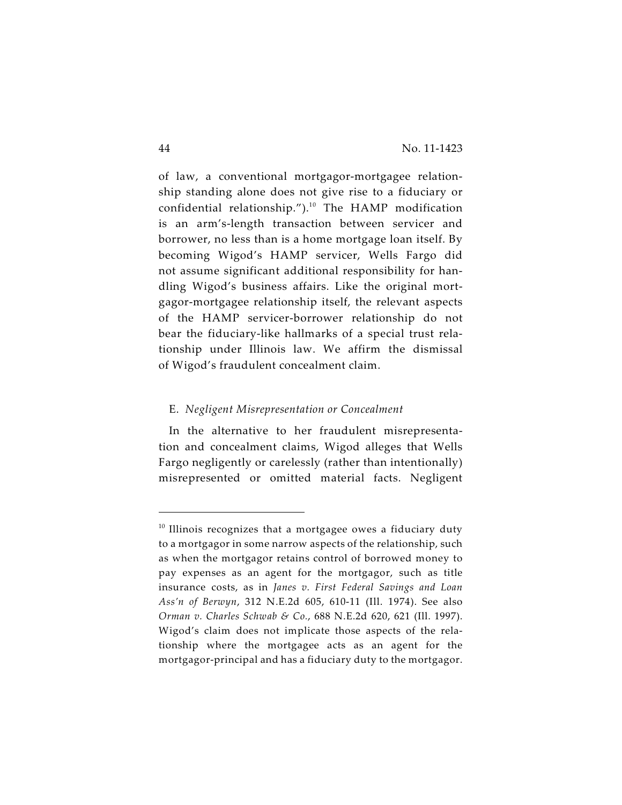of law, a conventional mortgagor-mortgagee relationship standing alone does not give rise to a fiduciary or confidential relationship."). $10$  The HAMP modification is an arm's-length transaction between servicer and borrower, no less than is a home mortgage loan itself. By becoming Wigod's HAMP servicer, Wells Fargo did not assume significant additional responsibility for handling Wigod's business affairs. Like the original mortgagor-mortgagee relationship itself, the relevant aspects of the HAMP servicer-borrower relationship do not bear the fiduciary-like hallmarks of a special trust relationship under Illinois law. We affirm the dismissal of Wigod's fraudulent concealment claim.

#### E. *Negligent Misrepresentation or Concealment*

In the alternative to her fraudulent misrepresentation and concealment claims, Wigod alleges that Wells Fargo negligently or carelessly (rather than intentionally) misrepresented or omitted material facts. Negligent

 $10$  Illinois recognizes that a mortgagee owes a fiduciary duty to a mortgagor in some narrow aspects of the relationship, such as when the mortgagor retains control of borrowed money to pay expenses as an agent for the mortgagor, such as title insurance costs, as in *Janes v. First Federal Savings and Loan Ass'n of Berwyn*, 312 N.E.2d 605, 610-11 (Ill. 1974). See also *Orman v. Charles Schwab & Co.*, 688 N.E.2d 620, 621 (Ill. 1997). Wigod's claim does not implicate those aspects of the relationship where the mortgagee acts as an agent for the mortgagor-principal and has a fiduciary duty to the mortgagor.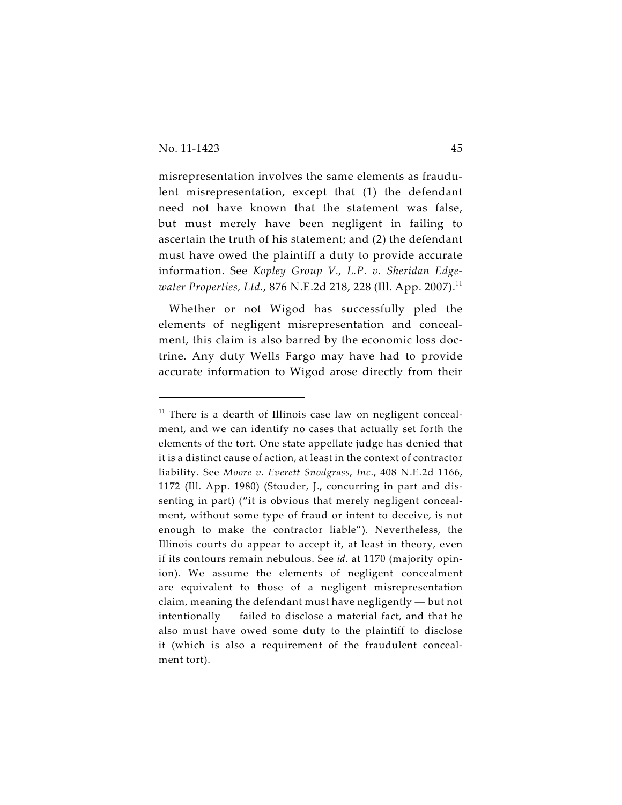misrepresentation involves the same elements as fraudulent misrepresentation, except that (1) the defendant need not have known that the statement was false, but must merely have been negligent in failing to ascertain the truth of his statement; and (2) the defendant must have owed the plaintiff a duty to provide accurate information. See *Kopley Group V., L.P. v. Sheridan Edgewater Properties, Ltd., 876 N.E.2d 218, 228 (Ill. App. 2007).*<sup>11</sup>

Whether or not Wigod has successfully pled the elements of negligent misrepresentation and concealment, this claim is also barred by the economic loss doctrine. Any duty Wells Fargo may have had to provide accurate information to Wigod arose directly from their

 $11$  There is a dearth of Illinois case law on negligent concealment, and we can identify no cases that actually set forth the elements of the tort. One state appellate judge has denied that it is a distinct cause of action, at least in the context of contractor liability. See *Moore v. Everett Snodgrass, Inc*., 408 N.E.2d 1166, 1172 (Ill. App. 1980) (Stouder, J., concurring in part and dissenting in part) ("it is obvious that merely negligent concealment, without some type of fraud or intent to deceive, is not enough to make the contractor liable"). Nevertheless, the Illinois courts do appear to accept it, at least in theory, even if its contours remain nebulous. See *id.* at 1170 (majority opinion). We assume the elements of negligent concealment are equivalent to those of a negligent misrepresentation claim, meaning the defendant must have negligently — but not intentionally — failed to disclose a material fact, and that he also must have owed some duty to the plaintiff to disclose it (which is also a requirement of the fraudulent concealment tort).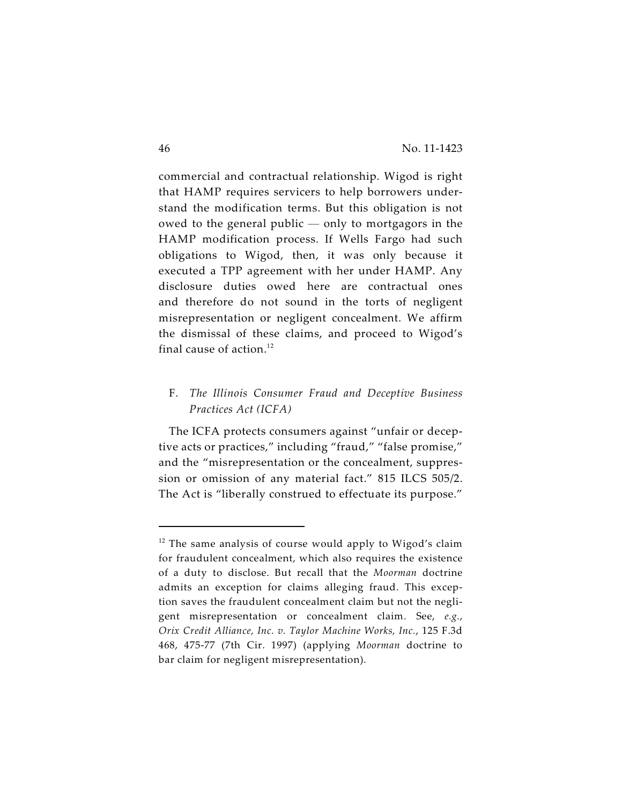commercial and contractual relationship. Wigod is right that HAMP requires servicers to help borrowers understand the modification terms. But this obligation is not owed to the general public — only to mortgagors in the HAMP modification process. If Wells Fargo had such obligations to Wigod, then, it was only because it executed a TPP agreement with her under HAMP. Any disclosure duties owed here are contractual ones and therefore do not sound in the torts of negligent misrepresentation or negligent concealment. We affirm the dismissal of these claims, and proceed to Wigod's final cause of action. $12$ 

# F. *The Illinois Consumer Fraud and Deceptive Business Practices Act (ICFA)*

The ICFA protects consumers against "unfair or deceptive acts or practices," including "fraud," "false promise," and the "misrepresentation or the concealment, suppression or omission of any material fact." 815 ILCS 505/2. The Act is "liberally construed to effectuate its purpose."

 $12$  The same analysis of course would apply to Wigod's claim for fraudulent concealment, which also requires the existence of a duty to disclose. But recall that the *Moorman* doctrine admits an exception for claims alleging fraud. This exception saves the fraudulent concealment claim but not the negligent misrepresentation or concealment claim. See, *e.g.*, *Orix Credit Alliance, Inc. v. Taylor Machine Works, Inc.*, 125 F.3d 468, 475-77 (7th Cir. 1997) (applying *Moorman* doctrine to bar claim for negligent misrepresentation).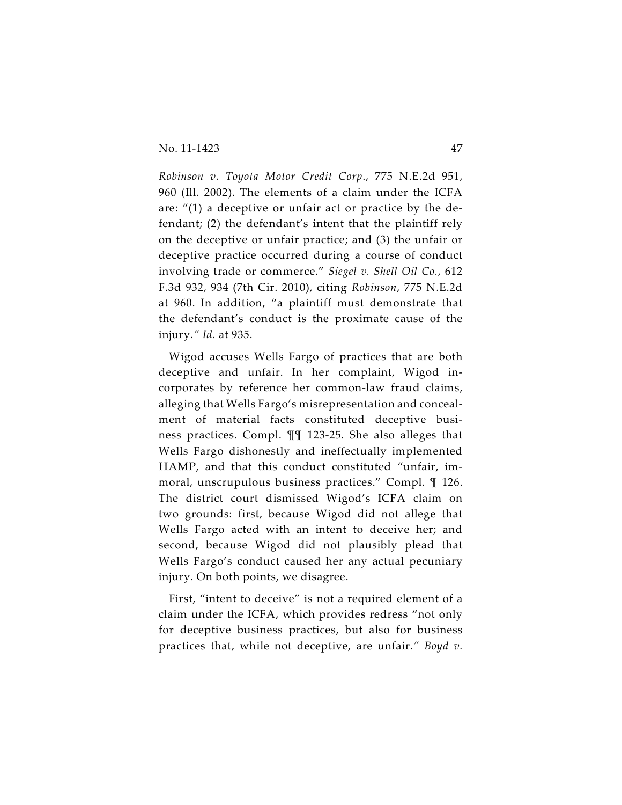*Robinson v. Toyota Motor Credit Corp*., 775 N.E.2d 951, 960 (Ill. 2002). The elements of a claim under the ICFA are: "(1) a deceptive or unfair act or practice by the defendant; (2) the defendant's intent that the plaintiff rely on the deceptive or unfair practice; and (3) the unfair or deceptive practice occurred during a course of conduct involving trade or commerce." *Siegel v. Shell Oil Co.*, 612 F.3d 932, 934 (7th Cir. 2010), citing *Robinson*, 775 N.E.2d at 960. In addition, "a plaintiff must demonstrate that the defendant's conduct is the proximate cause of the injury*." Id*. at 935.

Wigod accuses Wells Fargo of practices that are both deceptive and unfair. In her complaint, Wigod incorporates by reference her common-law fraud claims, alleging that Wells Fargo's misrepresentation and concealment of material facts constituted deceptive business practices. Compl. ¶¶ 123-25. She also alleges that Wells Fargo dishonestly and ineffectually implemented HAMP, and that this conduct constituted "unfair, immoral, unscrupulous business practices." Compl. ¶ 126. The district court dismissed Wigod's ICFA claim on two grounds: first, because Wigod did not allege that Wells Fargo acted with an intent to deceive her; and second, because Wigod did not plausibly plead that Wells Fargo's conduct caused her any actual pecuniary injury. On both points, we disagree.

First, "intent to deceive" is not a required element of a claim under the ICFA, which provides redress "not only for deceptive business practices, but also for business practices that, while not deceptive, are unfair*." Boyd v.*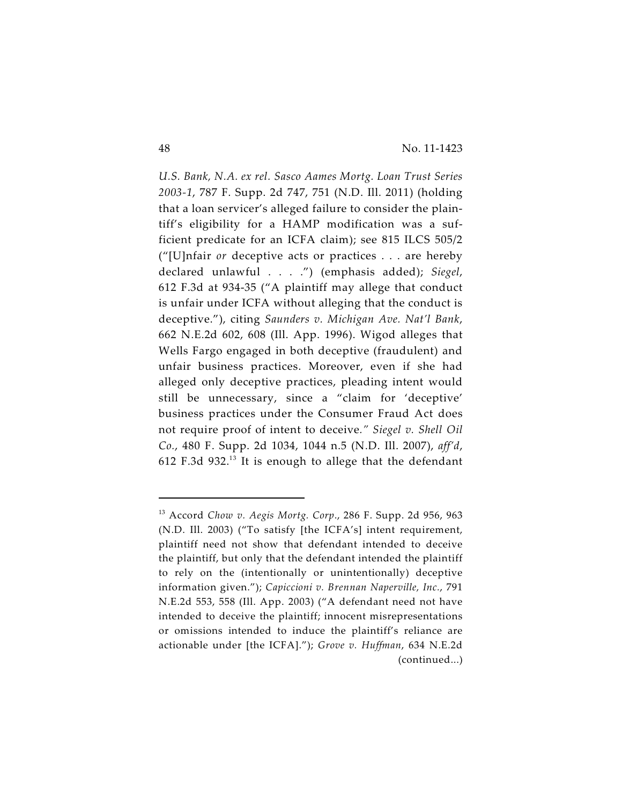*U.S. Bank, N.A. ex rel. Sasco Aames Mortg. Loan Trust Series 2003-1*, 787 F. Supp. 2d 747, 751 (N.D. Ill. 2011) (holding that a loan servicer's alleged failure to consider the plaintiff's eligibility for a HAMP modification was a sufficient predicate for an ICFA claim); see 815 ILCS 505/2 ("[U]nfair *or* deceptive acts or practices . . . are hereby declared unlawful . . . .") (emphasis added); *Siegel*, 612 F.3d at 934-35 ("A plaintiff may allege that conduct is unfair under ICFA without alleging that the conduct is deceptive."), citing *Saunders v. Michigan Ave. Nat'l Bank*, 662 N.E.2d 602, 608 (Ill. App. 1996). Wigod alleges that Wells Fargo engaged in both deceptive (fraudulent) and unfair business practices. Moreover, even if she had alleged only deceptive practices, pleading intent would still be unnecessary, since a "claim for 'deceptive' business practices under the Consumer Fraud Act does not require proof of intent to deceive*." Siegel v. Shell Oil Co.*, 480 F. Supp. 2d 1034, 1044 n.5 (N.D. Ill. 2007), *aff'd*, 612 F.3d 932. $^{13}$  It is enough to allege that the defendant

<sup>&</sup>lt;sup>13</sup> Accord *Chow v. Aegis Mortg. Corp.*, 286 F. Supp. 2d 956, 963 (N.D. Ill. 2003) ("To satisfy [the ICFA's] intent requirement, plaintiff need not show that defendant intended to deceive the plaintiff, but only that the defendant intended the plaintiff to rely on the (intentionally or unintentionally) deceptive information given."); *Capiccioni v. Brennan Naperville, Inc.*, 791 N.E.2d 553, 558 (Ill. App. 2003) ("A defendant need not have intended to deceive the plaintiff; innocent misrepresentations or omissions intended to induce the plaintiff's reliance are actionable under [the ICFA]."); *Grove v. Huffman*, 634 N.E.2d (continued...)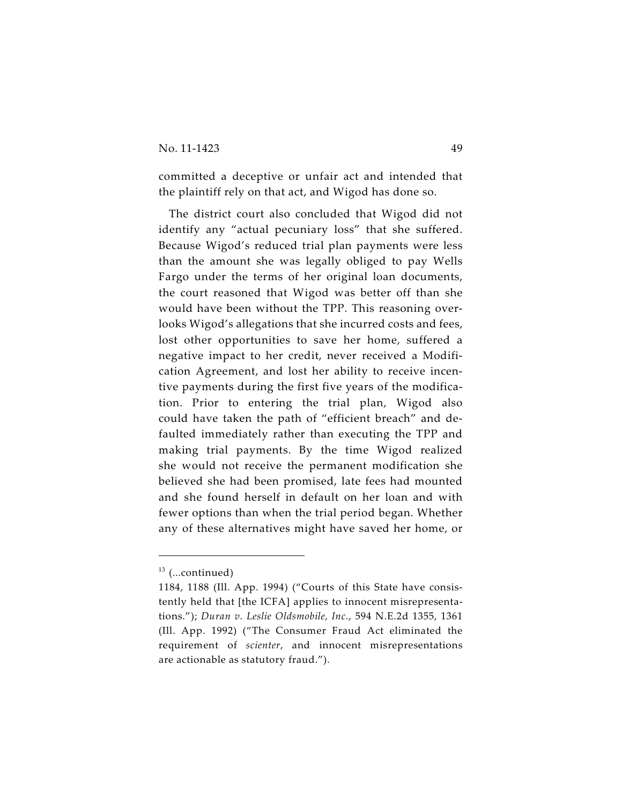committed a deceptive or unfair act and intended that the plaintiff rely on that act, and Wigod has done so.

The district court also concluded that Wigod did not identify any "actual pecuniary loss" that she suffered. Because Wigod's reduced trial plan payments were less than the amount she was legally obliged to pay Wells Fargo under the terms of her original loan documents, the court reasoned that Wigod was better off than she would have been without the TPP. This reasoning overlooks Wigod's allegations that she incurred costs and fees, lost other opportunities to save her home, suffered a negative impact to her credit, never received a Modification Agreement, and lost her ability to receive incentive payments during the first five years of the modification. Prior to entering the trial plan, Wigod also could have taken the path of "efficient breach" and defaulted immediately rather than executing the TPP and making trial payments. By the time Wigod realized she would not receive the permanent modification she believed she had been promised, late fees had mounted and she found herself in default on her loan and with fewer options than when the trial period began. Whether any of these alternatives might have saved her home, or

 $13$  (...continued)

<sup>1184, 1188 (</sup>Ill. App. 1994) ("Courts of this State have consistently held that [the ICFA] applies to innocent misrepresentations."); *Duran v. Leslie Oldsmobile, Inc.*, 594 N.E.2d 1355, 1361 (Ill. App. 1992) ("The Consumer Fraud Act eliminated the requirement of *scienter*, and innocent misrepresentations are actionable as statutory fraud.").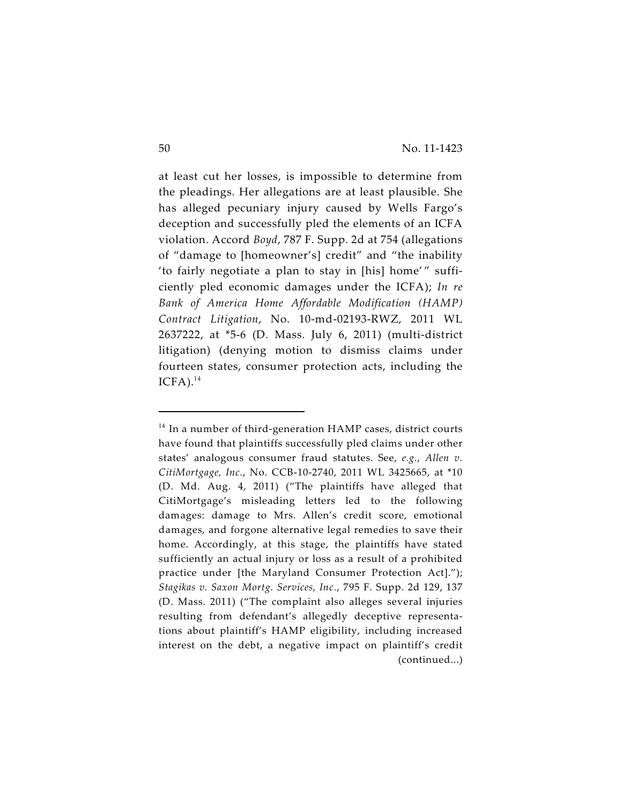at least cut her losses, is impossible to determine from the pleadings. Her allegations are at least plausible. She has alleged pecuniary injury caused by Wells Fargo's deception and successfully pled the elements of an ICFA violation. Accord *Boyd*, 787 F. Supp. 2d at 754 (allegations of "damage to [homeowner's] credit" and "the inability 'to fairly negotiate a plan to stay in [his] home'" sufficiently pled economic damages under the ICFA); *In re Bank of America Home Affordable Modification (HAMP) Contract Litigation*, No. 10-md-02193-RWZ, 2011 WL 2637222, at \*5-6 (D. Mass. July 6, 2011) (multi-district litigation) (denying motion to dismiss claims under fourteen states, consumer protection acts, including the  $ICFA$ ).<sup>14</sup>

 $14$  In a number of third-generation HAMP cases, district courts have found that plaintiffs successfully pled claims under other states' analogous consumer fraud statutes. See, *e.g.*, *Allen v. CitiMortgage, Inc.*, No. CCB-10-2740, 2011 WL 3425665, at \*10 (D. Md. Aug. 4, 2011) ("The plaintiffs have alleged that CitiMortgage's misleading letters led to the following damages: damage to Mrs. Allen's credit score, emotional damages, and forgone alternative legal remedies to save their home. Accordingly, at this stage, the plaintiffs have stated sufficiently an actual injury or loss as a result of a prohibited practice under [the Maryland Consumer Protection Act]."); *Stagikas v. Saxon Mortg. Services, Inc.*, 795 F. Supp. 2d 129, 137 (D. Mass. 2011) ("The complaint also alleges several injuries resulting from defendant's allegedly deceptive representations about plaintiff's HAMP eligibility, including increased interest on the debt, a negative impact on plaintiff's credit (continued...)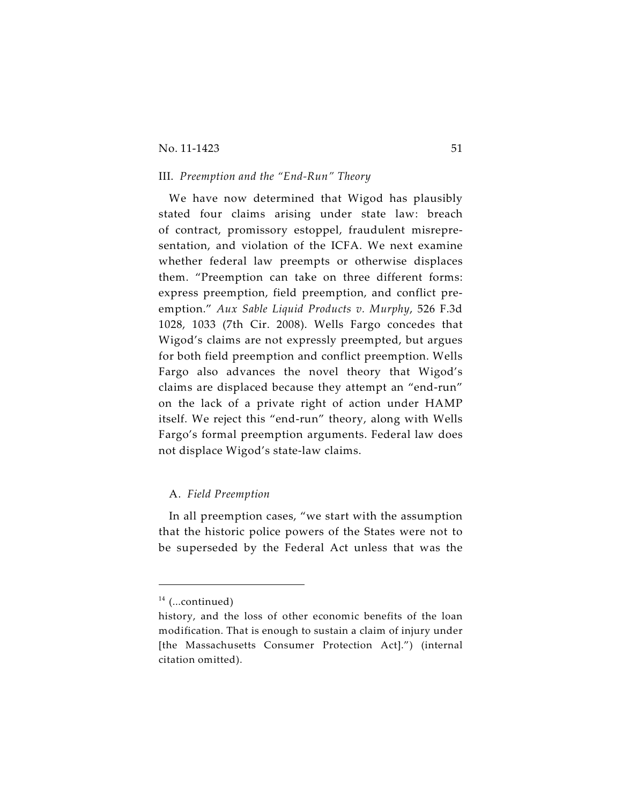#### No. 11-1423 51

## III. *Preemption and the "End-Run" Theory*

We have now determined that Wigod has plausibly stated four claims arising under state law: breach of contract, promissory estoppel, fraudulent misrepresentation, and violation of the ICFA. We next examine whether federal law preempts or otherwise displaces them. "Preemption can take on three different forms: express preemption, field preemption, and conflict preemption." *Aux Sable Liquid Products v. Murphy*, 526 F.3d 1028, 1033 (7th Cir. 2008). Wells Fargo concedes that Wigod's claims are not expressly preempted, but argues for both field preemption and conflict preemption. Wells Fargo also advances the novel theory that Wigod's claims are displaced because they attempt an "end-run" on the lack of a private right of action under HAMP itself. We reject this "end-run" theory, along with Wells Fargo's formal preemption arguments. Federal law does not displace Wigod's state-law claims.

## A. *Field Preemption*

In all preemption cases, "we start with the assumption that the historic police powers of the States were not to be superseded by the Federal Act unless that was the

 $14$  (...continued)

history, and the loss of other economic benefits of the loan modification. That is enough to sustain a claim of injury under [the Massachusetts Consumer Protection Act].") (internal citation omitted).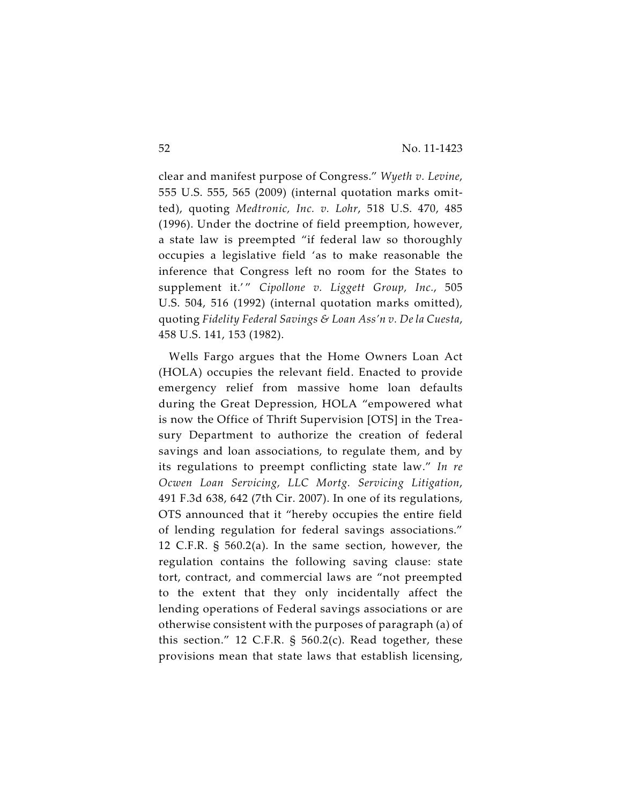clear and manifest purpose of Congress." *Wyeth v. Levine*, 555 U.S. 555, 565 (2009) (internal quotation marks omitted), quoting *Medtronic, Inc. v. Lohr*, 518 U.S. 470, 485 (1996). Under the doctrine of field preemption, however, a state law is preempted "if federal law so thoroughly occupies a legislative field 'as to make reasonable the inference that Congress left no room for the States to supplement it.'" Cipollone v. Liggett Group, Inc., 505 U.S. 504, 516 (1992) (internal quotation marks omitted), quoting *Fidelity Federal Savings & Loan Ass'n v. De la Cuesta*, 458 U.S. 141, 153 (1982).

Wells Fargo argues that the Home Owners Loan Act (HOLA) occupies the relevant field. Enacted to provide emergency relief from massive home loan defaults during the Great Depression, HOLA "empowered what is now the Office of Thrift Supervision [OTS] in the Treasury Department to authorize the creation of federal savings and loan associations, to regulate them, and by its regulations to preempt conflicting state law." *In re Ocwen Loan Servicing, LLC Mortg. Servicing Litigation*, 491 F.3d 638, 642 (7th Cir. 2007). In one of its regulations, OTS announced that it "hereby occupies the entire field of lending regulation for federal savings associations." 12 C.F.R. § 560.2(a). In the same section, however, the regulation contains the following saving clause: state tort, contract, and commercial laws are "not preempted to the extent that they only incidentally affect the lending operations of Federal savings associations or are otherwise consistent with the purposes of paragraph (a) of this section." 12 C.F.R. § 560.2(c). Read together, these provisions mean that state laws that establish licensing,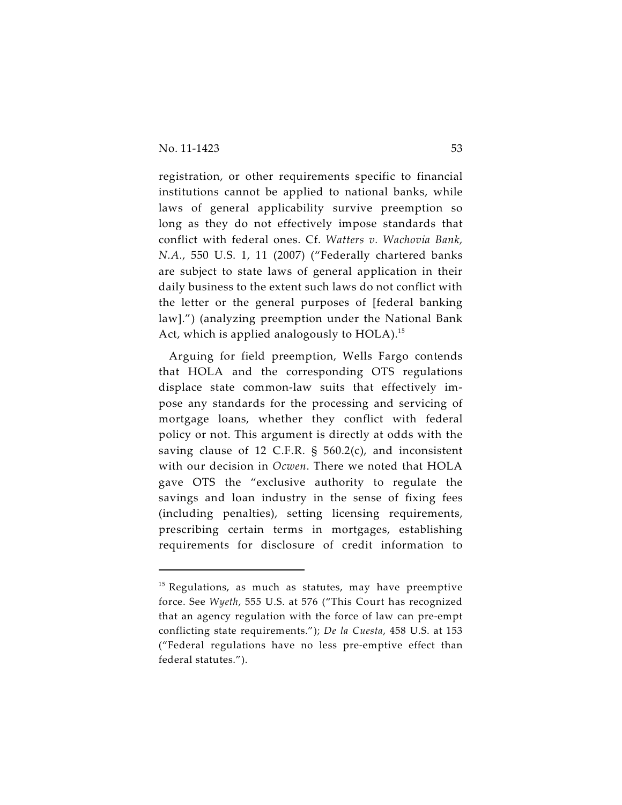registration, or other requirements specific to financial institutions cannot be applied to national banks, while laws of general applicability survive preemption so long as they do not effectively impose standards that conflict with federal ones. Cf. *Watters v. Wachovia Bank, N.A.*, 550 U.S. 1, 11 (2007) ("Federally chartered banks are subject to state laws of general application in their daily business to the extent such laws do not conflict with the letter or the general purposes of [federal banking law].") (analyzing preemption under the National Bank Act, which is applied analogously to  $HOLA$ ).<sup>15</sup>

Arguing for field preemption, Wells Fargo contends that HOLA and the corresponding OTS regulations displace state common-law suits that effectively impose any standards for the processing and servicing of mortgage loans, whether they conflict with federal policy or not. This argument is directly at odds with the saving clause of 12 C.F.R. § 560.2(c), and inconsistent with our decision in *Ocwen*. There we noted that HOLA gave OTS the "exclusive authority to regulate the savings and loan industry in the sense of fixing fees (including penalties), setting licensing requirements, prescribing certain terms in mortgages, establishing requirements for disclosure of credit information to

 $15$  Regulations, as much as statutes, may have preemptive force. See *Wyeth*, 555 U.S. at 576 ("This Court has recognized that an agency regulation with the force of law can pre-empt conflicting state requirements."); *De la Cuesta*, 458 U.S. at 153 ("Federal regulations have no less pre-emptive effect than federal statutes.").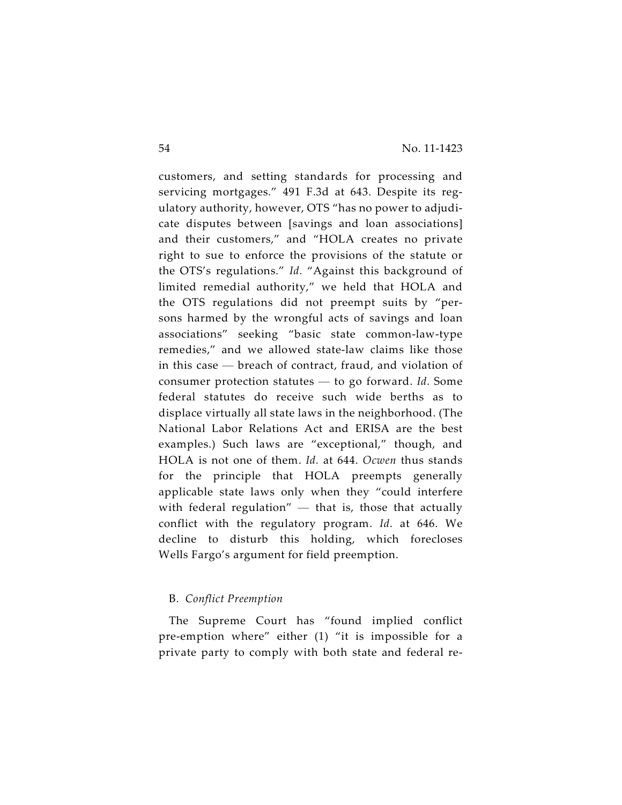customers, and setting standards for processing and servicing mortgages." 491 F.3d at 643. Despite its regulatory authority, however, OTS "has no power to adjudicate disputes between [savings and loan associations] and their customers," and "HOLA creates no private right to sue to enforce the provisions of the statute or the OTS's regulations." *Id*. "Against this background of limited remedial authority," we held that HOLA and the OTS regulations did not preempt suits by "persons harmed by the wrongful acts of savings and loan associations" seeking "basic state common-law-type remedies," and we allowed state-law claims like those in this case — breach of contract, fraud, and violation of consumer protection statutes — to go forward. *Id*. Some federal statutes do receive such wide berths as to displace virtually all state laws in the neighborhood. (The National Labor Relations Act and ERISA are the best examples.) Such laws are "exceptional," though, and HOLA is not one of them. *Id.* at 644. *Ocwen* thus stands for the principle that HOLA preempts generally applicable state laws only when they "could interfere with federal regulation"  $-$  that is, those that actually conflict with the regulatory program. *Id*. at 646. We decline to disturb this holding, which forecloses Wells Fargo's argument for field preemption.

# B. *Conflict Preemption*

The Supreme Court has "found implied conflict pre-emption where" either (1) "it is impossible for a private party to comply with both state and federal re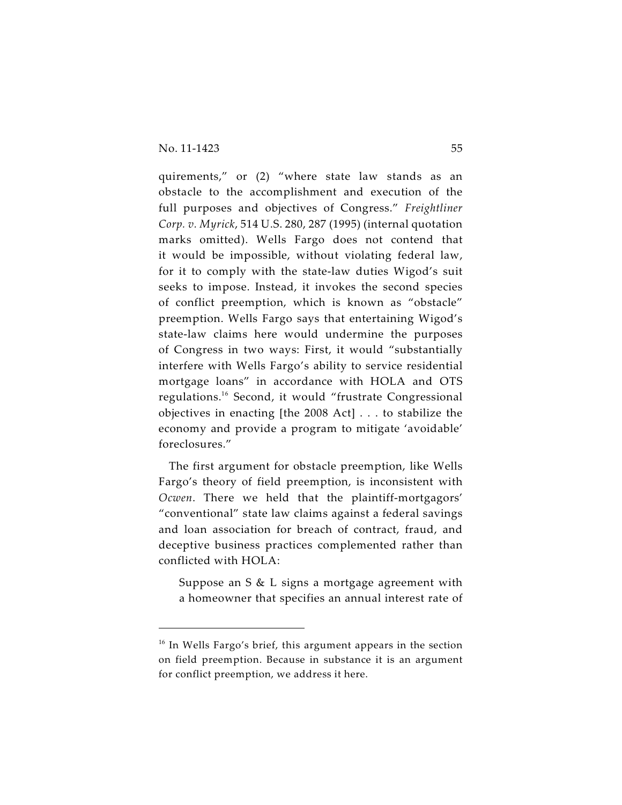quirements," or (2) "where state law stands as an obstacle to the accomplishment and execution of the full purposes and objectives of Congress." *Freightliner Corp. v. Myrick*, 514 U.S. 280, 287 (1995) (internal quotation marks omitted). Wells Fargo does not contend that it would be impossible, without violating federal law, for it to comply with the state-law duties Wigod's suit seeks to impose. Instead, it invokes the second species of conflict preemption, which is known as "obstacle" preemption. Wells Fargo says that entertaining Wigod's state-law claims here would undermine the purposes of Congress in two ways: First, it would "substantially interfere with Wells Fargo's ability to service residential mortgage loans" in accordance with HOLA and OTS regulations.<sup>16</sup> Second, it would "frustrate Congressional objectives in enacting [the 2008 Act] . . . to stabilize the economy and provide a program to mitigate 'avoidable' foreclosures."

The first argument for obstacle preemption, like Wells Fargo's theory of field preemption, is inconsistent with *Ocwen*. There we held that the plaintiff-mortgagors' "conventional" state law claims against a federal savings and loan association for breach of contract, fraud, and deceptive business practices complemented rather than conflicted with HOLA:

Suppose an S & L signs a mortgage agreement with a homeowner that specifies an annual interest rate of

 $16$  In Wells Fargo's brief, this argument appears in the section on field preemption. Because in substance it is an argument for conflict preemption, we address it here.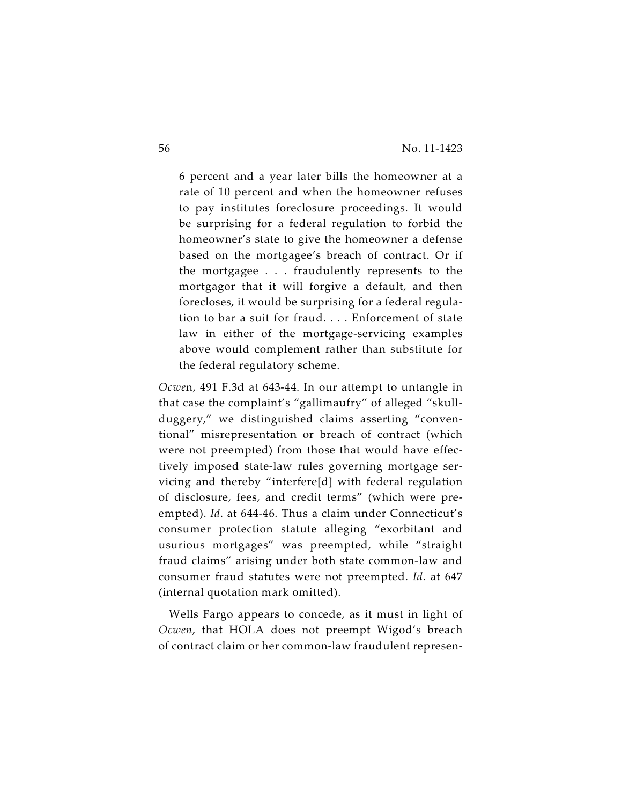6 percent and a year later bills the homeowner at a rate of 10 percent and when the homeowner refuses to pay institutes foreclosure proceedings. It would be surprising for a federal regulation to forbid the homeowner's state to give the homeowner a defense based on the mortgagee's breach of contract. Or if the mortgagee . . . fraudulently represents to the mortgagor that it will forgive a default, and then forecloses, it would be surprising for a federal regulation to bar a suit for fraud. . . . Enforcement of state law in either of the mortgage-servicing examples above would complement rather than substitute for the federal regulatory scheme.

*Ocwe*n, 491 F.3d at 643-44. In our attempt to untangle in that case the complaint's "gallimaufry" of alleged "skullduggery," we distinguished claims asserting "conventional" misrepresentation or breach of contract (which were not preempted) from those that would have effectively imposed state-law rules governing mortgage servicing and thereby "interfere[d] with federal regulation of disclosure, fees, and credit terms" (which were preempted). *Id*. at 644-46. Thus a claim under Connecticut's consumer protection statute alleging "exorbitant and usurious mortgages" was preempted, while "straight fraud claims" arising under both state common-law and consumer fraud statutes were not preempted. *Id*. at 647 (internal quotation mark omitted).

Wells Fargo appears to concede, as it must in light of *Ocwen*, that HOLA does not preempt Wigod's breach of contract claim or her common-law fraudulent represen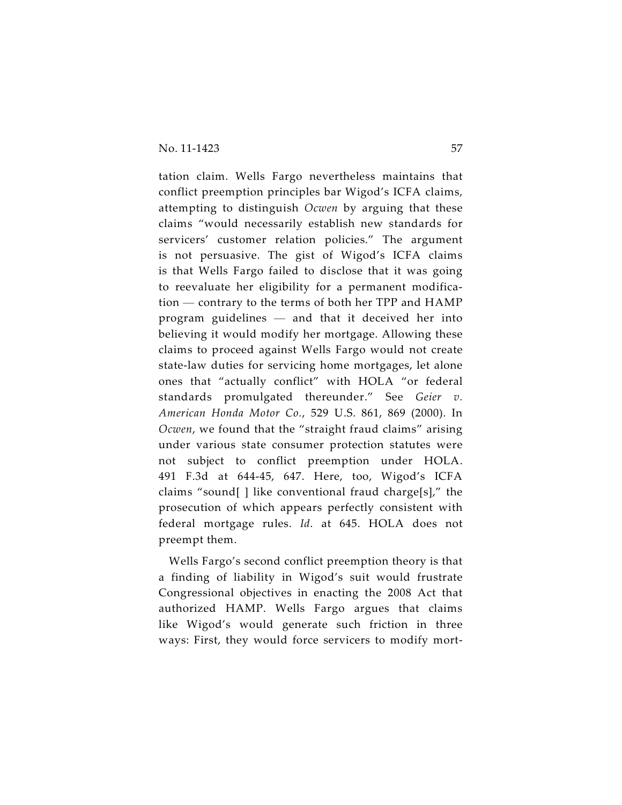tation claim. Wells Fargo nevertheless maintains that conflict preemption principles bar Wigod's ICFA claims, attempting to distinguish *Ocwen* by arguing that these claims "would necessarily establish new standards for servicers' customer relation policies." The argument is not persuasive. The gist of Wigod's ICFA claims is that Wells Fargo failed to disclose that it was going to reevaluate her eligibility for a permanent modification — contrary to the terms of both her TPP and HAMP program guidelines — and that it deceived her into believing it would modify her mortgage. Allowing these claims to proceed against Wells Fargo would not create state-law duties for servicing home mortgages, let alone ones that "actually conflict" with HOLA "or federal standards promulgated thereunder." See *Geier v. American Honda Motor Co.*, 529 U.S. 861, 869 (2000). In *Ocwen*, we found that the "straight fraud claims" arising under various state consumer protection statutes were not subject to conflict preemption under HOLA. 491 F.3d at 644-45, 647. Here, too, Wigod's ICFA claims "sound[ ] like conventional fraud charge[s]," the prosecution of which appears perfectly consistent with federal mortgage rules. *Id*. at 645. HOLA does not preempt them.

Wells Fargo's second conflict preemption theory is that a finding of liability in Wigod's suit would frustrate Congressional objectives in enacting the 2008 Act that authorized HAMP. Wells Fargo argues that claims like Wigod's would generate such friction in three ways: First, they would force servicers to modify mort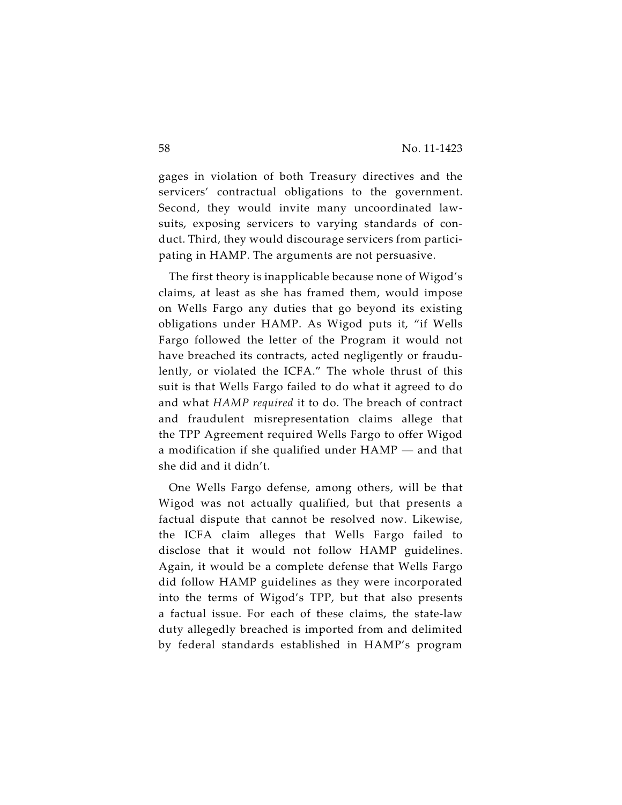gages in violation of both Treasury directives and the servicers' contractual obligations to the government. Second, they would invite many uncoordinated lawsuits, exposing servicers to varying standards of conduct. Third, they would discourage servicers from participating in HAMP. The arguments are not persuasive.

The first theory is inapplicable because none of Wigod's claims, at least as she has framed them, would impose on Wells Fargo any duties that go beyond its existing obligations under HAMP. As Wigod puts it, "if Wells Fargo followed the letter of the Program it would not have breached its contracts, acted negligently or fraudulently, or violated the ICFA." The whole thrust of this suit is that Wells Fargo failed to do what it agreed to do and what *HAMP required* it to do. The breach of contract and fraudulent misrepresentation claims allege that the TPP Agreement required Wells Fargo to offer Wigod a modification if she qualified under HAMP — and that she did and it didn't.

One Wells Fargo defense, among others, will be that Wigod was not actually qualified, but that presents a factual dispute that cannot be resolved now. Likewise, the ICFA claim alleges that Wells Fargo failed to disclose that it would not follow HAMP guidelines. Again, it would be a complete defense that Wells Fargo did follow HAMP guidelines as they were incorporated into the terms of Wigod's TPP, but that also presents a factual issue. For each of these claims, the state-law duty allegedly breached is imported from and delimited by federal standards established in HAMP's program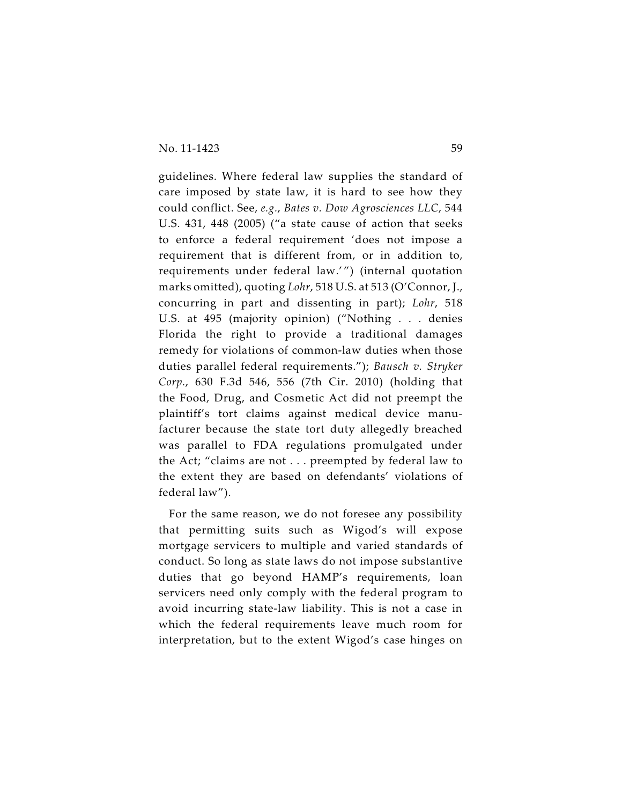guidelines. Where federal law supplies the standard of care imposed by state law, it is hard to see how they could conflict. See, *e.g.*, *Bates v. Dow Agrosciences LLC*, 544 U.S. 431, 448 (2005) ("a state cause of action that seeks to enforce a federal requirement 'does not impose a requirement that is different from, or in addition to, requirements under federal law.'") (internal quotation marks omitted), quoting *Lohr*, 518 U.S. at 513 (O'Connor, J., concurring in part and dissenting in part); *Lohr*, 518 U.S. at 495 (majority opinion) ("Nothing . . . denies Florida the right to provide a traditional damages remedy for violations of common-law duties when those duties parallel federal requirements."); *Bausch v. Stryker Corp.*, 630 F.3d 546, 556 (7th Cir. 2010) (holding that the Food, Drug, and Cosmetic Act did not preempt the plaintiff's tort claims against medical device manufacturer because the state tort duty allegedly breached was parallel to FDA regulations promulgated under the Act; "claims are not . . . preempted by federal law to the extent they are based on defendants' violations of federal law").

For the same reason, we do not foresee any possibility that permitting suits such as Wigod's will expose mortgage servicers to multiple and varied standards of conduct. So long as state laws do not impose substantive duties that go beyond HAMP's requirements, loan servicers need only comply with the federal program to avoid incurring state-law liability. This is not a case in which the federal requirements leave much room for interpretation, but to the extent Wigod's case hinges on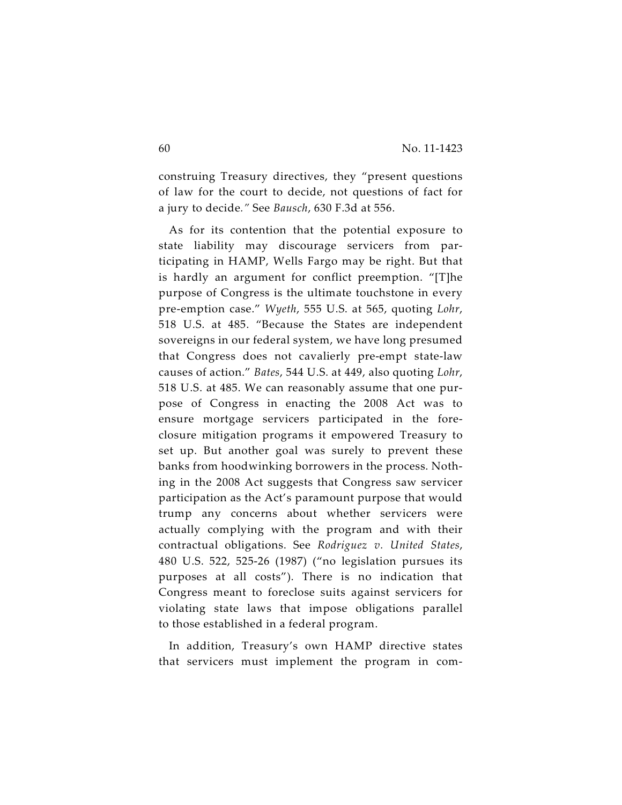construing Treasury directives, they "present questions of law for the court to decide, not questions of fact for a jury to decide*."* See *Bausch*, 630 F.3d at 556.

As for its contention that the potential exposure to state liability may discourage servicers from participating in HAMP, Wells Fargo may be right. But that is hardly an argument for conflict preemption. "[T]he purpose of Congress is the ultimate touchstone in every pre-emption case." *Wyeth*, 555 U.S. at 565, quoting *Lohr*, 518 U.S. at 485. "Because the States are independent sovereigns in our federal system, we have long presumed that Congress does not cavalierly pre-empt state-law causes of action." *Bates*, 544 U.S. at 449, also quoting *Lohr*, 518 U.S. at 485. We can reasonably assume that one purpose of Congress in enacting the 2008 Act was to ensure mortgage servicers participated in the foreclosure mitigation programs it empowered Treasury to set up. But another goal was surely to prevent these banks from hoodwinking borrowers in the process. Nothing in the 2008 Act suggests that Congress saw servicer participation as the Act's paramount purpose that would trump any concerns about whether servicers were actually complying with the program and with their contractual obligations. See *Rodriguez v. United States*, 480 U.S. 522, 525-26 (1987) ("no legislation pursues its purposes at all costs"). There is no indication that Congress meant to foreclose suits against servicers for violating state laws that impose obligations parallel to those established in a federal program.

In addition, Treasury's own HAMP directive states that servicers must implement the program in com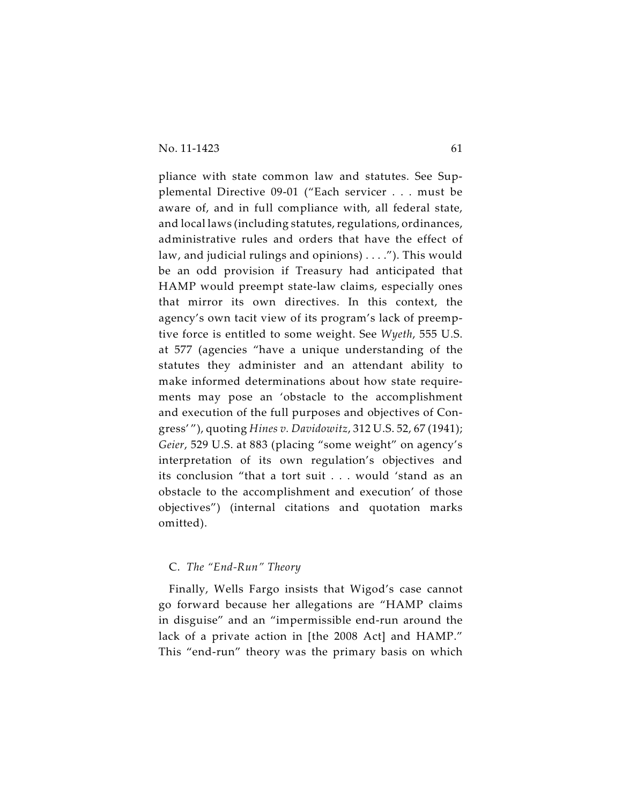pliance with state common law and statutes. See Supplemental Directive 09-01 ("Each servicer . . . must be aware of, and in full compliance with, all federal state, and local laws (including statutes, regulations, ordinances, administrative rules and orders that have the effect of law, and judicial rulings and opinions) . . . ."). This would be an odd provision if Treasury had anticipated that HAMP would preempt state-law claims, especially ones that mirror its own directives. In this context, the agency's own tacit view of its program's lack of preemptive force is entitled to some weight. See *Wyeth*, 555 U.S. at 577 (agencies "have a unique understanding of the statutes they administer and an attendant ability to make informed determinations about how state requirements may pose an 'obstacle to the accomplishment and execution of the full purposes and objectives of Congress' "), quoting *Hines v. Davidowitz*, 312 U.S. 52, 67 (1941); *Geier*, 529 U.S. at 883 (placing "some weight" on agency's interpretation of its own regulation's objectives and its conclusion "that a tort suit . . . would 'stand as an obstacle to the accomplishment and execution' of those objectives") (internal citations and quotation marks omitted).

## C. *The "End-Run" Theory*

Finally, Wells Fargo insists that Wigod's case cannot go forward because her allegations are "HAMP claims in disguise" and an "impermissible end-run around the lack of a private action in [the 2008 Act] and HAMP." This "end-run" theory was the primary basis on which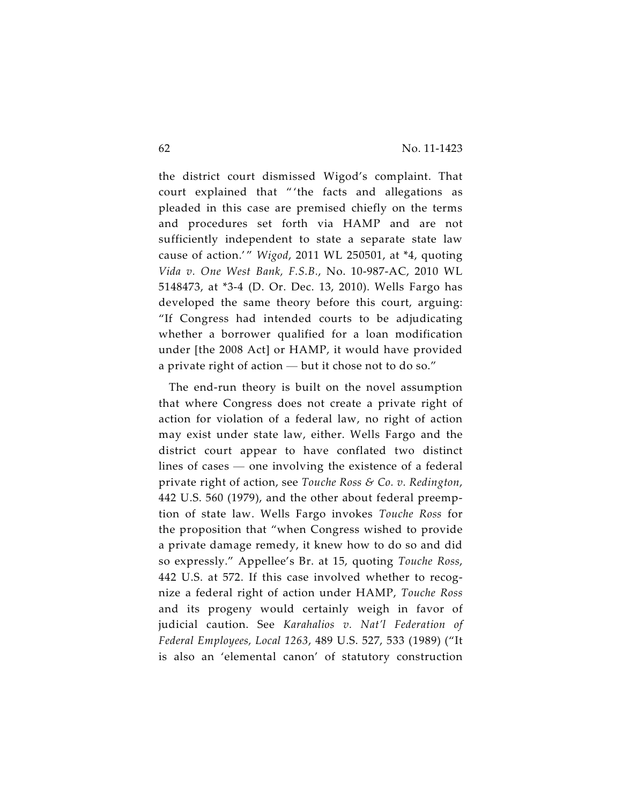the district court dismissed Wigod's complaint. That court explained that " 'the facts and allegations as pleaded in this case are premised chiefly on the terms and procedures set forth via HAMP and are not sufficiently independent to state a separate state law cause of action.' " *Wigod*, 2011 WL 250501, at \*4, quoting *Vida v. One West Bank, F.S.B.*, No. 10-987-AC, 2010 WL 5148473, at \*3-4 (D. Or. Dec. 13, 2010). Wells Fargo has developed the same theory before this court, arguing: "If Congress had intended courts to be adjudicating whether a borrower qualified for a loan modification under [the 2008 Act] or HAMP, it would have provided a private right of action — but it chose not to do so."

The end-run theory is built on the novel assumption that where Congress does not create a private right of action for violation of a federal law, no right of action may exist under state law, either. Wells Fargo and the district court appear to have conflated two distinct lines of cases — one involving the existence of a federal private right of action, see *Touche Ross & Co. v. Redington*, 442 U.S. 560 (1979), and the other about federal preemption of state law. Wells Fargo invokes *Touche Ross* for the proposition that "when Congress wished to provide a private damage remedy, it knew how to do so and did so expressly." Appellee's Br. at 15, quoting *Touche Ross*, 442 U.S. at 572. If this case involved whether to recognize a federal right of action under HAMP, *Touche Ross* and its progeny would certainly weigh in favor of judicial caution. See *Karahalios v. Nat'l Federation of Federal Employees, Local 1263*, 489 U.S. 527, 533 (1989) ("It is also an 'elemental canon' of statutory construction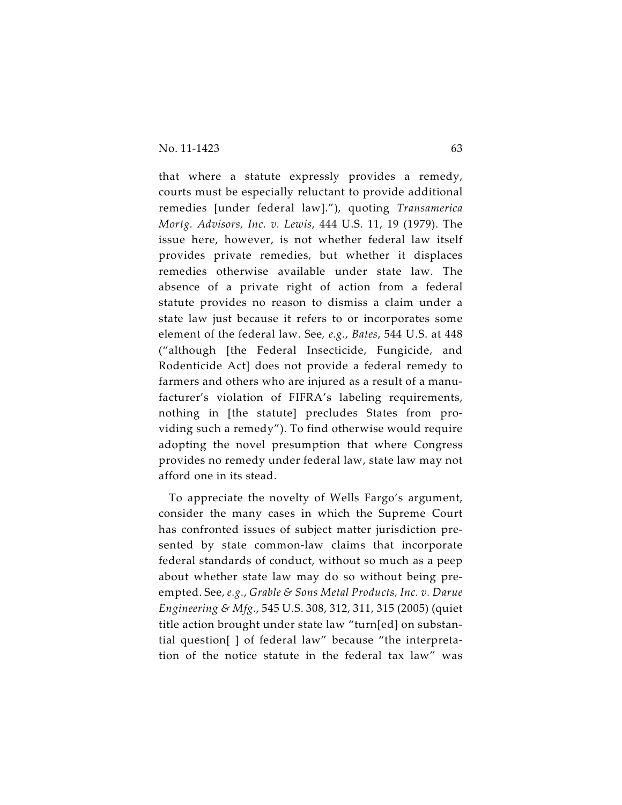that where a statute expressly provides a remedy, courts must be especially reluctant to provide additional remedies [under federal law]."), quoting *Transamerica Mortg. Advisors, Inc. v. Lewis*, 444 U.S. 11, 19 (1979). The issue here, however, is not whether federal law itself provides private remedies, but whether it displaces remedies otherwise available under state law. The absence of a private right of action from a federal statute provides no reason to dismiss a claim under a state law just because it refers to or incorporates some element of the federal law. See*, e.g.*, *Bates*, 544 U.S. at 448 ("although [the Federal Insecticide, Fungicide, and Rodenticide Act] does not provide a federal remedy to farmers and others who are injured as a result of a manufacturer's violation of FIFRA's labeling requirements, nothing in [the statute] precludes States from providing such a remedy"). To find otherwise would require adopting the novel presumption that where Congress provides no remedy under federal law, state law may not afford one in its stead.

To appreciate the novelty of Wells Fargo's argument, consider the many cases in which the Supreme Court has confronted issues of subject matter jurisdiction presented by state common-law claims that incorporate federal standards of conduct, without so much as a peep about whether state law may do so without being preempted. See, *e.g.*, *Grable & Sons Metal Products, Inc. v. Darue Engineering & Mfg.*, 545 U.S. 308, 312, 311, 315 (2005) (quiet title action brought under state law "turn[ed] on substantial question[ ] of federal law" because "the interpretation of the notice statute in the federal tax law" was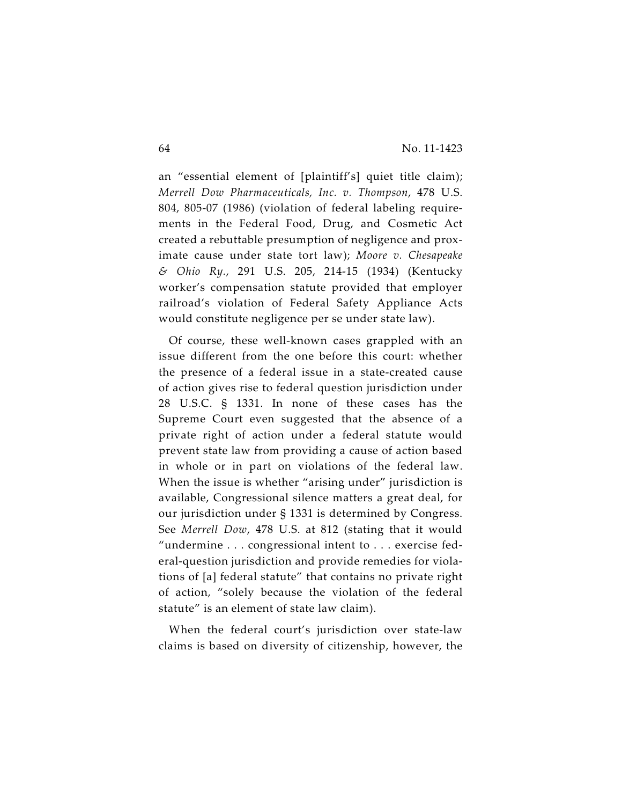an "essential element of [plaintiff's] quiet title claim); *Merrell Dow Pharmaceuticals, Inc. v. Thompson*, 478 U.S. 804, 805-07 (1986) (violation of federal labeling requirements in the Federal Food, Drug, and Cosmetic Act created a rebuttable presumption of negligence and proximate cause under state tort law); *Moore v. Chesapeake & Ohio Ry.*, 291 U.S. 205, 214-15 (1934) (Kentucky worker's compensation statute provided that employer railroad's violation of Federal Safety Appliance Acts would constitute negligence per se under state law).

Of course, these well-known cases grappled with an issue different from the one before this court: whether the presence of a federal issue in a state-created cause of action gives rise to federal question jurisdiction under 28 U.S.C. § 1331. In none of these cases has the Supreme Court even suggested that the absence of a private right of action under a federal statute would prevent state law from providing a cause of action based in whole or in part on violations of the federal law. When the issue is whether "arising under" jurisdiction is available, Congressional silence matters a great deal, for our jurisdiction under § 1331 is determined by Congress. See *Merrell Dow*, 478 U.S. at 812 (stating that it would "undermine . . . congressional intent to . . . exercise federal-question jurisdiction and provide remedies for violations of [a] federal statute" that contains no private right of action, "solely because the violation of the federal statute" is an element of state law claim).

When the federal court's jurisdiction over state-law claims is based on diversity of citizenship, however, the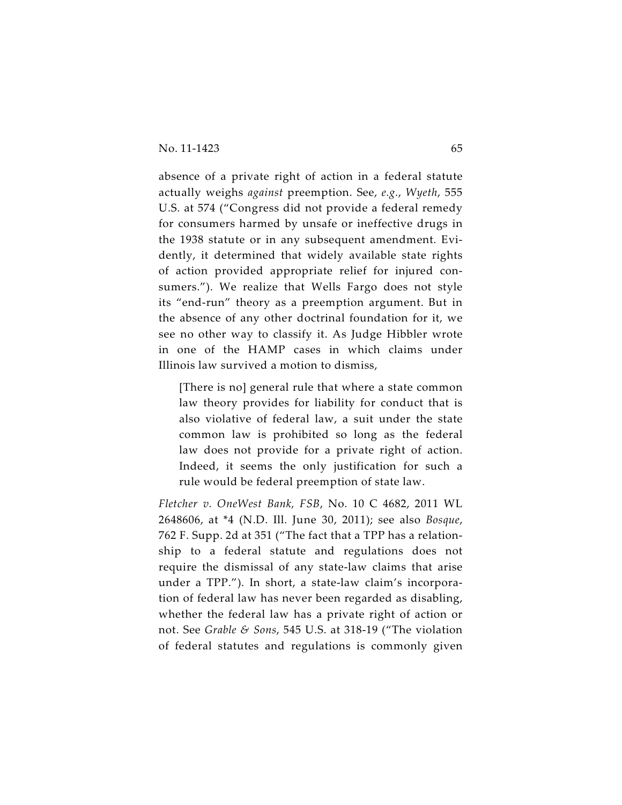absence of a private right of action in a federal statute actually weighs *against* preemption. See, *e.g.*, *Wyeth*, 555 U.S. at 574 ("Congress did not provide a federal remedy for consumers harmed by unsafe or ineffective drugs in the 1938 statute or in any subsequent amendment. Evidently, it determined that widely available state rights of action provided appropriate relief for injured consumers."). We realize that Wells Fargo does not style its "end-run" theory as a preemption argument. But in the absence of any other doctrinal foundation for it, we see no other way to classify it. As Judge Hibbler wrote in one of the HAMP cases in which claims under Illinois law survived a motion to dismiss,

[There is no] general rule that where a state common law theory provides for liability for conduct that is also violative of federal law, a suit under the state common law is prohibited so long as the federal law does not provide for a private right of action. Indeed, it seems the only justification for such a rule would be federal preemption of state law.

*Fletcher v. OneWest Bank, FSB*, No. 10 C 4682, 2011 WL 2648606, at \*4 (N.D. Ill. June 30, 2011); see also *Bosque*, 762 F. Supp. 2d at 351 ("The fact that a TPP has a relationship to a federal statute and regulations does not require the dismissal of any state-law claims that arise under a TPP."). In short, a state-law claim's incorporation of federal law has never been regarded as disabling, whether the federal law has a private right of action or not. See *Grable & Sons*, 545 U.S. at 318-19 ("The violation of federal statutes and regulations is commonly given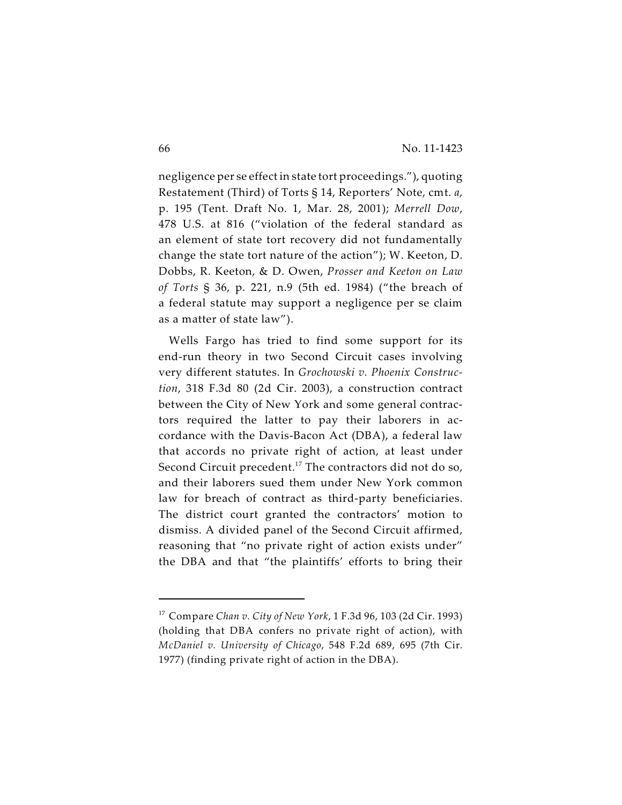negligence per se effect in state tort proceedings."), quoting Restatement (Third) of Torts § 14, Reporters' Note, cmt. *a*, p. 195 (Tent. Draft No. 1, Mar. 28, 2001); *Merrell Dow*, 478 U.S. at 816 ("violation of the federal standard as an element of state tort recovery did not fundamentally change the state tort nature of the action"); W. Keeton, D. Dobbs, R. Keeton, & D. Owen, *Prosser and Keeton on Law of Torts* § 36, p. 221, n.9 (5th ed. 1984) ("the breach of a federal statute may support a negligence per se claim as a matter of state law").

Wells Fargo has tried to find some support for its end-run theory in two Second Circuit cases involving very different statutes. In *Grochowski v. Phoenix Construction*, 318 F.3d 80 (2d Cir. 2003), a construction contract between the City of New York and some general contractors required the latter to pay their laborers in accordance with the Davis-Bacon Act (DBA), a federal law that accords no private right of action, at least under Second Circuit precedent.<sup>17</sup> The contractors did not do so, and their laborers sued them under New York common law for breach of contract as third-party beneficiaries. The district court granted the contractors' motion to dismiss. A divided panel of the Second Circuit affirmed, reasoning that "no private right of action exists under" the DBA and that "the plaintiffs' efforts to bring their

Compare *Chan v. City of New York*, 1 F.3d 96, 103 (2d Cir. 1993) <sup>17</sup> (holding that DBA confers no private right of action), with *McDaniel v. University of Chicago*, 548 F.2d 689, 695 (7th Cir. 1977) (finding private right of action in the DBA).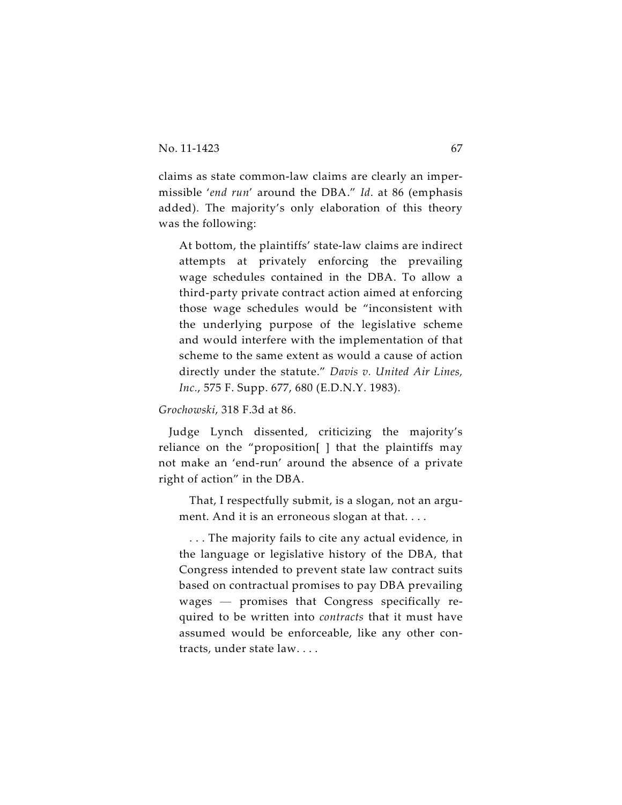claims as state common-law claims are clearly an impermissible '*end run*' around the DBA." *Id*. at 86 (emphasis added). The majority's only elaboration of this theory was the following:

At bottom, the plaintiffs' state-law claims are indirect attempts at privately enforcing the prevailing wage schedules contained in the DBA. To allow a third-party private contract action aimed at enforcing those wage schedules would be "inconsistent with the underlying purpose of the legislative scheme and would interfere with the implementation of that scheme to the same extent as would a cause of action directly under the statute." *Davis v. United Air Lines, Inc.*, 575 F. Supp. 677, 680 (E.D.N.Y. 1983).

*Grochowski*, 318 F.3d at 86.

Judge Lynch dissented, criticizing the majority's reliance on the "proposition[ ] that the plaintiffs may not make an 'end-run' around the absence of a private right of action" in the DBA.

That, I respectfully submit, is a slogan, not an argument. And it is an erroneous slogan at that. . . .

. . . The majority fails to cite any actual evidence, in the language or legislative history of the DBA, that Congress intended to prevent state law contract suits based on contractual promises to pay DBA prevailing wages — promises that Congress specifically required to be written into *contracts* that it must have assumed would be enforceable, like any other contracts, under state law. . . .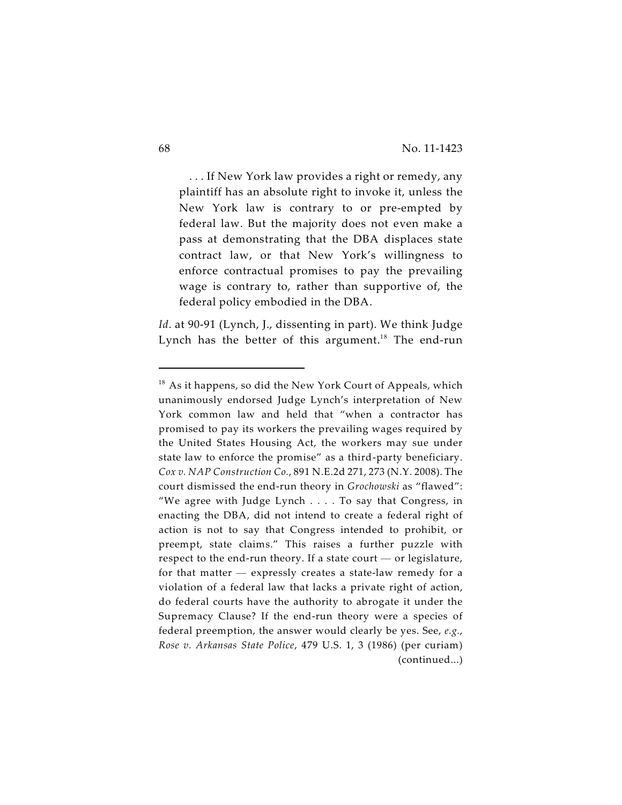. . . If New York law provides a right or remedy, any plaintiff has an absolute right to invoke it, unless the New York law is contrary to or pre-empted by federal law. But the majority does not even make a pass at demonstrating that the DBA displaces state contract law, or that New York's willingness to enforce contractual promises to pay the prevailing wage is contrary to, rather than supportive of, the federal policy embodied in the DBA.

*Id*. at 90-91 (Lynch, J., dissenting in part). We think Judge Lynch has the better of this argument.<sup>18</sup> The end-run

 $18$  As it happens, so did the New York Court of Appeals, which unanimously endorsed Judge Lynch's interpretation of New York common law and held that "when a contractor has promised to pay its workers the prevailing wages required by the United States Housing Act, the workers may sue under state law to enforce the promise" as a third-party beneficiary. *Cox v. NAP Construction Co.*, 891 N.E.2d 271, 273 (N.Y. 2008). The court dismissed the end-run theory in *Grochowski* as "flawed": "We agree with Judge Lynch . . . . To say that Congress, in enacting the DBA, did not intend to create a federal right of action is not to say that Congress intended to prohibit, or preempt, state claims." This raises a further puzzle with respect to the end-run theory. If a state court — or legislature, for that matter — expressly creates a state-law remedy for a violation of a federal law that lacks a private right of action, do federal courts have the authority to abrogate it under the Supremacy Clause? If the end-run theory were a species of federal preemption, the answer would clearly be yes. See, *e.g.*, *Rose v. Arkansas State Police*, 479 U.S. 1, 3 (1986) (per curiam) (continued...)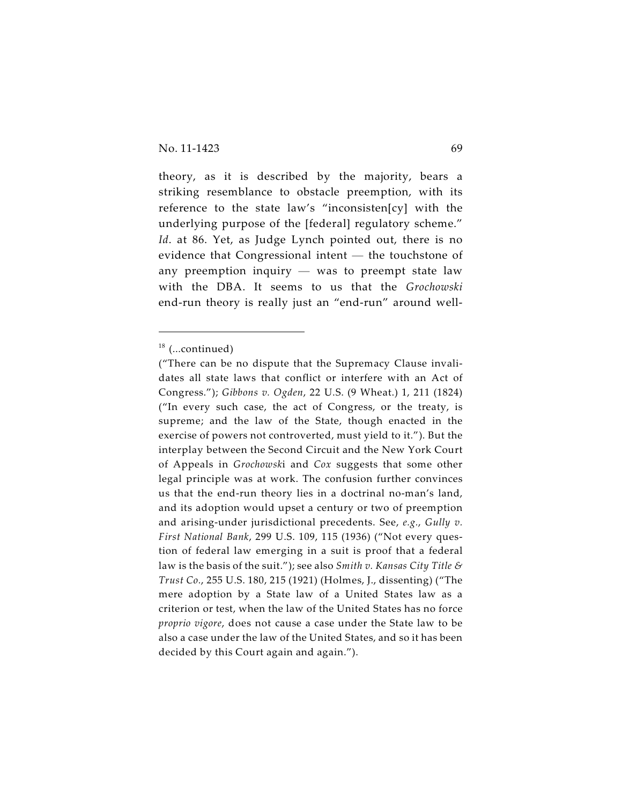theory, as it is described by the majority, bears a striking resemblance to obstacle preemption, with its reference to the state law's "inconsisten[cy] with the underlying purpose of the [federal] regulatory scheme." *Id*. at 86. Yet, as Judge Lynch pointed out, there is no evidence that Congressional intent — the touchstone of any preemption inquiry  $-$  was to preempt state law with the DBA. It seems to us that the *Grochowski* end-run theory is really just an "end-run" around well-

 $18$  (...continued)

<sup>(&</sup>quot;There can be no dispute that the Supremacy Clause invalidates all state laws that conflict or interfere with an Act of Congress."); *Gibbons v. Ogden*, 22 U.S. (9 Wheat.) 1, 211 (1824) ("In every such case, the act of Congress, or the treaty, is supreme; and the law of the State, though enacted in the exercise of powers not controverted, must yield to it."). But the interplay between the Second Circuit and the New York Court of Appeals in *Grochowsk*i and *Cox* suggests that some other legal principle was at work. The confusion further convinces us that the end-run theory lies in a doctrinal no-man's land, and its adoption would upset a century or two of preemption and arising-under jurisdictional precedents. See, *e.g.*, *Gully v. First National Bank*, 299 U.S. 109, 115 (1936) ("Not every question of federal law emerging in a suit is proof that a federal law is the basis of the suit."); see also *Smith v. Kansas City Title & Trust Co.*, 255 U.S. 180, 215 (1921) (Holmes, J., dissenting) ("The mere adoption by a State law of a United States law as a criterion or test, when the law of the United States has no force *proprio vigore*, does not cause a case under the State law to be also a case under the law of the United States, and so it has been decided by this Court again and again.").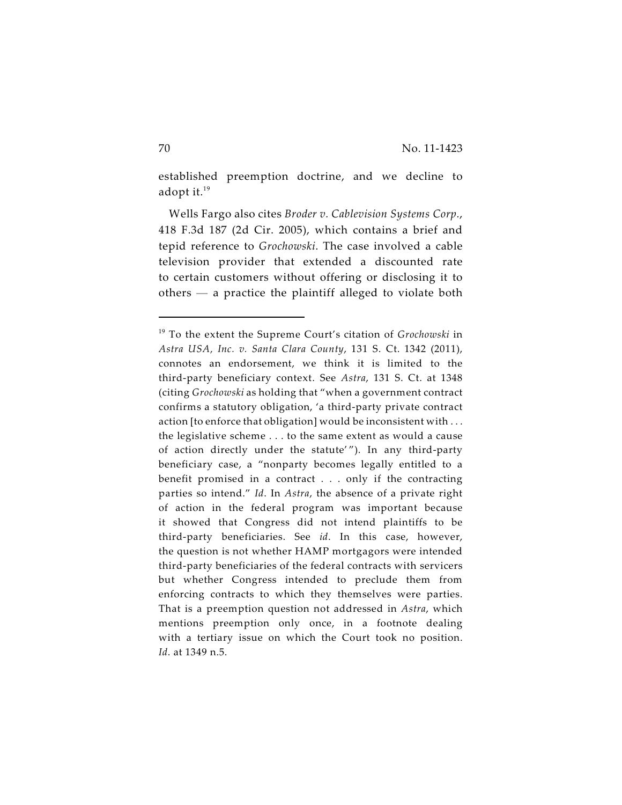established preemption doctrine, and we decline to adopt it.<sup>19</sup>

Wells Fargo also cites *Broder v. Cablevision Systems Corp.*, 418 F.3d 187 (2d Cir. 2005), which contains a brief and tepid reference to *Grochowski*. The case involved a cable television provider that extended a discounted rate to certain customers without offering or disclosing it to others — a practice the plaintiff alleged to violate both

<sup>&</sup>lt;sup>19</sup> To the extent the Supreme Court's citation of *Grochowski* in *Astra USA, Inc. v. Santa Clara County*, 131 S. Ct. 1342 (2011), connotes an endorsement, we think it is limited to the third-party beneficiary context. See *Astra*, 131 S. Ct. at 1348 (citing *Grochowski* as holding that "when a government contract confirms a statutory obligation, 'a third-party private contract action [to enforce that obligation] would be inconsistent with . . . the legislative scheme . . . to the same extent as would a cause of action directly under the statute' "). In any third-party beneficiary case, a "nonparty becomes legally entitled to a benefit promised in a contract . . . only if the contracting parties so intend." *Id*. In *Astra*, the absence of a private right of action in the federal program was important because it showed that Congress did not intend plaintiffs to be third-party beneficiaries. See *id*. In this case, however, the question is not whether HAMP mortgagors were intended third-party beneficiaries of the federal contracts with servicers but whether Congress intended to preclude them from enforcing contracts to which they themselves were parties. That is a preemption question not addressed in *Astra*, which mentions preemption only once, in a footnote dealing with a tertiary issue on which the Court took no position. *Id*. at 1349 n.5.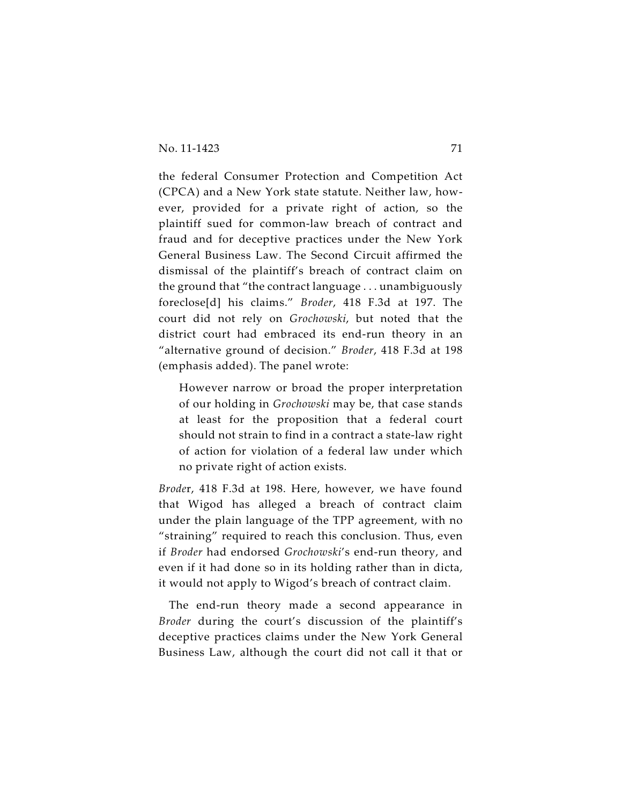the federal Consumer Protection and Competition Act (CPCA) and a New York state statute. Neither law, however, provided for a private right of action, so the plaintiff sued for common-law breach of contract and fraud and for deceptive practices under the New York General Business Law. The Second Circuit affirmed the dismissal of the plaintiff's breach of contract claim on the ground that "the contract language . . . unambiguously foreclose[d] his claims." *Broder*, 418 F.3d at 197. The court did not rely on *Grochowski*, but noted that the district court had embraced its end-run theory in an "alternative ground of decision." *Broder*, 418 F.3d at 198 (emphasis added). The panel wrote:

However narrow or broad the proper interpretation of our holding in *Grochowski* may be, that case stands at least for the proposition that a federal court should not strain to find in a contract a state-law right of action for violation of a federal law under which no private right of action exists.

*Brode*r, 418 F.3d at 198. Here, however, we have found that Wigod has alleged a breach of contract claim under the plain language of the TPP agreement, with no "straining" required to reach this conclusion. Thus, even if *Broder* had endorsed *Grochowski*'s end-run theory, and even if it had done so in its holding rather than in dicta, it would not apply to Wigod's breach of contract claim.

The end-run theory made a second appearance in *Broder* during the court's discussion of the plaintiff's deceptive practices claims under the New York General Business Law, although the court did not call it that or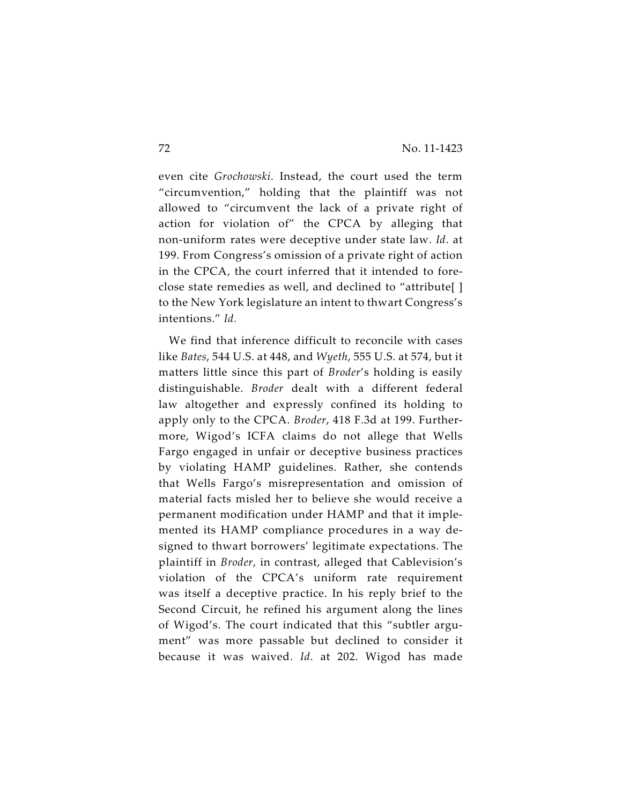even cite *Grochowski*. Instead, the court used the term "circumvention," holding that the plaintiff was not allowed to "circumvent the lack of a private right of action for violation of" the CPCA by alleging that non-uniform rates were deceptive under state law. *Id*. at 199. From Congress's omission of a private right of action in the CPCA, the court inferred that it intended to foreclose state remedies as well, and declined to "attribute[ ] to the New York legislature an intent to thwart Congress's intentions." *Id.*

We find that inference difficult to reconcile with cases like *Bates*, 544 U.S. at 448, and *Wyeth*, 555 U.S. at 574, but it matters little since this part of *Broder*'s holding is easily distinguishable. *Broder* dealt with a different federal law altogether and expressly confined its holding to apply only to the CPCA. *Broder*, 418 F.3d at 199. Furthermore, Wigod's ICFA claims do not allege that Wells Fargo engaged in unfair or deceptive business practices by violating HAMP guidelines. Rather, she contends that Wells Fargo's misrepresentation and omission of material facts misled her to believe she would receive a permanent modification under HAMP and that it implemented its HAMP compliance procedures in a way designed to thwart borrowers' legitimate expectations. The plaintiff in *Broder*, in contrast, alleged that Cablevision's violation of the CPCA's uniform rate requirement was itself a deceptive practice. In his reply brief to the Second Circuit, he refined his argument along the lines of Wigod's. The court indicated that this "subtler argument" was more passable but declined to consider it because it was waived. *Id*. at 202. Wigod has made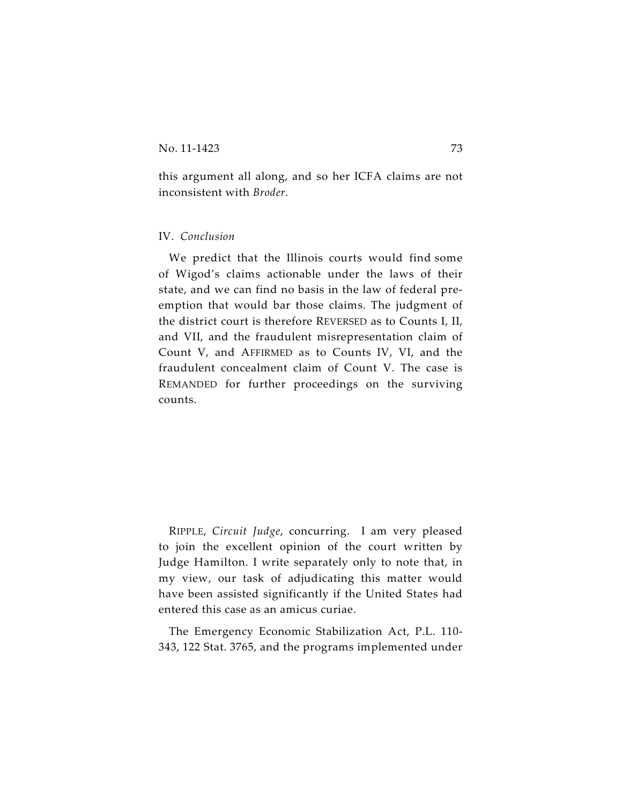this argument all along, and so her ICFA claims are not inconsistent with *Broder*.

## IV. *Conclusion*

We predict that the Illinois courts would find some of Wigod's claims actionable under the laws of their state, and we can find no basis in the law of federal preemption that would bar those claims. The judgment of the district court is therefore REVERSED as to Counts I, II, and VII, and the fraudulent misrepresentation claim of Count V, and AFFIRMED as to Counts IV, VI, and the fraudulent concealment claim of Count V. The case is REMANDED for further proceedings on the surviving counts.

RIPPLE, *Circuit Judge*, concurring. I am very pleased to join the excellent opinion of the court written by Judge Hamilton. I write separately only to note that, in my view, our task of adjudicating this matter would have been assisted significantly if the United States had entered this case as an amicus curiae.

The Emergency Economic Stabilization Act, P.L. 110- 343, 122 Stat. 3765, and the programs implemented under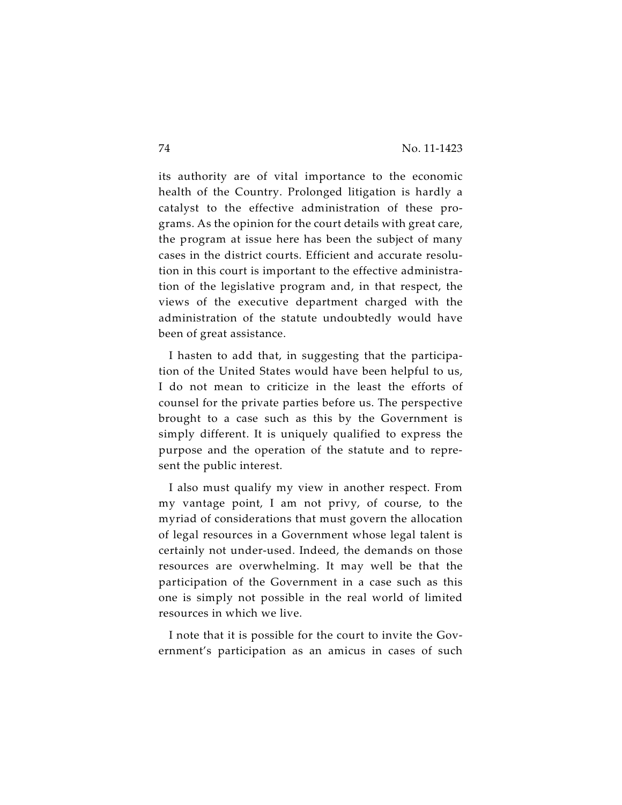its authority are of vital importance to the economic health of the Country. Prolonged litigation is hardly a catalyst to the effective administration of these programs. As the opinion for the court details with great care, the program at issue here has been the subject of many cases in the district courts. Efficient and accurate resolution in this court is important to the effective administration of the legislative program and, in that respect, the views of the executive department charged with the administration of the statute undoubtedly would have been of great assistance.

I hasten to add that, in suggesting that the participation of the United States would have been helpful to us, I do not mean to criticize in the least the efforts of counsel for the private parties before us. The perspective brought to a case such as this by the Government is simply different. It is uniquely qualified to express the purpose and the operation of the statute and to represent the public interest.

I also must qualify my view in another respect. From my vantage point, I am not privy, of course, to the myriad of considerations that must govern the allocation of legal resources in a Government whose legal talent is certainly not under-used. Indeed, the demands on those resources are overwhelming. It may well be that the participation of the Government in a case such as this one is simply not possible in the real world of limited resources in which we live.

I note that it is possible for the court to invite the Government's participation as an amicus in cases of such